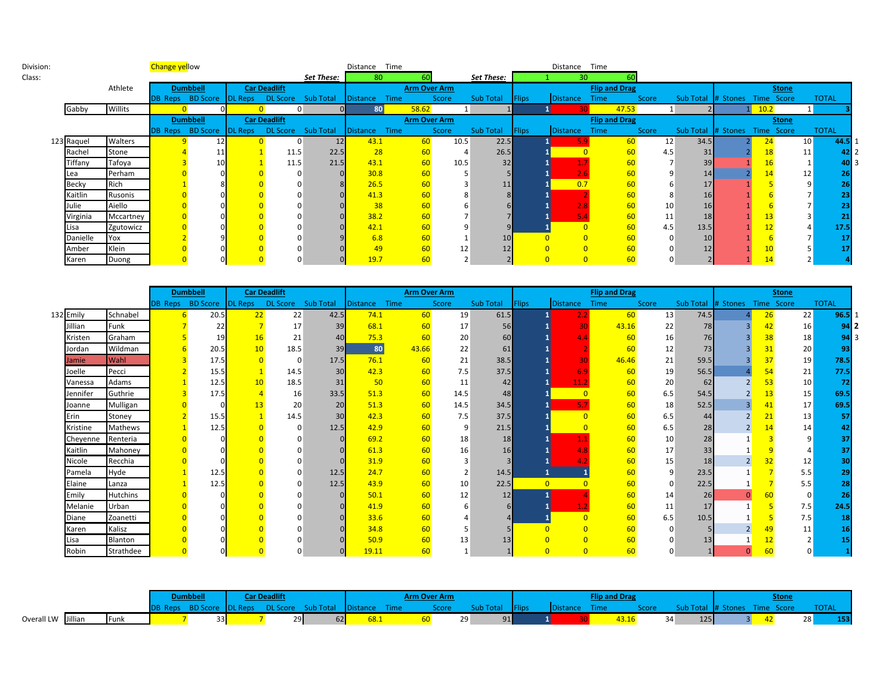| Division: |              |           | <b>Change yellow</b> |                  |                |                     |            | Time<br>Distance |                     |       |            |               | Distance        | Time                 |       |                    |            |                 |              |  |
|-----------|--------------|-----------|----------------------|------------------|----------------|---------------------|------------|------------------|---------------------|-------|------------|---------------|-----------------|----------------------|-------|--------------------|------------|-----------------|--------------|--|
| Class:    |              |           |                      |                  |                |                     | Set These: | 80               |                     |       | Set These: |               | 30              |                      |       |                    |            |                 |              |  |
|           |              | Athlete   |                      | <b>Dumbbell</b>  |                | <b>Car Deadlift</b> |            |                  | <b>Arm Over Arm</b> |       |            |               |                 | <b>Flip and Drag</b> |       |                    |            | <b>Stone</b>    |              |  |
|           |              |           |                      | DB Reps BD Score | <b>DL Reps</b> | DL Score Sub Total  |            | Distance<br>Time |                     | Score | Sub Total  | <b>Flips</b>  | <b>Distance</b> | Time                 | Score | Sub Total # Stones | Time Score |                 | <b>TOTAL</b> |  |
|           | Gabby        | Willits   |                      |                  |                |                     |            | 80               | 58.62               |       |            |               |                 | 47.53                |       |                    | 10.2       |                 |              |  |
|           |              |           |                      | <b>Dumbbell</b>  |                | <b>Car Deadlift</b> |            |                  | <b>Arm Over Arm</b> |       |            |               |                 | <b>Flip and Drag</b> |       |                    |            | <b>Stone</b>    |              |  |
|           |              |           | <b>DB Reps</b>       | BD Score DL Reps |                | DL Score Sub Total  |            | Distance<br>Time |                     | Score | Sub Total  | <b>IFlips</b> | <b>Distance</b> | Time                 | Score | Sub Total # Stones | Time Score |                 | <b>TOTAL</b> |  |
|           | 123 Raquel   | Walters   |                      | 12 <sub>1</sub>  |                | $\Omega$            | 12         | 43.1             | 60                  | 10.5  | 22.5       |               |                 | 60                   | 12    | 34.5               | 24         | 10 <sup>1</sup> | 44.5         |  |
|           | Rachel       | Stone     |                      |                  |                | 11.5                | 22.5       | 28               | 60                  |       | 26.5       |               |                 | 60                   | 4.5   | 31                 | 18         | 11 <sub>1</sub> |              |  |
|           | Tiffany      | Tafoya    |                      |                  |                | 11.5                | 21.5       | 43.1             | 60                  | 10.5  | 32         |               |                 | 60                   |       | 39                 | 16         |                 | 40           |  |
|           | Lea          | Perham    |                      |                  |                |                     |            | 30.8             | 60                  |       |            |               |                 |                      |       | 14                 | 14         | 12              |              |  |
|           | <b>Becky</b> | Rich      |                      |                  |                |                     |            | 26.5             | 60                  |       | 11         |               | 0.7             | 60                   |       | 17                 |            |                 |              |  |
|           | Kaitlin      | Rusonis   |                      |                  |                |                     |            | 41.3             | 60                  |       |            |               |                 |                      |       | 16                 |            |                 |              |  |
|           | Julie        | Aiello    |                      |                  |                |                     |            | 38               | 60                  |       |            |               |                 | 60                   | 10    | 16                 |            |                 |              |  |
|           | Virginia     | Mccartney |                      |                  |                |                     |            | 38.2             | 60                  |       |            |               |                 | 60                   | 11    | 18                 | 13         |                 |              |  |
|           | Lisa         | Zgutowicz |                      |                  |                |                     |            | 42.1             | 60                  |       |            |               | $\Omega$        | 60                   | 4.5   | 13.5               | 12         |                 | 17.5         |  |
|           | Danielle     | Yox       |                      |                  |                |                     |            | 6.8              | 60                  |       |            |               |                 | 60                   |       | 10                 |            |                 |              |  |
|           | Amber        | Klein     |                      |                  |                |                     |            | 49               | 60                  | 12    |            |               | $\overline{0}$  | 60                   |       | 12                 | 10         |                 |              |  |
|           | Karen        | Duong     |                      |                  |                |                     |            | 19.7             |                     |       |            |               |                 | <b>60</b>            |       |                    |            |                 |              |  |

|           |                 | <b>Dumbbell</b>                             |    | <b>Car Deadlift</b> |      |                         | <b>Arm Over Arm</b> |       |                  |              |                 | <b>Flip and Drag</b> |       |                    |            | <b>Stone</b>    |              |
|-----------|-----------------|---------------------------------------------|----|---------------------|------|-------------------------|---------------------|-------|------------------|--------------|-----------------|----------------------|-------|--------------------|------------|-----------------|--------------|
|           |                 | DB Reps BD Score DL Reps DL Score Sub Total |    |                     |      | Time<br><b>Distance</b> |                     | Score | <b>Sub Total</b> | <b>Flips</b> | <b>Distance</b> | Time                 | Score | Sub Total # Stones | Time Score |                 | <b>TOTAL</b> |
| 132 Emily | Schnabel        | 20.5                                        | 22 | 22                  | 42.5 | 74.1                    | 60                  | 19    | 61.5             |              |                 | 60                   | 13    | 74.5               | 26         | 22              | 96.5         |
| Jillian   | Funk            | 22                                          |    | 17                  | 39   | 68.1                    | 60                  | 17    | 56               |              | 30              | 43.16                | 22    | 78                 | 42         | 16              | 9412         |
| Kristen   | Graham          | 19                                          |    | 21                  | 40   | 75.3                    | 60                  | 20    | 60               |              |                 | 60                   | 16    | 76                 | 38         | 18              | 943          |
| Jordan    | Wildman         | 20.5                                        | 10 | 18.5                | 39   | 80                      | 43.66               | 22    | 61               |              |                 | 60                   | 12    | 73                 | 31         | 20              | 93           |
| Jamie     | Wahl            | 17.5                                        |    | C                   | 17.5 | 76.1                    | 60                  | 21    | 38.5             |              |                 | 46.46                | 21    | 59.5               | 37         | 19              | 78.5         |
| Joelle    | Pecci           | 15.5                                        |    | 14.5                | 30   | 42.3                    | 60                  | 7.5   | 37.5             |              | 6.9             | 60                   | 19    | 56.5               | 54         | 21              | 77.5         |
| Vanessa   | Adams           | 12.5                                        | 10 | 18.5                | 31   | 50                      | 60                  | 11    | 42               |              | 11.2            | 60                   | 20    | 62                 | 53         | 10 <sup>1</sup> |              |
| Jennifer  | Guthrie         | 17.5                                        |    | 16                  | 33.5 | 51.3                    | 60                  | 14.5  | 48               |              |                 | 60                   | 6.5   | 54.5               | 13         | 15              | 69.5         |
| Joanne    | Mulligan        |                                             |    | 20                  | 20   | 51.3                    | 60                  | 14.5  | 34.5             |              |                 | 60                   | 18    | 52.5               | 41         | 17              | 69.5         |
| Erin      | Stoney          | 15.5                                        |    | 14.5                | 30   | 42.3                    | 60                  | 7.5   | 37.5             |              |                 | 60                   | 6.5   | 44                 | 21         | 13              | 57           |
| Kristine  | Mathews         | 12.5                                        |    |                     | 12.5 | 42.9                    | 60                  | 9     | 21.5             |              |                 | 60                   | 6.5   | 28                 |            | 14              |              |
| Cheyenne  | Renteria        |                                             |    |                     |      | 69.2                    | 60                  | 18    | 18               |              |                 | 60                   | 10    | 28                 |            |                 |              |
| Kaitlin   | Mahoney         |                                             |    |                     |      | 61.3                    | 60                  | 16    | 16               |              |                 | 60                   | 17    | 33                 |            |                 |              |
| Nicole    | Recchia         |                                             |    |                     |      | 31.9                    | 60                  |       |                  |              |                 | 60                   | 15    | 18                 |            | 12              |              |
| Pamela    | Hyde            | 12.5                                        |    |                     | 12.5 | 24.7                    | 60                  |       | 14.5             |              |                 | 60                   | -9    | 23.5               |            | 5.5             | 29           |
| Elaine    | Lanza           | 12.5                                        |    |                     | 12.5 | 43.9                    | 60                  | 10    | 22.5             |              | $\overline{0}$  | 60                   | -0    | 22.5               |            | 5.5             |              |
| Emily     | <b>Hutchins</b> |                                             |    |                     |      | 50.1                    | 60                  | 12    | 12               |              |                 | 60                   | 14    | 26                 |            | $\overline{0}$  | 26           |
| Melanie   | Urban           |                                             |    |                     |      | 41.9                    | 60                  |       |                  |              |                 | 60                   | 11    | 17                 |            | 7.5             | 24.5         |
| Diane     | Zoanetti        |                                             |    |                     |      | 33.6                    | 60                  |       |                  |              |                 | 60                   | 6.5   | 10.5               |            | 7.5             |              |
| Karen     | Kalisz          |                                             |    |                     |      | 34.8                    | 60                  |       |                  |              |                 | 60                   |       |                    | 49         | 11              |              |
| Lisa      | <b>Blanton</b>  |                                             |    |                     |      | 50.9                    | 60                  | 13    | 13               |              |                 | 60                   |       | 13                 | 12         |                 |              |
| Robin     | Strathdee       |                                             |    |                     |      | 19.11                   | 60                  |       |                  |              | $\Omega$        | 60                   |       |                    |            |                 |              |

|                    |  |              |  | <b>Jumbbell</b> |                |    |                             |      |             | <b>Arm Over Arm</b> |           |               |          | <b>Nin</b> |       |           |        |            | Stone |              |      |
|--------------------|--|--------------|--|-----------------|----------------|----|-----------------------------|------|-------------|---------------------|-----------|---------------|----------|------------|-------|-----------|--------|------------|-------|--------------|------|
|                    |  |              |  | <b>BD Score</b> | <b>DL</b> Reps |    | DL Score Sub Total Distance |      | <b>Time</b> | Score               | Sub Total | <b>IFlips</b> | Distance | Time       | Score |           | Stones | Time Score |       | <b>TOTAL</b> |      |
| Overall LW Jillian |  | <b>IFunk</b> |  | 33              |                | 29 | 52 I                        | 68.1 |             |                     | 29        | 91            |          | 43.16      |       | 125<br>34 |        |            |       | 28           | 1531 |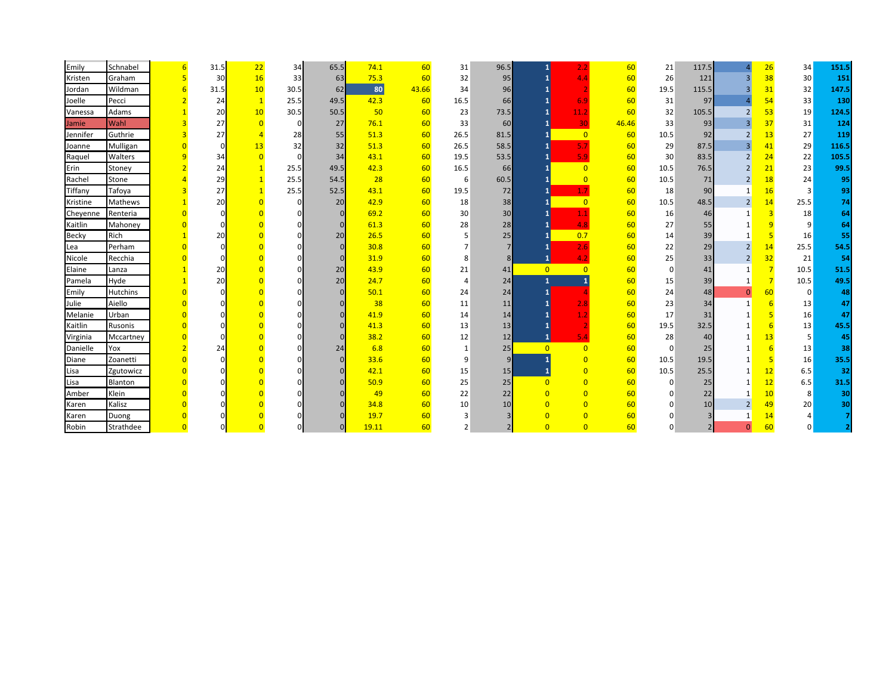| Emily        | Schnabel        | 31.5 | 22             | 34             | 65.5     | 74.1  | 60    | 31             | 96.5 | 1              | 2.2            | 60    | 21          | 117.5         |                | 26             | 34              | 151.5 |
|--------------|-----------------|------|----------------|----------------|----------|-------|-------|----------------|------|----------------|----------------|-------|-------------|---------------|----------------|----------------|-----------------|-------|
| Kristen      | Graham          | 30   | 16             | 33             | 63       | 75.3  | 60    | 32             | 95   |                | 4.4            | 60    | 26          | 121           | $\overline{3}$ | 38             | 30 <sup>°</sup> | 151   |
| Jordan       | Wildman         | 31.5 | 10             | 30.5           | 62       | 80    | 43.66 | 34             | 96   |                |                | 60    | 19.5        | 115.5         | $\overline{3}$ | 31             | 32              | 147.5 |
| Joelle       | Pecci           | 24   | $\mathbf{1}$   | 25.5           | 49.5     | 42.3  | 60    | 16.5           | 66   |                | 6.9            | 60    | 31          | 97            | $\overline{a}$ | 54             | 33              | 130   |
| Vanessa      | Adams           | 20   | 10             | 30.5           | 50.5     | 50    | 60    | 23             | 73.5 |                | 11.2           | 60    | 32          | 105.5         | $\overline{2}$ | 53             | 19              | 124.5 |
| Jamie        | Wahl            | 27   | $\Omega$       | $\mathbf 0$    | 27       | 76.1  | 60    | 33             | 60   |                | 30             | 46.46 | 33          | 93            | $\overline{3}$ | 37             | 31              | 124   |
| Jennifer     | Guthrie         | 27   |                | 28             | 55       | 51.3  | 60    | 26.5           | 81.5 |                | $\overline{0}$ | 60    | 10.5        | 92            | $\overline{2}$ | 13             | 27              | 119   |
| Joanne       | Mulligan        | O    | 13             | 32             | 32       | 51.3  | 60    | 26.5           | 58.5 |                | 5.7            | 60    | 29          | 87.5          | $\overline{3}$ | 41             | 29              | 116.5 |
| Raquel       | Walters         | 34   | $\overline{0}$ | $\Omega$       | 34       | 43.1  | 60    | 19.5           | 53.5 |                | 5.9            | 60    | 30          | 83.5          | $\overline{2}$ | 24             | 22              | 105.5 |
| Erin         | Stoney          | 24   | $\mathbf{1}$   | 25.5           | 49.5     | 42.3  | 60    | 16.5           | 66   |                | $\overline{0}$ | 60    | 10.5        | 76.5          | $\overline{2}$ | 21             | 23              | 99.5  |
| Rachel       | Stone           | 29   | $\mathbf{1}$   | 25.5           | 54.5     | 28    | 60    | 6              | 60.5 |                | $\overline{0}$ | 60    | 10.5        | 71            | $\overline{2}$ | 18             | 24              | 95    |
| Tiffany      | Tafoya          | 27   |                | 25.5           | 52.5     | 43.1  | 60    | 19.5           | 72   |                |                | 60    | 18          | 90            |                | 16             | 3               | 93    |
| Kristine     | <b>Mathews</b>  | 20   | $\Omega$       | $\overline{0}$ | 20       | 42.9  | 60    | 18             | 38   |                | $\overline{0}$ | 60    | 10.5        | 48.5          | $\overline{2}$ | 14             | 25.5            | 74    |
| Cheyenne     | Renteria        |      |                |                | $\Omega$ | 69.2  | 60    | 30             | 30   |                |                | 60    | 16          | 46            |                | $\overline{3}$ | 18              | 64    |
| Kaitlin      | Mahoney         |      |                |                | $\Omega$ | 61.3  | 60    | 28             | 28   |                |                | 60    | 27          | 55            |                | 9              | 9               | 64    |
| <b>Becky</b> | Rich            | 20   |                |                | 20       | 26.5  | 60    |                | 25   |                | 0.7            | 60    | 14          | 39            |                | 5              | 16              | 55    |
| Lea          | Perham          |      |                |                | $\Omega$ | 30.8  | 60    |                |      |                | 2.6            | 60    | 22          | 29            | $\overline{2}$ | 14             | 25.5            | 54.5  |
| Nicole       | Recchia         |      |                |                |          | 31.9  | 60    | 8              |      |                | 4.2            | 60    | 25          | 33            | $\overline{2}$ | 32             | 21              | 54    |
| Elaine       | Lanza           | 20   |                |                | 20       | 43.9  | 60    | 21             | 41   | $\overline{0}$ | $\overline{0}$ | 60    | $\mathbf 0$ | 41            | $\mathbf{1}$   | $\overline{7}$ | 10.5            | 51.5  |
| Pamela       | Hyde            | 20   |                |                | 20       | 24.7  | 60    | $\overline{4}$ | 24   | $\mathbf{1}$   |                | 60    | 15          | 39            |                | $\overline{7}$ | 10.5            | 49.5  |
| Emily        | <b>Hutchins</b> |      |                |                |          | 50.1  | 60    | 24             | 24   |                |                | 60    | 24          | 48            | $\mathbf{0}$   | 60             | $\overline{0}$  | 48    |
| Julie        | Aiello          |      |                |                |          | 38    | 60    | 11             | 11   |                |                | 60    | 23          | 34            | $\mathbf{1}$   | 6              | 13              | 47    |
| Melanie      | Urban           |      |                |                |          | 41.9  | 60    | 14             | 14   |                |                | 60    | 17          | 31            |                | -5             | 16              | 47    |
| Kaitlin      | Rusonis         |      |                |                |          | 41.3  | 60    | 13             | 13   |                |                | 60    | 19.5        | 32.5          |                | 6              | 13              | 45.5  |
| Virginia     | Mccartney       |      |                |                |          | 38.2  | 60    | 12             | 12   |                |                | 60    | 28          | 40            |                | 13             | 5               | 45    |
| Danielle     | Yox             | 24   |                |                | 24       | 6.8   | 60    | $\mathbf{1}$   | 25   | $\Omega$       | $\overline{0}$ | 60    | $\Omega$    | 25            |                | 6              | 13              | 38    |
| Diane        | Zoanetti        |      |                |                | $\Omega$ | 33.6  | 60    | 9              |      |                | $\overline{0}$ | 60    | 10.5        | 19.5          |                | -5             | 16              | 35.5  |
| Lisa         | Zgutowicz       |      |                |                |          | 42.1  | 60    | 15             | 15   |                | $\overline{0}$ | 60    | 10.5        | 25.5          |                | 12             | 6.5             | 32    |
| Lisa         | Blanton         |      |                |                |          | 50.9  | 60    | 25             | 25   | $\Omega$       | $\Omega$       | 60    | $\Omega$    | 25            |                | 12             | 6.5             | 31.5  |
| Amber        | Klein           |      |                |                |          | 49    | 60    | 22             | 22   | $\overline{0}$ | $\Omega$       | 60    |             | 22            |                | 10             | 8               | 30    |
| Karen        | Kalisz          |      |                |                |          | 34.8  | 60    | 10             | 10   | $\Omega$       | $\Omega$       | 60    |             | 10            | $\overline{2}$ | 49             | 20              | 30    |
| Karen        | Duong           |      |                |                |          | 19.7  | 60    | 3              |      | $\Omega$       | $\overline{0}$ | 60    |             |               |                | 14             |                 |       |
| Robin        | Strathdee       |      |                |                | $\Omega$ | 19.11 | 60    | $\overline{2}$ |      | $\Omega$       | $\overline{0}$ | 60    | $\Omega$    | $\mathcal{P}$ | $\Omega$       | 60             |                 |       |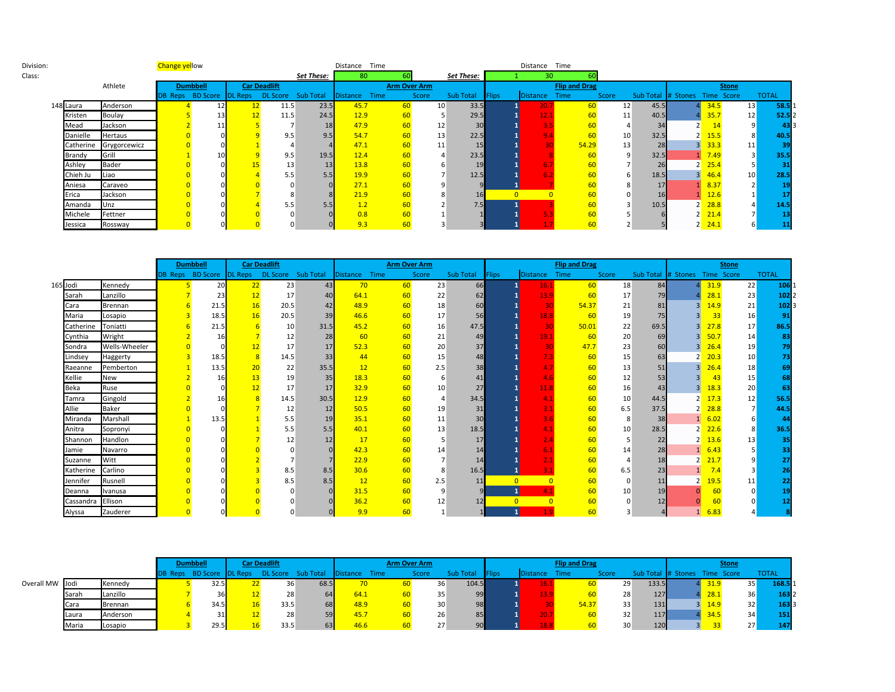| Division: |           |              | Change yellow |                                 |    |                     |            | Distance Time |                     |                          |            |              | Distance Time |                      |       |      |                               |                    |                 |              |
|-----------|-----------|--------------|---------------|---------------------------------|----|---------------------|------------|---------------|---------------------|--------------------------|------------|--------------|---------------|----------------------|-------|------|-------------------------------|--------------------|-----------------|--------------|
| Class:    |           |              |               |                                 |    |                     | Set These: | 80            |                     |                          | Set These: |              | 30            |                      |       |      |                               |                    |                 |              |
|           |           | Athlete      |               | <b>Dumbbell</b>                 |    | <b>Car Deadlift</b> |            |               | <b>Arm Over Arm</b> |                          |            |              |               | <b>Flip and Drag</b> |       |      |                               |                    | <b>Stone</b>    |              |
|           |           |              |               | <b>DB Reps</b> BD Score DL Reps |    | DL Score Sub Total  |            | Distance      | Time                | Score                    | Sub Total  | <b>Flips</b> | Distance      | <b>Time</b>          | Score |      | Sub Total # Stones Time Score |                    |                 | <b>TOTAL</b> |
|           | 148 Laura | Anderson     |               | 12                              | 12 | 11.5                | 23.5       | 45.7          | 60                  | 10                       | 33.5       |              | 20.           |                      | 12    | 45.5 |                               | 34.5               | 13              | 58.5         |
|           | Kristen   | Boulay       |               | 13                              | 12 | 11.5                | 24.5       | 12.9          | 60                  |                          | 29.5       |              | 12.1          |                      | 11    | 40.5 |                               | 35.7               | 12              | 52.5         |
|           | Mead      | Jackson      |               |                                 |    |                     | 18         | 47.9          | 60                  | 12                       | 30         |              |               |                      |       | 34   |                               | 14                 | 9               | 43           |
|           | Danielle  | Hertaus      |               |                                 |    | 9.5                 | 9.5        | 54.7          | 60                  | 13                       | 22.5       |              | $\mathbf{Q}$  |                      | 10    | 32.5 | 2 <sub>l</sub>                | 15.5               | 8               | 40.5         |
|           | Catherine | Grygorcewicz |               |                                 |    |                     |            | 47.1          | 60                  | 11                       | 15         |              |               | 54.29                | 13    | 28   |                               | 33.3               | 11              | 39           |
|           | Brandy    | Grill        |               | 10                              |    | 9.5                 | 19.5       | 12.4          | 60                  | $\overline{4}$           | 23.5       |              |               |                      | 9     | 32.5 |                               | 7.49               | 3 <sup>1</sup>  | 35.5         |
|           | Ashley    | Bader        |               |                                 | 15 | 13                  | 13         | 13.8          | 60                  |                          | 19         |              | 6.            |                      |       | 26   | $2^{\bullet}$                 | 25.4               |                 |              |
|           | Chieh Ju  | Liao         |               |                                 |    | 5.5                 | 5.5        | 19.9          | 60                  | $\overline{\phantom{a}}$ | 12.5       |              |               |                      |       | 18.5 | 3 <sup>1</sup>                | 46.4               | 10 <sup>°</sup> | 28.5         |
|           | Aniesa    | Caraveo      |               |                                 |    |                     |            | 27.1          | 60                  |                          |            |              |               |                      |       | 17   |                               | 8.37               |                 | 19           |
|           | Erica     | Jackson      |               |                                 |    |                     |            | 21.9          | 60                  |                          | 16         |              |               |                      |       | 16   |                               | 12.6               |                 |              |
|           | Amanda    | Unz          |               |                                 |    | 5.5                 | 5.5        | 1.2           |                     |                          | 7.5        |              |               |                      |       | 10.5 |                               | 28.8               |                 | 14.5         |
|           | Michele   | Fettner      |               |                                 |    |                     |            | 0.8           |                     |                          |            |              |               |                      |       |      |                               | 21.4               |                 |              |
|           | Jessica   | Rossway      |               |                                 |    |                     |            | 9.3           | 60                  |                          |            |              |               |                      |       |      |                               | $2 \frac{24.1}{ }$ |                 |              |

|          |           |                | <b>Dumbbell</b> |              | <b>Car Deadlift</b> |                                                           |      |    | <b>Arm Over Arm</b> |           |              |                   | <b>Flip and Drag</b> |       |      |                               | <b>Stone</b> |                 |
|----------|-----------|----------------|-----------------|--------------|---------------------|-----------------------------------------------------------|------|----|---------------------|-----------|--------------|-------------------|----------------------|-------|------|-------------------------------|--------------|-----------------|
|          |           |                |                 |              |                     | DB Reps BD Score DL Reps DL Score Sub Total Distance Time |      |    | Score               | Sub Total | <b>Flips</b> | Distance          | Time                 | Score |      | Sub Total # Stones Time Score |              | <b>TOTAL</b>    |
| 165 Jodi |           | Kennedy        | 20              | 22           | 23                  | 43                                                        | 70   | 60 | 23                  | 66        |              | 16.1              | 60                   | 18    | 84   |                               | 31.9         | 22<br>106       |
|          | Sarah     | Lanzillo       | 23              | 12           | 17                  | 40                                                        | 64.1 | 60 | 22                  | 62        |              | 13.9              | 60                   | 17    | 79   |                               | 28.1         | 23<br>102       |
|          | Cara      | <b>Brennan</b> | 21.5            | 16           | 20.5                | 42                                                        | 48.9 | 60 | 18                  | 60        |              | 30                | 54.37                | 21    | 81   | R                             | 14.9         | 21<br>102       |
|          | Maria     | Losapio        | 18.5            | 16           | 20.5                | 39                                                        | 46.6 | 60 | 17                  | 56        |              | 18.8              | 60                   | 19    | 75   |                               | 33           | 16<br>91        |
|          | Catherine | Toniatti       | 21.5            |              | 10                  | 31.5                                                      | 45.2 | 60 | 16                  | 47.5      |              | 30                | 50.01                | 22    | 69.5 |                               | 27.8         | 17<br>86.5      |
|          | Cynthia   | Wright         |                 |              | 12                  | 28                                                        | 60   | 60 | 21                  | 49        |              | $\overline{19.1}$ | 60                   | 20    | 69   | 3                             | 50.7         | 14              |
|          | Sondra    | Wells-Wheeler  |                 | 12           | 17                  | 17                                                        | 52.3 | 60 | 20                  | 37        |              | 30                | 47.7                 | 23    | 60   | 3                             | 26.4         | 19              |
|          | Lindsey   | Haggerty       | 18.5            | $\mathbf{8}$ | 14.5                | 33                                                        | 44   | 60 | 15                  | 48        |              |                   | 60                   | 15    | 63   |                               | 20.3         | 10 <sup>°</sup> |
|          | Raeanne   | Pemberton      | 13.5            | 20           | 22                  | 35.5                                                      | 12   | 60 | 2.5                 | 38        |              |                   | 60                   | 13    | 51   | 3                             | 26.4         | 18              |
|          | Kellie    | New            |                 | 13           | 19                  | 35                                                        | 18.3 | 60 |                     | 41        |              | 4.6               | 60                   | 12    |      |                               | 43           | 15              |
|          | Beka      | Ruse           |                 | 12           | 17                  | 17                                                        | 32.9 | 60 | 10                  | 27        |              | 11.8              | 60                   | 16    | 43   | 3                             | 18.3         | 20              |
|          | Tamra     | Gingold        |                 |              | 14.5                | 30.5                                                      | 12.9 | 60 |                     | 34.5      |              |                   | 60                   | 10    | 44.5 | $\overline{2}$                | 17.3         | 12<br>56.5      |
|          | Allie     | Baker          |                 |              | 12                  | 12                                                        | 50.5 | 60 | 19                  | 31        |              |                   | 60                   | 6.5   | 37.5 | $\overline{2}$                | 28.8         | 44.5            |
|          | Miranda   | Marshall       | 13.1            |              | 5.5                 | 19                                                        | 35.1 | 60 | 11                  | 30        |              |                   | 60                   | 8     | 38   |                               | 6.02         |                 |
|          | Anitra    | Sopronyi       |                 |              | 5.5                 | 5.5                                                       | 40.1 | 60 | 13                  | 18.5      |              |                   | 60                   | 10    | 28.5 |                               | 22.6         | 36.5            |
|          | Shannon   | Handlon        |                 |              | 12                  |                                                           | 17   | 60 |                     | 17        |              |                   | 60                   |       | 22   | $\overline{2}$                | 13.6         | 13              |
|          | Jamie     | Navarro        |                 |              |                     |                                                           | 42.3 | 60 | 14                  | 14        |              |                   | 60                   | 14    | 28   |                               | 6.43         |                 |
|          | Suzanne   | Witt           |                 |              |                     |                                                           | 22.9 | 60 |                     | 14        |              |                   | 60                   |       | 18   |                               | 21.7         |                 |
|          | Katherine | Carlino        |                 |              | 8.5                 | 8.5                                                       | 30.6 | 60 |                     | 16.5      |              | 3.1               | 60                   | 6.5   | 23   |                               |              |                 |
|          | Jennifer  | Rusnell        |                 |              | 8.5                 | 8.5                                                       | 12   | 60 | 2.5                 | 11        | $\Omega$     |                   |                      |       | 11   | 2                             | 19.5         | 11              |
|          | Deanna    | Ivanusa        |                 |              |                     |                                                           | 31.5 | 60 |                     |           |              |                   | 60                   | 10    |      |                               |              |                 |
|          | Cassandra | Ellison        |                 |              |                     |                                                           | 36.2 | 60 | 12                  | 12        |              |                   | 60                   |       |      |                               |              |                 |
|          | Alyssa    | Zauderer       |                 |              |                     |                                                           | 9.9  | 60 |                     |           |              | 1.9               | 60                   |       |      |                               | 6.83         |                 |

|                 |       |          | <b>Dumbbell</b>                 | Car Deadlift |      |                                  | <b>Arm Over Arm</b> |       |                  |               |                  | <b>Flip and Drag</b> |       |                               |      | <b>Stone</b> |              |
|-----------------|-------|----------|---------------------------------|--------------|------|----------------------------------|---------------------|-------|------------------|---------------|------------------|----------------------|-------|-------------------------------|------|--------------|--------------|
|                 |       |          | <b>DB Reps</b> BD Score DL Reps |              |      | DL Score Sub Total Distance Time |                     | Score | <b>Sub Total</b> | <b>IFlips</b> | <b>IDistance</b> | Time                 | Score | Sub Total # Stones Time Score |      |              | <b>TOTAL</b> |
| Overall MW Jodi |       | Kennedy  | 32.5                            | 36           | 68.5 | $70^{\circ}$                     |                     | 36    | 104.5            |               |                  |                      | 29    | 133.5                         | 31.9 | 35           | 168.5        |
|                 | Sarah | Lanzillo | 36                              | 28           |      | 64.1                             |                     | 35    | 99               |               |                  |                      | 28    | 127                           | 28.1 | 36           | 163          |
|                 | Cara  | Brennan  |                                 | 33.5         | 68   | 48.9                             |                     | 30    | 98               |               |                  | 54.37                | 33    | 131                           | 14.9 | 32           | 163          |
|                 | Laura | Anderson | 31                              | 28           | 59   | 45.7                             |                     | 26    | 85               |               |                  |                      |       | <b>117</b><br>32              | 34.5 | 34           | 151          |
|                 | Maria | Losapio  | 29.5                            | 33.5         | 63   | 46.6                             |                     | 27    | 90               |               |                  |                      | 30    | 120                           |      | 27           |              |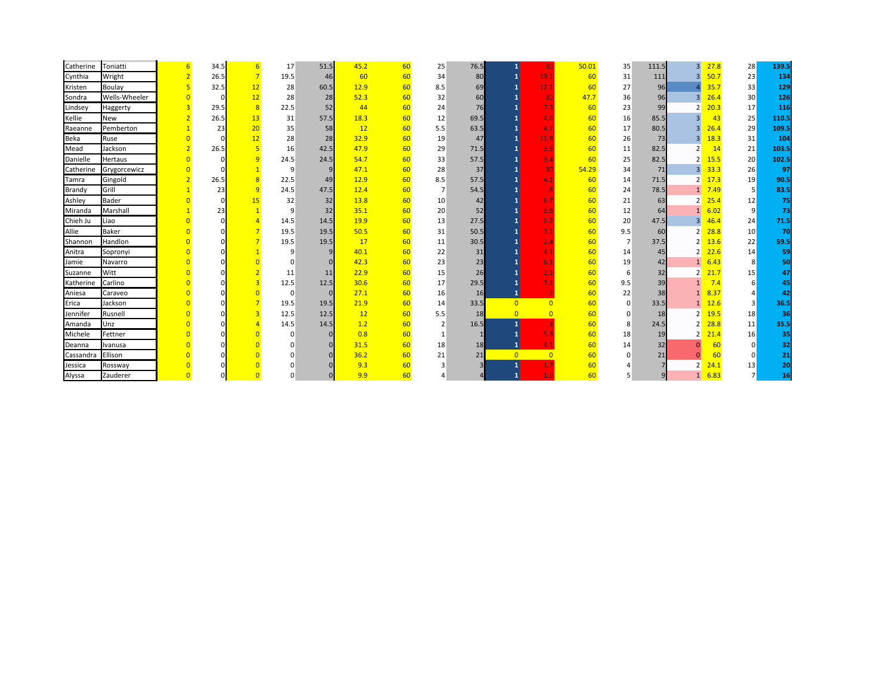| Catherine   | Toniatti       | 34.5 |                | 17   | 51.5 | 45.2          | 60 | 25             | 76.5 |                | 30                        | 50.01 | 35       | 111.5 | $\overline{3}$ | 27.8 | 28       | 139.5 |
|-------------|----------------|------|----------------|------|------|---------------|----|----------------|------|----------------|---------------------------|-------|----------|-------|----------------|------|----------|-------|
| Cynthia     | Wright         | 26.5 |                | 19.5 | 46   | 60            | 60 | 34             | 80   |                | 19.1                      | 60    | 31       | 111   | $\overline{3}$ | 50.7 | 23       | 134   |
| Kristen     | Boulay         | 32.5 | 12             | 28   | 60.5 | 12.9          | 60 | 8.5            | 69   |                | 12.1                      | 60    | 27       | 96    |                | 35.7 | 33       | 129   |
| Sondra      | Wells-Wheeler  |      | 12             | 28   | 28   | 52.3          | 60 | 32             | 60   |                | 30                        | 47.7  | 36       | 96    | 3              | 26.4 | 30       | 126   |
| Lindsey     | Haggerty       | 29.5 | $\overline{8}$ | 22.5 | 52   | 44            | 60 | 24             | 76   |                | 7.3                       | 60    | 23       | 99    | $\overline{2}$ | 20.3 | 17       | 116   |
| Kellie      | New            | 26.5 | 13             | 31   | 57.5 | 18.3          | 60 | 12             | 69.5 |                | 4.6                       | 60    | 16       | 85.5  | 3              | 43   | 25       | 110.5 |
| Raeanne     | Pemberton      | 23   | 20             | 35   | 58   | 12            | 60 | 5.5            | 63.5 |                | 4.7                       | 60    | 17       | 80.5  | 3 <sup>1</sup> | 26.4 | 29       | 109.5 |
| <b>Beka</b> | Ruse           |      | 12             | 28   | 28   | 32.9          | 60 | 19             | 47   |                | 11.8                      | 60    | 26       | 73    | 3              | 18.3 | 31       | 104   |
| Mead        | Jackson        | 26.5 |                | 16   | 42.5 | 47.9          | 60 | 29             | 71.5 |                | 3.5                       | 60    | 11       | 82.5  | $\overline{2}$ | 14   | 21       | 103.5 |
| Danielle    | <b>Hertaus</b> |      | q              | 24.5 | 24.5 | 54.7          | 60 | 33             | 57.5 |                | 9.4                       | 60    | 25       | 82.5  | 2              | 15.5 | 20       | 102.5 |
| Catherine   | Grygorcewicz   |      |                | 9    |      | 47.1          | 60 | 28             | 37   |                | 30                        | 54.29 | 34       | 71    | $\overline{3}$ | 33.3 | 26       | 97    |
| Tamra       | Gingold        | 26.5 |                | 22.5 | 49   | 12.9          | 60 | 8.5            | 57.5 |                | 4.1                       | 60    | 14       | 71.5  | $\overline{2}$ | 17.3 | 19       | 90.5  |
| Brandy      | Grill          | 23   | -9             | 24.5 | 47.5 | 12.4          | 60 |                | 54.5 |                |                           | 60    | 24       | 78.5  | $1\vert$       | 7.49 | 5        | 83.5  |
| Ashley      | Bader          |      |                | 32   | 32   | 13.8          | 60 | 10             | 42   |                | 6.7                       | 60    | 21       | 63    | 2              | 25.4 | 12       | 75    |
| Miranda     | Marshall       |      |                | q    | 32   | 35.1          | 60 | 20             | 52   |                | 3.6                       | 60    | 12       | 64    |                | 6.02 | 9        | 73    |
| Chieh Ju    | Liao           |      |                | 14.5 | 14.5 | 19.9          | 60 | 13             | 27.5 |                | 6.2                       | 60    | 20       | 47.5  | 3              | 46.4 | 24       | 71.5  |
| Allie       | <b>Baker</b>   |      |                | 19.5 | 19.5 | 50.5          | 60 | 31             | 50.5 |                | $\overline{\mathbf{3.1}}$ | 60    | 9.5      | 60    | $\overline{2}$ | 28.8 | 10       | 70    |
| Shannon     | Handlon        |      |                | 19.5 | 19.5 | <sup>17</sup> | 60 | 11             | 30.5 |                | 2.4                       | 60    |          | 37.5  | 2              | 13.6 | 22       | 59.5  |
| Anitra      | Sopronyi       |      |                |      |      | 40.1          | 60 | 22             | 31   |                | 4.1                       | 60    | 14       | 45    | $\overline{2}$ | 22.6 | 14       | 59    |
| Jamie       | Navarro        |      |                |      |      | 42.3          | 60 | 23             | 23   |                | 6.1                       | 60    | 19       | 42    | $1\vert$       | 6.43 | 8        | 50    |
| Suzanne     | Witt           |      |                | 11   | 11   | 22.9          | 60 | 15             | 26   |                | 2.1                       | 60    | 6        | 32    | $\overline{2}$ | 21.7 | 15       | 47    |
| Katherine   | Carlino        |      |                | 12.5 | 12.5 | 30.6          | 60 | 17             | 29.5 |                | 3.1                       | 60    | 9.5      | 39    |                | 7.4  | 6        | 45    |
| Aniesa      | Caraveo        |      |                | C    |      | 27.1          | 60 | 16             | 16   |                |                           | 60    | 22       | 38    |                | 8.37 |          | 42    |
| Erica       | Jackson        |      |                | 19.5 | 19.5 | 21.9          | 60 | 14             | 33.5 | $\overline{0}$ | $\Omega$                  | 60    | $\Omega$ | 33.5  | 1              | 12.6 | 3        | 36.5  |
| Jennifer    | Rusnell        |      |                | 12.5 | 12.5 | 12            | 60 | 5.5            | 18   | $\overline{0}$ |                           | 60    | $\Omega$ | 18    | 2              | 19.5 | 18       | 36    |
| Amanda      | Unz            |      |                | 14.5 | 14.5 | 1.2           | 60 | $\overline{2}$ | 16.5 |                |                           | 60    | 8        | 24.5  | 2              | 28.8 | 11       | 35.5  |
| Michele     | Fettner        |      |                |      |      | 0.8           | 60 | -1             |      |                | 5.3                       | 60    | 18       | 19    | $\overline{2}$ | 21.4 | 16       | 35    |
| Deanna      | Ivanusa        |      |                |      |      | 31.5          | 60 | 18             | 18   |                | 4.1                       | 60    | 14       | 32    | n              | 60   | $\Omega$ | 32    |
| Cassandra   | Ellison        |      |                |      |      | 36.2          | 60 | 21             | 21   | $\overline{0}$ | $\overline{0}$            | 60    |          | 21    | O              | 60   | $\Omega$ | 21    |
| Jessica     | Rossway        |      |                |      |      | 9.3           | 60 |                |      |                |                           | 60    |          |       | $\overline{2}$ | 24.1 | 13       | 20    |
| Alyssa      | Zauderer       |      |                |      |      | 9.9           | 60 |                |      |                |                           | 60    |          |       | $1\vert$       | 6.83 |          | 16    |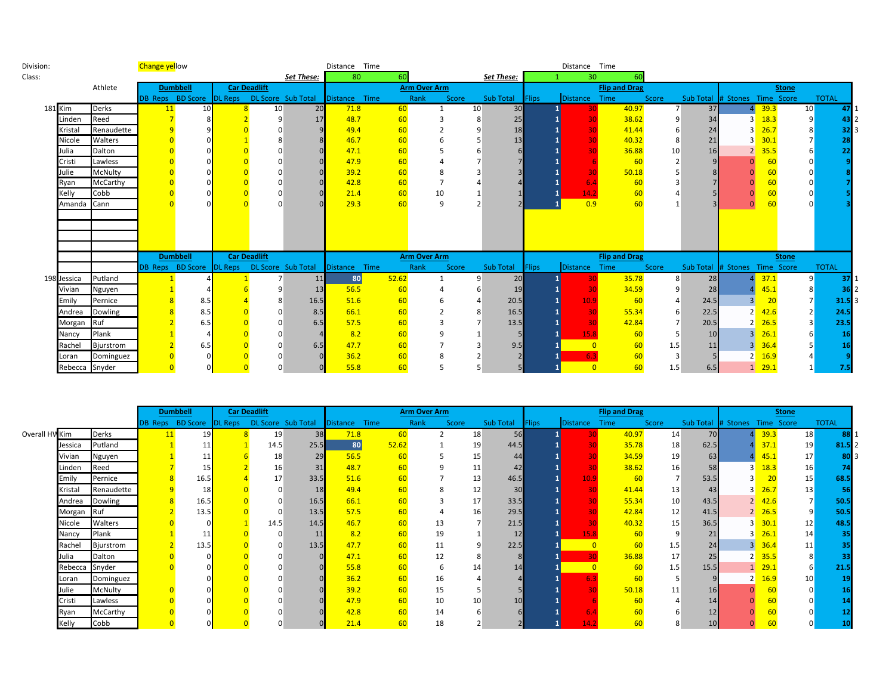| Division: |                |              | <b>Change yellow</b> |                 |                                             |                 |                | Distance Time    |       |                     |                 |                 |              | Distance Time   |                      |                |      |                               |                |                 |              |    |
|-----------|----------------|--------------|----------------------|-----------------|---------------------------------------------|-----------------|----------------|------------------|-------|---------------------|-----------------|-----------------|--------------|-----------------|----------------------|----------------|------|-------------------------------|----------------|-----------------|--------------|----|
| Class:    |                |              |                      |                 |                                             |                 | Set These:     | 80               | 60    |                     |                 | Set These:      |              | 30 <sup>°</sup> |                      |                |      |                               |                |                 |              |    |
|           |                | Athlete      |                      | <b>Dumbbell</b> | <b>Car Deadlift</b>                         |                 |                |                  |       | <b>Arm Over Arm</b> |                 |                 |              |                 | <b>Flip and Drag</b> |                |      |                               |                | <b>Stone</b>    |              |    |
|           |                |              |                      |                 | DB Reps BD Score DL Reps DL Score Sub Total |                 |                | Distance Time    |       | Rank<br>Score       |                 | Sub Total       | <b>Flips</b> | Distance Time   |                      | Score          |      | Sub Total # Stones Time Score |                |                 | <b>TOTAL</b> |    |
|           | <b>181 Kim</b> | <b>Derks</b> |                      | 10 <sup>1</sup> |                                             | 10 <sup>1</sup> | 20             | 71.8             | 60    |                     | 10 <sup>1</sup> | 30 <sup>l</sup> |              |                 | 40.97                | $\overline{7}$ | 37   |                               | 39.3           | 10 <sup>°</sup> |              |    |
|           | Linden         | Reed         |                      |                 |                                             | a               | 17             | 48.7             | 60    |                     | 8               | 25              |              |                 | 38.62                |                | 34   | $\overline{\mathbf{a}}$       | 18.3           |                 |              |    |
|           | Kristal        | Renaudette   |                      |                 |                                             |                 |                | 49.4             | 60    |                     | 9               | 18              |              |                 | 41.44                |                | 24   |                               | 26.7           |                 |              |    |
|           | Nicole         | Walters      |                      |                 |                                             |                 |                | 46.7             | 60    |                     |                 | 13              |              |                 | 40.32                | 8              | 21   |                               | 30.1           |                 |              |    |
|           | Julia          | Dalton       |                      |                 |                                             |                 |                | 47.1             | 60    |                     |                 |                 |              |                 | 36.88                | 10             | 16   | ∍                             | 35.5           |                 |              |    |
|           | Cristi         | Lawless      |                      |                 |                                             |                 |                | 47.9             | 60    |                     |                 |                 |              |                 | 60                   |                |      |                               |                |                 |              |    |
|           | Julie          | McNulty      |                      |                 |                                             |                 |                | 39.2             | 60    |                     |                 |                 |              |                 | 50.18                |                |      |                               |                |                 |              |    |
|           | Ryan           | McCarthy     |                      |                 |                                             |                 |                | 42.8             | 60    |                     |                 |                 |              |                 | 60                   |                |      |                               |                |                 |              |    |
|           | Kelly          | Cobb         |                      |                 |                                             |                 |                | 21.4             | 60    |                     |                 |                 |              |                 |                      |                |      |                               |                |                 |              |    |
|           | Amanda Cann    |              |                      |                 |                                             |                 |                | 29.3             | 60    | 9                   |                 |                 |              | 0.9             | 60                   |                |      |                               |                |                 |              |    |
|           |                |              |                      |                 |                                             |                 |                |                  |       |                     |                 |                 |              |                 |                      |                |      |                               |                |                 |              |    |
|           |                |              |                      |                 |                                             |                 |                |                  |       |                     |                 |                 |              |                 |                      |                |      |                               |                |                 |              |    |
|           |                |              |                      |                 |                                             |                 |                |                  |       |                     |                 |                 |              |                 |                      |                |      |                               |                |                 |              |    |
|           |                |              |                      |                 |                                             |                 |                |                  |       |                     |                 |                 |              |                 |                      |                |      |                               |                |                 |              |    |
|           |                |              |                      | <b>Dumbbell</b> | <b>Car Deadlift</b>                         |                 |                |                  |       | <b>Arm Over Arm</b> |                 |                 |              |                 | <b>Flip and Drag</b> |                |      |                               |                | <b>Stone</b>    |              |    |
|           |                |              |                      |                 | DB Reps BD Score DL Reps DL Score Sub Total |                 |                | Time<br>Distance |       | Score<br>Rank       |                 | Sub Total       | <b>Flips</b> | Distance Time   |                      | Score          |      | Sub Total # Stones Time Score |                |                 | <b>TOTAL</b> |    |
|           | 198 Jessica    | Putland      |                      |                 |                                             |                 | 11             | 80               | 52.62 |                     | 9               | 20              |              |                 | 35.78                | 8              | 28   |                               | 37.1           | 9               |              | 37 |
|           | Vivian         | Nguyen       |                      |                 |                                             |                 | 13             | 56.5             | 60    |                     |                 | 19              |              |                 | 34.59                |                | 28   |                               | 45.1           |                 |              | 36 |
|           | Emily          | Pernice      |                      | 8.5             |                                             | 8               | 16.5           | 51.6             | 60    |                     |                 | 20.5            |              | 10.9            | 60                   |                | 24.5 | З                             | 20             |                 | 31.5         |    |
|           | Andrea         | Dowling      |                      | 8.5             |                                             | $\Omega$        | 8.5            | 66.1             | 60    |                     | 8               | 16.5            |              | 30              | 55.34                |                | 22.5 | $\mathcal{D}$                 | 42.6           |                 | 24.5         |    |
|           | Morgan Ruf     |              |                      | 6.5             |                                             |                 | 6.5            | 57.5             | 60    |                     |                 | 13.5            |              | 30              | 42.84                |                | 20.5 |                               | 26.5           |                 | 23.5         |    |
|           | Nancy          | Plank        |                      |                 |                                             |                 | $\overline{a}$ | 8.2              | 60    |                     |                 |                 |              | 15.8            | 60                   |                | 10   | $\overline{3}$                | 26.1           |                 |              |    |
|           | Rachel         | Bjurstrom    |                      |                 |                                             |                 | 6.5            | 47.7             | 60    |                     |                 | 9.5             |              |                 | 60                   | 1.5            | 11   | 3                             | 36.4           |                 |              |    |
|           | Loran          | Dominguez    |                      |                 |                                             |                 |                | 36.2             | 60    |                     |                 |                 |              |                 |                      | 3              |      | 2 <sup>1</sup>                | 16.9           |                 |              |    |
|           | Rebecca Snyder |              |                      |                 |                                             |                 |                | 55.8             | 60    |                     |                 |                 |              |                 | 60                   | 1.5            | 6.5  |                               | $1 \quad 29.1$ |                 |              |    |

|                |                |            | <b>Dumbbell</b> | <b>Car Deadlift</b>                         |      |               |           | <b>Arm Over Arm</b> |       |                         |              |                        | <b>Flip and Drag</b> |       |                               |                |                     | <b>Stone</b>             |              |
|----------------|----------------|------------|-----------------|---------------------------------------------|------|---------------|-----------|---------------------|-------|-------------------------|--------------|------------------------|----------------------|-------|-------------------------------|----------------|---------------------|--------------------------|--------------|
|                |                |            |                 | DB Reps BD Score DL Reps DL Score Sub Total |      | Distance Time |           | Rank                | Score | Sub Total               | <b>Flips</b> | Distance Time          |                      | Score | Sub Total # Stones Time Score |                |                     |                          | <b>TOTAL</b> |
| Overall HV Kim |                | Derks      | 19              | 19                                          | 38   | 71.8          | 60        |                     |       | 18<br>56                |              |                        | 40.97                | 14    | 70                            |                | 39.3                | 18                       |              |
|                | Jessica        | Putland    | 11              | 14.5                                        | 25.5 | 80            | 52.62     |                     |       | 19<br>44.5              |              |                        | 35.78                | 18    | 62.5                          |                | 37.1                | 19                       | 81.5         |
|                | Vivian         | Nguyen     |                 | 18                                          | 29   | 56.5          | <b>60</b> |                     |       | 15<br>44                |              |                        | 34.59                | 19    | 63                            |                | 45.1                | 17                       |              |
|                | Linden         | Reed       | 15              | 16                                          | 31   | 48.7          | 60        |                     |       | 11<br>42                |              |                        | 38.62                | 16    | 58                            | 3              | 18.3                | 16                       |              |
|                | Emily          | Pernice    | 16.5            | 17                                          | 33.5 | 51.6          | 60        |                     |       | 13<br>46.5              |              | 10.9                   | 60                   |       | 53.5                          |                | 20                  | 15                       | 68.5         |
|                | Kristal        | Renaudette | 18              |                                             | 18   | 49.4          |           |                     |       | 12<br>30                |              |                        | 41.44                | 13    | 43                            |                | 26.7                | 13                       |              |
|                | Andrea Dowling |            | 16.5            |                                             | 16.5 | 66.1          |           |                     |       | 17<br>33.5              |              |                        | 55.34                | 10    | 43.5                          |                | $2 \frac{42.6}{ }$  | $\overline{\phantom{a}}$ | 50.5         |
|                | Morgan Ruf     |            | 13.5            |                                             | 13.5 | 57.5          |           |                     |       | 29.5<br>16 <sub>1</sub> |              |                        | 42.84                | 12    | 41.5                          |                | $2 \overline{26.5}$ |                          | 50.5         |
|                | Nicole         | Walters    |                 | 14.5                                        | 14.5 | 46.7          |           | 13                  |       | 21.5                    |              |                        | 40.32                | 15    | 36.5                          | 3 <sup>1</sup> | 30.1                | 12                       | 48.5         |
|                | Nancy          | Plank      |                 |                                             | 11   | 8.2           | 60        | 19                  |       | 12                      |              | 15.8                   | 60                   | 9     | 21                            |                | 26.1                | 14                       |              |
|                | Rachel         | Bjurstrom  | 13.5            |                                             | 13.5 | 47.7          | 60        |                     |       | 22.5                    |              |                        | 60                   | 1.5   | 24                            |                | 36.4                | 11                       |              |
|                | Julia          | Dalton     |                 |                                             |      | 47.1          | 60        | 12                  |       | 8<br>8 <sup>1</sup>     |              |                        | 36.88                | 17    | 25                            |                | 35.5                |                          |              |
|                | Rebecca Snyder |            |                 |                                             |      | 55.8          | 60        |                     |       | 14<br>14                |              |                        | 60                   | 1.5   | 15.5                          |                | $1 - 29.1$          |                          | 21.5         |
|                | Loran          | Dominguez  |                 |                                             |      | 36.2          |           |                     |       |                         |              |                        | 60                   |       |                               |                | 16.9                | 10                       |              |
|                | Julie          | McNulty    |                 |                                             |      | 39.2          |           | 15                  |       |                         |              |                        | 50.18                | 11    |                               |                |                     |                          |              |
|                | Cristi         | Lawless    |                 |                                             |      | 47.9          |           | 10                  |       | 10<br>10                |              |                        | 60                   |       |                               |                |                     |                          |              |
|                | Ryan           | McCarthy   |                 |                                             |      | 42.8          |           | 14                  |       |                         |              |                        | 60                   |       | 12                            |                |                     |                          |              |
|                | Kelly          | Cobb       |                 |                                             |      | 21.4          |           | 18                  |       |                         |              | $\mathbf{14}^{\prime}$ |                      |       | 10                            |                |                     |                          |              |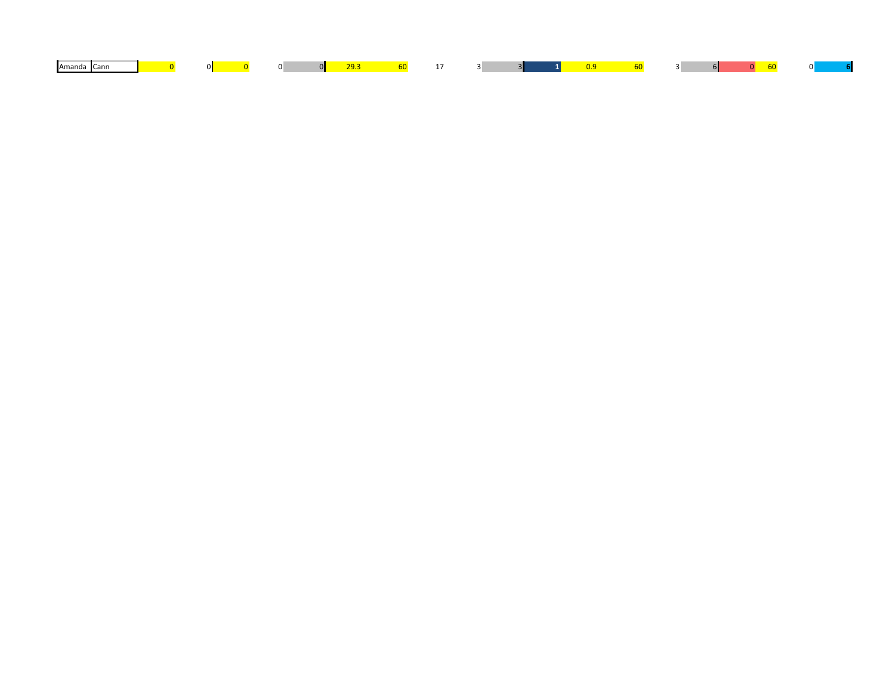| Amanda Cann | $\mathbf{O}$ |  |  |  |  |  |  |  |  | 01 |  |
|-------------|--------------|--|--|--|--|--|--|--|--|----|--|
|             |              |  |  |  |  |  |  |  |  |    |  |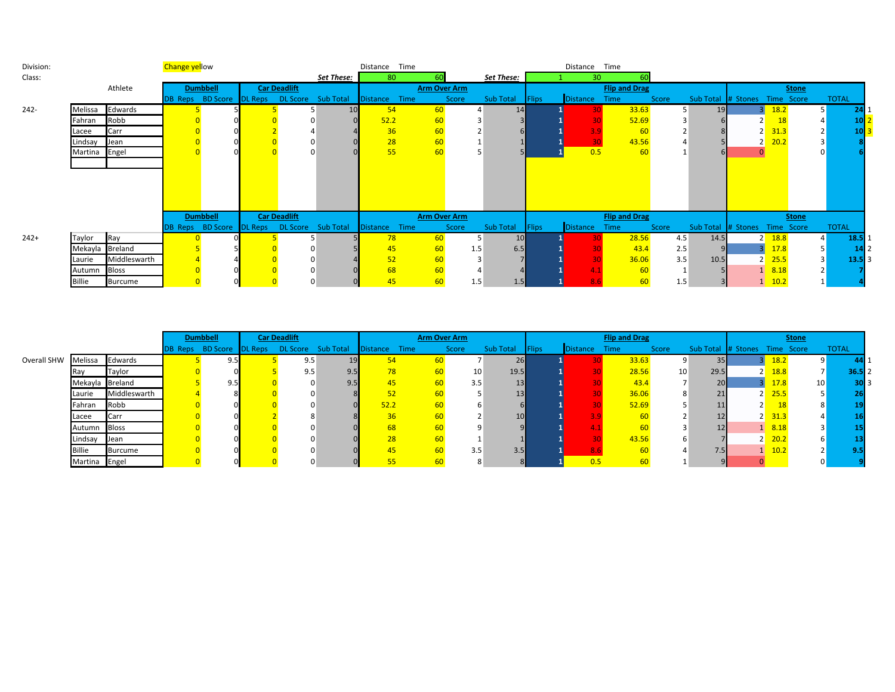| Division: | <b>Change yellow</b> |              |  |                                             |  | Distance Time       |                                                           |          |      |                     |     | Distance Time |              |                 |                      |       |      |                               |                    |              |              |  |
|-----------|----------------------|--------------|--|---------------------------------------------|--|---------------------|-----------------------------------------------------------|----------|------|---------------------|-----|---------------|--------------|-----------------|----------------------|-------|------|-------------------------------|--------------------|--------------|--------------|--|
| Class:    |                      |              |  |                                             |  |                     | Set These:                                                | 80       |      |                     |     | Set These:    |              | 30              |                      |       |      |                               |                    |              |              |  |
|           |                      | Athlete      |  | <b>Dumbbell</b>                             |  | <b>Car Deadlift</b> |                                                           |          |      | <b>Arm Over Arm</b> |     |               |              |                 | <b>Flip and Drag</b> |       |      |                               |                    | <b>Stone</b> |              |  |
|           |                      |              |  |                                             |  |                     | DB Reps BD Score DL Reps DL Score Sub Total Distance Time |          |      | Score               |     | Sub Total     | <b>Flips</b> | Distance        | Time                 | Score |      | Sub Total # Stones Time Score |                    |              | <b>TOTAL</b> |  |
| $242 -$   | Melissa              | Edwards      |  |                                             |  |                     | 10                                                        | 54       |      | 60                  |     | 14            |              |                 | 33.63                |       | 19   |                               | <b>18.2</b>        |              | 51           |  |
|           | Fahran Robb          |              |  |                                             |  |                     |                                                           | 52.2     |      | 60                  |     |               |              |                 | 52.69                |       |      |                               | 18                 |              |              |  |
|           | Lacee                | Carr         |  |                                             |  |                     |                                                           | 36       |      | 60                  |     |               |              |                 | 60                   |       |      |                               | 31.3               |              |              |  |
|           | Lindsay Jean         |              |  |                                             |  |                     |                                                           | 28       |      | 60                  |     |               |              | 30              | 43.56                |       |      |                               | $2 - 20.2$         |              |              |  |
|           | Martina Engel        |              |  |                                             |  |                     |                                                           | 55       |      | 60                  |     |               |              | 0.5             | -60                  |       |      |                               |                    |              |              |  |
|           |                      |              |  |                                             |  |                     |                                                           |          |      |                     |     |               |              |                 |                      |       |      |                               |                    |              |              |  |
|           |                      |              |  |                                             |  |                     |                                                           |          |      |                     |     |               |              |                 |                      |       |      |                               |                    |              |              |  |
|           |                      |              |  |                                             |  |                     |                                                           |          |      |                     |     |               |              |                 |                      |       |      |                               |                    |              |              |  |
|           |                      |              |  |                                             |  |                     |                                                           |          |      |                     |     |               |              |                 |                      |       |      |                               |                    |              |              |  |
|           |                      |              |  |                                             |  |                     |                                                           |          |      |                     |     |               |              |                 |                      |       |      |                               |                    |              |              |  |
|           |                      |              |  | <b>Dumbbell</b>                             |  | <b>Car Deadlift</b> |                                                           |          |      | <b>Arm Over Arm</b> |     |               |              |                 | <b>Flip and Drag</b> |       |      |                               |                    | <b>Stone</b> |              |  |
|           |                      |              |  | DB Reps BD Score DL Reps DL Score Sub Total |  |                     |                                                           | Distance | Time | Score               |     | Sub Total     | <b>Flips</b> | <b>Distance</b> | Time                 | Score |      | Sub Total # Stones Time Score |                    |              | <b>TOTAL</b> |  |
| $242+$    | Taylor               | Ray          |  |                                             |  |                     |                                                           | 78       |      | 60                  |     | 10            |              | 30.             | 28.56                | 4.5   | 14.5 |                               | $2 \frac{18.8}{ }$ |              | 18.5         |  |
|           | Mekayla Breland      |              |  |                                             |  |                     |                                                           | 45       |      | 60                  | 1.5 | 6.5           |              |                 | 43.4                 | 2.5   |      |                               | 17.8               |              |              |  |
|           | Laurie               | Middleswarth |  |                                             |  |                     |                                                           | 52       |      | 60                  |     |               |              |                 | 36.06                | 3.5   | 10.5 |                               | $2 \frac{25.5}{ }$ |              | 13.5         |  |
|           | Autumn Bloss         |              |  |                                             |  |                     |                                                           | 68       |      | 60                  |     |               |              |                 | -60                  |       |      |                               | $1 \quad 8.18$     |              |              |  |
|           | Billie               | Burcume      |  |                                             |  |                     |                                                           | 45       |      | 60                  | 1.5 | 1.5           |              |                 | 60                   | 1.5   |      |                               | $1 \quad 10.2$     |              |              |  |

|             |                 |                | <b>Dumbbell</b><br><b>Car Deadlift</b><br>DB Reps BD Score DL Reps DL Score Sub Total |  |     |                  |                 | <b>Arm Over Arm</b> |           |                 |                 |              | <b>Flip and Drag</b> |       |              |                               |                | <b>Stone</b>        |                 |              |
|-------------|-----------------|----------------|---------------------------------------------------------------------------------------|--|-----|------------------|-----------------|---------------------|-----------|-----------------|-----------------|--------------|----------------------|-------|--------------|-------------------------------|----------------|---------------------|-----------------|--------------|
|             |                 |                |                                                                                       |  |     |                  | Distance        | Time                | Score     |                 | Sub Total       | <b>Flips</b> | <b>Distance</b>      | Time  | <b>Score</b> | Sub Total # Stones Time Score |                |                     |                 | <b>TOTAL</b> |
| Overall SHW | Melissa         | Edwards        | 9.5                                                                                   |  | 9.5 |                  | 54              |                     |           |                 | 26              |              |                      | 33.63 |              | 35                            |                | 18.2                |                 |              |
|             | <b>I</b> Ray    | Taylor         |                                                                                       |  | 9.5 | 9.5              | 78              |                     |           | 10 <sup>1</sup> | 19.5            |              |                      | 28.56 | 10           | 29.5                          |                | $2 \overline{18.8}$ |                 | 36.51        |
|             | Mekayla Breland |                | 9.5                                                                                   |  |     | 9.5 <sub>h</sub> | 45              |                     |           | 3.5             | 13              |              |                      | 43.4  |              | 20 <sub>l</sub>               |                | 17.8                | 10 <sup>1</sup> | 30I          |
|             | Laurie          | Middleswarth   |                                                                                       |  |     |                  | 52              |                     |           |                 | 13 <sub>h</sub> |              |                      | 36.06 |              | 21                            |                | $2 \overline{25.5}$ |                 |              |
|             | Fahran          | Robb           |                                                                                       |  |     |                  | 52.2            |                     | <b>60</b> |                 |                 |              |                      | 52.69 |              |                               | 2 <sub>1</sub> |                     |                 |              |
|             | Lacee           | Carr           |                                                                                       |  |     |                  | 36              |                     |           |                 | 10              |              |                      |       |              |                               |                | $2 \overline{31.3}$ |                 |              |
|             | Autumn          | <b>Bloss</b>   |                                                                                       |  |     |                  | 68              |                     |           |                 |                 |              |                      |       |              |                               |                | 1 8.18              |                 |              |
|             | Lindsay         | Jean           |                                                                                       |  |     |                  | 28              |                     |           |                 |                 |              |                      | 43.56 |              |                               |                | $2 \, 20.2$         |                 |              |
|             | <b>Billie</b>   | <b>Burcume</b> |                                                                                       |  |     |                  | 45 <sub>1</sub> |                     |           | 3.5             | 3.5             |              |                      |       |              | 7.5                           |                | 10.2                |                 |              |
|             | Martina Engel   |                |                                                                                       |  |     |                  |                 |                     |           | $\circ$         |                 |              |                      |       |              |                               |                |                     |                 |              |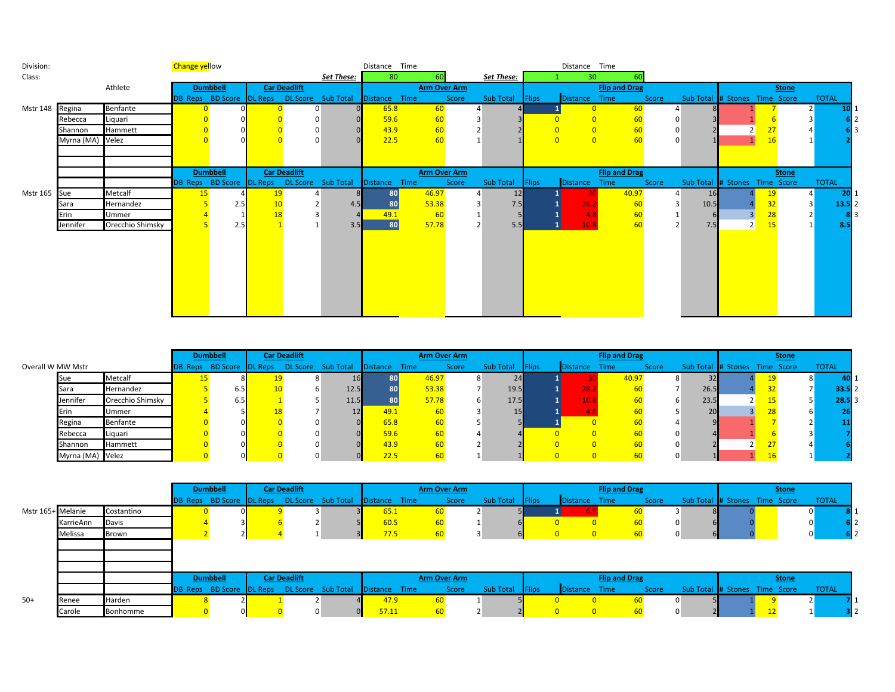| Division:       | <b>Change yellow</b> |                  |    |                 |  |                     | Distance Time                                             |           |                     |       | Distance Time   |                            |                      |                |                               |   |              |              |     |
|-----------------|----------------------|------------------|----|-----------------|--|---------------------|-----------------------------------------------------------|-----------|---------------------|-------|-----------------|----------------------------|----------------------|----------------|-------------------------------|---|--------------|--------------|-----|
| Class:          |                      |                  |    |                 |  |                     | Set These:                                                | 80        | 60                  |       | Set These:      | 30 <sup>°</sup>            |                      |                |                               |   |              |              |     |
|                 |                      | Athlete          |    | <b>Dumbbell</b> |  | <b>Car Deadlift</b> |                                                           |           | <b>Arm Over Arm</b> |       |                 |                            | <b>Flip and Drag</b> |                |                               |   | <b>Stone</b> |              |     |
|                 |                      |                  |    |                 |  |                     | DB Reps BD Score DL Reps DL Score Sub Total Distance Time |           |                     | Score | Sub Total Flips | Distance Time              |                      | Score          | Sub Total # Stones Time Score |   |              | <b>TOTAL</b> |     |
| Mstr 148 Regina |                      | Benfante         |    |                 |  | 0                   |                                                           | 65.8      | 60                  |       |                 | $\Omega$                   | 60                   |                |                               |   |              | <b>10</b>    |     |
|                 | Rebecca              | Liquari          |    |                 |  |                     |                                                           | 59.6      | 60                  |       |                 | $\Omega$                   | 60                   |                |                               |   |              |              | 612 |
|                 | Shannon              | Hammett          |    |                 |  |                     |                                                           | 43.9      | 60                  |       |                 |                            | 60                   | 0              |                               |   | 27           |              |     |
|                 | Myrna (MA) Velez     |                  |    |                 |  | $\Omega$            |                                                           | 22.5      | 60                  |       |                 | $\overline{0}$<br>$\Omega$ | 60                   |                |                               |   | 16           |              |     |
|                 |                      |                  |    |                 |  |                     |                                                           |           |                     |       |                 |                            |                      |                |                               |   |              |              |     |
|                 |                      |                  |    |                 |  |                     |                                                           |           |                     |       |                 |                            |                      |                |                               |   |              |              |     |
|                 |                      |                  |    | <b>Dumbbell</b> |  | <b>Car Deadlift</b> |                                                           |           | <b>Arm Over Arm</b> |       |                 |                            | <b>Flip and Drag</b> |                |                               |   | <b>Stone</b> |              |     |
|                 |                      |                  |    |                 |  |                     | DB Reps BD Score DL Reps DL Score Sub Total Distance Time |           |                     | Score | Sub Total Flips | Distance Time              |                      | Score          | Sub Total # Stones Time Score |   |              | <b>TOTAL</b> |     |
| Mstr 165 Sue    |                      | Metcalf          | 15 |                 |  |                     | 8.                                                        | <b>80</b> | 46.97               |       | 12              |                            | 40.97                | 4              | <b>16</b>                     |   |              | <b>20</b>    |     |
|                 | Sara                 | Hernandez        |    | 2.5             |  |                     | 4.5                                                       | 80        | 53.38               |       | 7.5             | 28.2                       | 60                   | 3              | 10.5                          |   | 32           | $13.5$ 2     |     |
|                 | Erin                 | Ummer            |    |                 |  |                     |                                                           | 49.1      | $-60$               |       |                 | 4.8                        | 60                   |                |                               |   | 28           |              | 813 |
|                 | Jennifer             | Orecchio Shimsky |    | 2.5             |  |                     | 3.5                                                       | 80        | 57.78               |       | 5.5             | 10.8                       | 60                   | $\overline{2}$ | 7.5                           | 2 | 15           | 8.5          |     |
|                 |                      |                  |    |                 |  |                     |                                                           |           |                     |       |                 |                            |                      |                |                               |   |              |              |     |
|                 |                      |                  |    |                 |  |                     |                                                           |           |                     |       |                 |                            |                      |                |                               |   |              |              |     |
|                 |                      |                  |    |                 |  |                     |                                                           |           |                     |       |                 |                            |                      |                |                               |   |              |              |     |
|                 |                      |                  |    |                 |  |                     |                                                           |           |                     |       |                 |                            |                      |                |                               |   |              |              |     |
|                 |                      |                  |    |                 |  |                     |                                                           |           |                     |       |                 |                            |                      |                |                               |   |              |              |     |
|                 |                      |                  |    |                 |  |                     |                                                           |           |                     |       |                 |                            |                      |                |                               |   |              |              |     |
|                 |                      |                  |    |                 |  |                     |                                                           |           |                     |       |                 |                            |                      |                |                               |   |              |              |     |
|                 |                      |                  |    |                 |  |                     |                                                           |           |                     |       |                 |                            |                      |                |                               |   |              |              |     |

|                   |                  |                  |  | <b>Dumbbell</b> | <b>Car Deadlift</b> |                                                           |      |       | <b>Arm Over Arm</b> |                 |                 | <b>Flip and Drag</b> |       |      |                               | <b>Stone</b> |              |
|-------------------|------------------|------------------|--|-----------------|---------------------|-----------------------------------------------------------|------|-------|---------------------|-----------------|-----------------|----------------------|-------|------|-------------------------------|--------------|--------------|
| Overall W MW Mstr |                  |                  |  |                 |                     | DB Reps BD Score DL Reps DL Score Sub Total Distance Time |      |       | Score               | Sub Total Flips | <b>Distance</b> | Time                 | Score |      | Sub Total # Stones Time Score |              | <b>TOTAL</b> |
|                   | <b>Sue</b>       | Metcalf          |  |                 | $\circ$             | 16V                                                       |      | 46.97 |                     | 24              |                 | 40.97                |       |      |                               |              | 40 I         |
|                   | Sara             | Hernandez        |  |                 |                     | 12.5                                                      |      | 53.38 |                     | 19.5            | 28.             |                      |       | 26.5 |                               |              | 33.512       |
|                   | Jennifer         | Orecchio Shimsky |  |                 |                     | 11.5                                                      |      | 57.78 |                     | 17.5            |                 |                      |       | 23.5 |                               |              | $28.5$ 3     |
|                   | Erin             | Ummer            |  |                 |                     |                                                           | 49.1 |       |                     | 15              |                 |                      |       |      |                               |              |              |
|                   | Regina           | <b>Benfante</b>  |  |                 |                     |                                                           | 65.8 |       |                     |                 |                 |                      |       |      |                               |              |              |
|                   | Rebecca          | Liquari          |  |                 |                     |                                                           | 59.6 |       |                     |                 |                 |                      |       |      |                               |              |              |
|                   | Shannon          | Hammett          |  |                 |                     |                                                           | 43.9 |       |                     |                 |                 |                      |       |      |                               |              |              |
|                   | Myrna (MA) Velez |                  |  |                 |                     |                                                           | 22.5 |       |                     |                 |                 |                      |       |      |                               |              |              |

|                   |           |            | <b>Dumbbell</b> | <b>Car Deadlift</b> |                                                           |       | Arm Over Arm |                 |                |               | <b>Flip and Drag</b> |       |                               | <b>Stone</b>   |                |     |
|-------------------|-----------|------------|-----------------|---------------------|-----------------------------------------------------------|-------|--------------|-----------------|----------------|---------------|----------------------|-------|-------------------------------|----------------|----------------|-----|
|                   |           |            |                 |                     | DB Reps BD Score DL Reps DL Score Sub Total Distance Time |       | Score        | Sub Total Flips |                | Distance Time |                      | Score | Sub Total # Stones Time Score |                | <b>TOTAL</b>   |     |
| Mstr 165+ Melanie |           | Costantino |                 |                     |                                                           | 65.1  |              |                 |                |               |                      |       |                               |                |                |     |
|                   | KarrieAnn | Davis      |                 |                     |                                                           | 60.5  |              |                 |                |               |                      |       |                               |                |                | 612 |
|                   | Melissa   | Brown      |                 |                     |                                                           | 77.5  |              |                 |                |               |                      |       |                               |                | $\overline{0}$ | 612 |
|                   |           |            |                 |                     |                                                           |       |              |                 |                |               |                      |       |                               |                |                |     |
|                   |           |            |                 |                     |                                                           |       |              |                 |                |               |                      |       |                               |                |                |     |
|                   |           |            |                 |                     |                                                           |       |              |                 |                |               |                      |       |                               |                |                |     |
|                   |           |            | <b>Dumbbell</b> | <b>Car Deadlift</b> |                                                           |       | Arm Over Arm |                 |                |               | <b>Flip and Drag</b> |       |                               | <b>Stone</b>   |                |     |
|                   |           |            |                 |                     | DB Reps BD Score DL Reps DL Score Sub Total Distance Time |       | Score        | Sub Total       | <b>I</b> Flips | Distance Time |                      | Score | Sub Total # Stones Time Score |                | <b>TOTAL</b>   |     |
| $50+$             | Renee     | Harden     |                 |                     |                                                           | 47.9  |              |                 |                |               |                      |       |                               |                |                |     |
|                   | Carole    | Bonhomme   |                 |                     |                                                           | 57.11 |              |                 |                | 0             |                      |       |                               | $\overline{A}$ |                |     |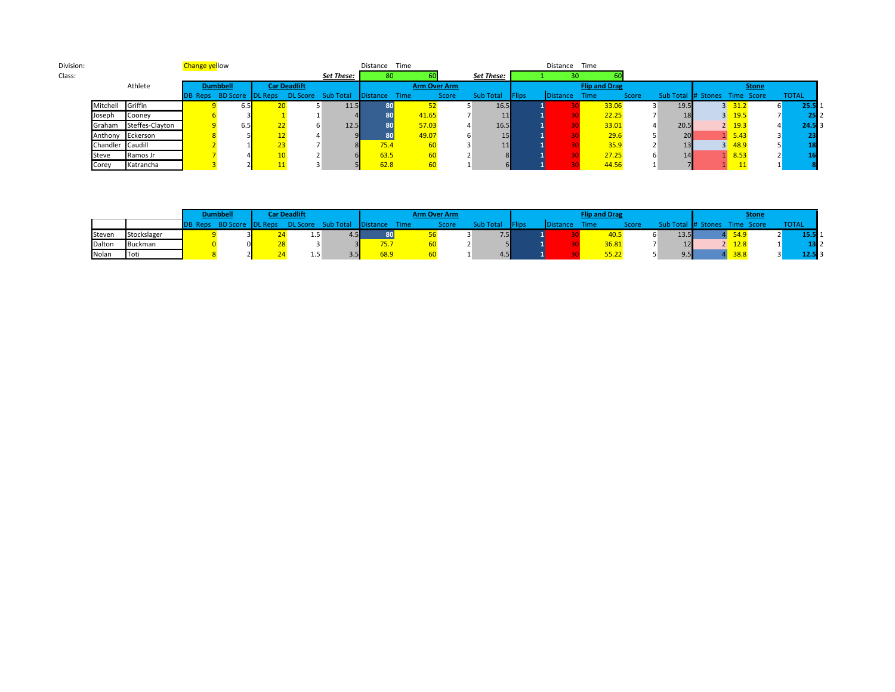| Division: |          |                 | <b>Change yellow</b> |                 |  |                     |                                                           | Distance | Time  |              |                   |               | Distance Time   |                      |       |      |                               |                     |              |
|-----------|----------|-----------------|----------------------|-----------------|--|---------------------|-----------------------------------------------------------|----------|-------|--------------|-------------------|---------------|-----------------|----------------------|-------|------|-------------------------------|---------------------|--------------|
| Class:    |          |                 |                      |                 |  |                     | Set These:                                                | 80       |       |              | <b>Set These:</b> |               |                 |                      |       |      |                               |                     |              |
|           |          | Athlete         |                      | <b>Dumbbell</b> |  | <b>Car Deadlift</b> |                                                           |          |       | Arm Over Arm |                   |               |                 | <b>Flip and Drag</b> |       |      |                               | <b>Stone</b>        |              |
|           |          |                 |                      |                 |  |                     | DB Reps BD Score DL Reps DL Score Sub Total Distance Time |          |       | Score        | Sub Total         | <b>IFlips</b> | <b>Distance</b> | Time                 | Score |      | Sub Total # Stones Time Score |                     | <b>TOTAL</b> |
|           | Mitchell | Griffin         |                      | 6.5             |  |                     | 11.5                                                      |          |       |              | 16.5              |               |                 | 33.06                |       | 19.5 |                               | $3 \overline{31.2}$ | 25.5         |
|           | Joseph   | Cooney          |                      |                 |  |                     |                                                           |          | 41.65 |              | 11                |               |                 | 22.25                |       |      |                               | $3 \quad 19.5$      |              |
|           | Graham   | Steffes-Clayton |                      | 6.5             |  |                     | 12.5                                                      | 80       | 57.03 |              | 16.5              |               |                 | 33.01                |       | 20.5 |                               | $2 \quad 19.3$      | 24.5 B       |
|           | Anthony  | Eckerson        |                      |                 |  |                     |                                                           |          | 49.07 |              | 15                |               |                 | 29.6                 |       | 20   |                               | $\sqrt{5.43}$       |              |
|           | Chandler | Caudill         |                      |                 |  |                     |                                                           | 75.4     | 60    |              | 11                |               |                 | 35.9                 |       |      |                               | $3 - 48.9$          |              |
|           | Steve    | Ramos Jr        |                      |                 |  |                     |                                                           | 63.5     | 60    |              |                   |               |                 | 27.25                |       |      |                               | 1 8.53              |              |
|           | Corey    | Katrancha       |                      |                 |  |                     |                                                           | 62.8     | 60    |              |                   |               |                 | 44.56                |       |      |                               |                     |              |

|        |             | <b>Dumbbell</b> | Car Deadlift |                                                      |      |      | <b>Arm Over Arm</b> |                  |               |                 | <b>Flip and Drag</b> |       |      |                    |            | <b>Stone</b> |              |
|--------|-------------|-----------------|--------------|------------------------------------------------------|------|------|---------------------|------------------|---------------|-----------------|----------------------|-------|------|--------------------|------------|--------------|--------------|
|        |             |                 |              | DB Reps BD Score DL Reps DL Score Sub Total Distance |      | Time | Score               | <b>Sub Total</b> | <b>NFlips</b> | <b>Distance</b> | Time                 |       |      | Sub Total # Stones | Time Score |              | <b>TOTAL</b> |
| Steven | Stockslager |                 |              | 4.5 <sub>1</sub>                                     | 80   |      |                     | 7.5              |               |                 |                      |       | 13.5 |                    | 54.9       |              | 15.51        |
| Dalton | Buckman     |                 |              |                                                      | 75.7 |      |                     |                  |               |                 |                      |       |      |                    | 12.8       |              |              |
| Nolan  | Toti        |                 |              |                                                      | 68.9 |      |                     | 4.5              |               |                 |                      | 55.22 |      |                    | 38.8       |              | 12.51        |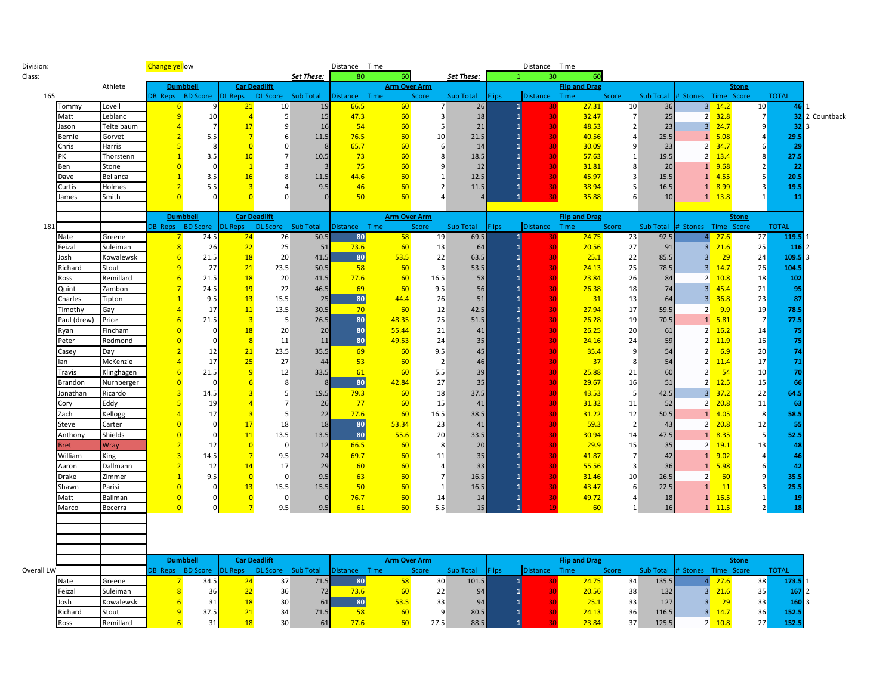| Division:  |             |                   | <b>Change yellow</b>             |                                 |                                  |                               |                | Distance Time       |                     |                |                    |        | Distance Time            |                              |                |                    |                                        |                                       |                     |              |                |
|------------|-------------|-------------------|----------------------------------|---------------------------------|----------------------------------|-------------------------------|----------------|---------------------|---------------------|----------------|--------------------|--------|--------------------------|------------------------------|----------------|--------------------|----------------------------------------|---------------------------------------|---------------------|--------------|----------------|
| Class:     |             |                   |                                  |                                 |                                  |                               | Set These:     | 80                  | 60                  |                | <b>Set These:</b>  |        | 30                       | 60                           |                |                    |                                        |                                       |                     |              |                |
|            |             | Athlete           |                                  | <b>Dumbbell</b>                 | <b>Car Deadlift</b>              |                               |                |                     | <b>Arm Over Arm</b> |                |                    |        |                          | <b>Flip and Drag</b>         |                |                    |                                        |                                       | <b>Stone</b>        |              |                |
| 165        |             |                   |                                  | DB Reps BD Score                | <b>DL Reps</b>                   | DL Score Sub Total            |                | Distance Time       |                     | Score          | Sub Total          | Flips: | Distance Time            |                              | Score          | Sub Total          | # Stones Time Score                    |                                       |                     | <b>TOTAL</b> |                |
|            | Tommy       | Lovell            | -6                               |                                 | 21                               | 10                            | 19             | 66.5                | 60                  |                | 26                 |        | $\mathbf{1}$<br>30       | 27.31                        | 10             | 36                 |                                        | $3 - 14.2$                            | 10 <sub>2</sub>     | 46           |                |
|            | Matt        | Leblanc           | 9                                | 10                              | $\overline{4}$                   | 5                             | 15             | 47.3                | 60                  | 3              | 18                 |        | $\mathbf{1}$<br>30       | 32.47                        | $\overline{7}$ | 25                 |                                        | $2 \frac{32.8}{ }$                    | 7                   |              | 32 2 Countback |
|            | lason       | Teitelbaum        | $\overline{A}$<br>$\overline{2}$ |                                 | 17                               | 9                             | 16             | 54                  | 60                  | 5              | 21                 |        | 30<br>$\mathbf{1}$       | 48.53                        | $\overline{2}$ | 23                 |                                        | $3 - 24.7$                            | q                   | 32           |                |
|            | Bernie      | Gorvet            |                                  | 5.5<br>$\mathbf{R}$             | $\overline{7}$                   | 6                             | 11.5           | 76.5                | 60                  | 10             | 21.5               |        | 30<br>$\mathbf{1}$       | 40.56                        | $\overline{4}$ | 25.5               |                                        | $1\quad 5.08$                         | 6                   | 29.5         |                |
|            | Chris       | Harris            | 5<br>$\overline{1}$              |                                 | $\overline{0}$                   | $\mathbf 0$<br>$\overline{7}$ | $\mathbf{R}$   | 65.7                | 60                  | 6              | 14                 |        | 30                       | 30.09                        | 9              | 23                 |                                        | $2 \frac{34.7}{ }$                    |                     | 29           |                |
|            | PK          | Thorstenn         | $\Omega$                         | 3.5                             | 10<br>$\overline{1}$             | 3                             | 10.5           | 73<br>75            | 60<br>60            | 8<br>9         | 18.5<br>12         |        | 30<br>$\mathbf{1}$<br>30 | 57.63                        | 1<br>8         | 19.5               |                                        | $2 \overline{13.4}$<br>$1 \quad 9.68$ | 8<br>$\overline{2}$ | 27.5<br>22   |                |
|            | Ben<br>Dave | Stone<br>Bellanca | $\mathbf{1}$                     | 3.5                             | 16                               | 8                             | 11.5           | 44.6                | 60                  | 1              | 12.5               |        | $\mathbf{1}$<br>30       | 31.81<br>45.97               | 3              | 20<br>15.5         |                                        | $1 \quad 4.55$                        |                     | 20.5         |                |
|            | Curtis      | Holmes            | $\overline{2}$                   | 5.5                             | $\overline{\mathbf{3}}$          | 4                             | 9.5            | 46                  | 60                  | $\overline{2}$ | 11.5               |        | 30<br>$\mathbf{1}$       | 38.94                        | 5              | 16.5               |                                        | $1 \quad 8.99$                        | $\mathbf{a}$        | 19.5         |                |
|            | lames       | Smith             | $\overline{0}$                   |                                 | $\overline{0}$                   | $\Omega$                      |                | 50                  | 60                  | $\overline{4}$ |                    |        | $\mathbf{1}$<br>30       | 35.88                        | 6              | 10                 |                                        | $1 \quad 13.8$                        |                     | 11           |                |
|            |             |                   |                                  |                                 |                                  |                               |                |                     |                     |                |                    |        |                          |                              |                |                    |                                        |                                       |                     |              |                |
|            |             |                   |                                  | <b>Dumbbell</b>                 | <b>Car Deadlift</b>              |                               |                |                     | <b>Arm Over Arm</b> |                |                    |        |                          | <b>Flip and Drag</b>         |                |                    |                                        |                                       | <b>Stone</b>        |              |                |
| 181        |             |                   | DB Reps                          | <b>BD</b> Score                 | <b>DL Reps</b>                   | DL Score Sub Total            |                | Distance Time       |                     | <b>Score</b>   | <b>Sub Total</b>   | Flips  | <b>Distance</b>          | Time                         | Score          | <b>Sub Total</b>   | # Stones                               | Time Score                            |                     | <b>TOTAL</b> |                |
|            | Nate        | Greene            |                                  | 24.5                            | 24                               | 26                            | 50.5           | 80                  | 58                  | 19             | 69.5               |        |                          | 24.75                        | 23             | 92.5               |                                        | 27.6                                  | 27                  | 119.5        |                |
|            | Feizal      | Suleiman          | 8                                | 26                              | 22                               | 25                            | 51             | 73.6                | 60                  | 13             | 64                 |        | $\mathbf{1}$<br>30       | 20.56                        | 27             | 91                 | 3 <sup>1</sup>                         | 21.6                                  | 25                  | 116          |                |
|            | Josh        | Kowalewski        | 6                                | 21.5                            | <b>18</b>                        | 20                            | 41.5           | 80                  | 53.5                | 22             | 63.5               |        | $\mathbf{1}$<br>30       | 25.1                         | 22             | 85.5               | 3 <sup>l</sup>                         | 29                                    | 24                  | 109.5        |                |
|            | Richard     | Stout             | 9                                | 27                              | 21                               | 23.5                          | 50.5           | 58                  | 60                  | 3              | 53.5               |        | $\mathbf{1}$<br>30       | 24.13                        | 25             | 78.5               | 3 <sup>l</sup>                         | 14.7                                  | 26                  | 104.5        |                |
|            | Ross        | Remillard         | 6                                | 21.5                            | 18                               | 20                            | 41.5           | 77.6                | 60                  | 16.5           | 58                 |        | 30                       | 23.84                        | 26             | 84                 | 2                                      | 10.8                                  | 18                  | 102          |                |
|            | Quint       | Zambon            | $\overline{7}$                   | 24.5                            | 19                               | 22                            | 46.5           | 69                  | 60                  | 9.5            | 56                 |        | $\mathbf{1}$<br>30       | 26.38                        | 18             | 74                 | 3 <sup>l</sup>                         | 45.4                                  | 21                  | 95           |                |
|            | Charles     | Tipton            |                                  | 9.5                             | 13                               | 15.5                          | 25             | 80                  | 44.4                | 26             | 51                 |        | $\mathbf{1}$<br>30       | 31                           | 13             | 64                 | 3 <sup>l</sup>                         | 36.8                                  | 23                  | 87           |                |
|            | Timothy     | Gay               | $\overline{4}$                   | 17                              | 11                               | 13.5                          | 30.5           | 70                  | 60                  | 12             | 42.5               |        | 30<br>$\mathbf{1}$       | 27.94                        | 17             | 59.5               | 2                                      | 9.9                                   | 19                  | 78.5         |                |
|            | Paul (drew) | Price             | 6                                | 21.5                            | $\overline{\mathbf{3}}$          | 5                             | 26.5           | 80                  | 48.35               | 25             | 51.5               |        | $\mathbf{1}$<br>30       | 26.28                        | 19             | 70.5               | $\ddot{\textbf{v}}$                    | 5.81                                  | $\overline{7}$      | 77.5         |                |
|            | Ryan        | Fincham           | $\Omega$                         |                                 | 18                               | 20                            | 20             | 80                  | 55.44               | 21             | 41                 |        | $\mathbf{1}$<br>30       | 26.25                        | 20             | 61                 | 2                                      | 16.2                                  | 14                  | 75           |                |
|            | Peter       | Redmond           | $\Omega$                         |                                 | $\overline{\mathbf{8}}$          | 11                            | 11             | 80                  | 49.53               | 24             | 35                 |        | $\mathbf{1}$<br>30       | 24.16                        | 24             | 59                 | 2                                      | 11.9                                  | 16                  | 75           |                |
|            | Casey       | Day               | $\overline{2}$                   | 12                              | 21                               | 23.5                          | 35.5           | 69                  | 60                  | 9.5            | 45                 |        | $\mathbf{1}$<br>30       | 35.4                         | 9              | 54                 | $\overline{2}$                         | 6.9                                   | 20                  | 74           |                |
|            | lan         | McKenzie          | $\overline{4}$                   | 17                              | 25                               | 27                            | 44             | 53                  | 60                  | $\overline{2}$ | 46                 |        | 30                       | 37                           | 8              | 54                 | 2                                      | 11.4                                  | 17                  | 71           |                |
|            | Travis      | Klinghagen        | $6\overline{6}$                  | 21.5                            | 9                                | 12                            | 33.5           | 61                  | 60                  | 5.5            | 39                 |        | $\mathbf{1}$<br>30       | 25.88                        | 21             | 60                 | $\overline{2}$                         | 54                                    | 10                  | 70           |                |
|            | Brandon     | Nurnberger        | $\overline{0}$                   |                                 | $6\overline{6}$                  | 8                             |                | 80                  | 42.84               | 27             | 35                 |        | $\mathbf{1}$<br>30       | 29.67                        | 16             | 51                 | 2                                      | 12.5                                  | 15                  | 66           |                |
|            | Jonathan    | Ricardo           | $\overline{\mathbf{3}}$          | 14.5                            | $\overline{\mathbf{3}}$          | 5 <sup>1</sup>                | 19.5           | 79.3                | 60                  | 18             | 37.5               |        | 30<br>$\mathbf{1}$       | 43.53                        | 5              | 42.5               | 3 <sup>l</sup>                         | 37.2                                  | 22                  | 64.5         |                |
|            | Cory        | Eddy              | 5                                | 19                              | $\overline{4}$                   | $\overline{7}$                | 26             | 77                  | 60                  | 15             | 41                 |        | $\mathbf{1}$<br>30       | 31.32                        | 11             | 52                 |                                        | $2 \frac{20.8}{ }$                    | 11                  | 63           |                |
|            | Zach        | Kellogg           | $\overline{A}$                   | 17                              | $\overline{\mathbf{3}}$          | 5                             | 22             | 77.6                | 60                  | 16.5           | 38.5               |        | $\mathbf{1}$<br>30       | 31.22                        | 12             | 50.5               |                                        | $1 - 4.05$                            | 8                   | 58.5         |                |
|            | Steve       | Carter            | $\overline{0}$                   |                                 | 17                               | 18                            | 18             | 80                  | 53.34               | 23             | 41                 |        | $\mathbf{1}$<br>30       | 59.3                         | $\overline{2}$ | 43                 |                                        | $2 \overline{20.8}$                   | 12                  | 55           |                |
|            | Anthony     | Shields           | $\overline{0}$                   |                                 | 11                               | 13.5                          | 13.5           | 80                  | 55.6                | 20             | 33.5               |        | $\mathbf{1}$<br>30       | 30.94                        | 14             | 47.5               |                                        | $1 \quad 8.35$                        | 5                   | 52.5         |                |
|            | <b>Bret</b> | Wray              |                                  | 12                              | $\overline{0}$                   | $\Omega$                      | 12             | 66.5                | 60                  | 8              | 20                 |        | 30                       | 29.9                         | 15             | 35                 |                                        | $2 \frac{19.1}{ }$                    | 13                  | 48           |                |
|            | William     | King              | $\overline{3}$                   | 14.5                            | $\overline{7}$                   | 9.5                           | 24             | 69.7                | 60                  | 11             | 35                 |        | $\mathbf{1}$<br>30       | 41.87                        | $\overline{7}$ | 42                 |                                        | $1 \quad 9.02$                        | $\overline{4}$      | 46           |                |
|            | Aaron       | Dallmann          | $\overline{2}$                   | 12                              | 14                               | 17                            | 29             | 60                  | 60                  | $\overline{4}$ | 33                 |        | 30                       | 55.56                        | $\overline{3}$ | 36                 | 1                                      | 5.98                                  | 6                   | 42           |                |
|            | Drake       | Zimmer            | $\overline{1}$                   | 9.5                             | $\overline{\mathbf{0}}$          | 0                             | 9.5            | 63                  | 60                  | $\overline{7}$ | 16.5               |        | $\mathbf{1}$<br>30       | 31.46                        | 10             | 26.5               | $\overline{2}$                         | 60                                    | -9                  | 35.5         |                |
|            | Shawn       | Parisi            | $\overline{0}$                   |                                 | 13                               | 15.5                          | 15.5           | 50                  | 60                  | $\mathbf{1}$   | 16.5               |        | $\mathbf{1}$<br>30       | 43.47                        | 6              | 22.5               | $\overline{1}$                         | 11                                    | $\overline{3}$      | 25.5         |                |
|            | Matt        | Ballman           | $\overline{0}$                   |                                 | $\overline{0}$                   | $\Omega$                      | $\overline{0}$ | 76.7                | 60                  | 14             | 14                 |        | $\mathbf{1}$<br>30       | 49.72                        | $\overline{a}$ | 18                 |                                        | $1 \quad 16.5$                        |                     | 19           |                |
|            | Marco       | Becerra           | $\overline{0}$                   |                                 | $\overline{7}$                   | 9.5                           | 9.5            | 61                  | 60                  | 5.5            | 15                 |        | $\mathbf{1}$<br>19       | 60                           | $\mathbf{1}$   | 16                 |                                        | $1 - 11.5$                            |                     | 18           |                |
|            |             |                   |                                  |                                 |                                  |                               |                |                     |                     |                |                    |        |                          |                              |                |                    |                                        |                                       |                     |              |                |
|            |             |                   |                                  |                                 |                                  |                               |                |                     |                     |                |                    |        |                          |                              |                |                    |                                        |                                       |                     |              |                |
|            |             |                   |                                  |                                 |                                  |                               |                |                     |                     |                |                    |        |                          |                              |                |                    |                                        |                                       |                     |              |                |
|            |             |                   |                                  |                                 |                                  |                               |                |                     |                     |                |                    |        |                          |                              |                |                    |                                        |                                       |                     |              |                |
|            |             |                   |                                  | <b>Dumbbell</b>                 | <b>Car Deadlift</b>              |                               |                |                     | <b>Arm Over Arm</b> |                |                    |        | <b>Distance</b>          | <b>Flip and Drag</b><br>Time |                |                    |                                        |                                       | <b>Stone</b>        | <b>TOTAL</b> |                |
| Overall LW | Nate        | Greene            | 7                                | <b>DB Reps BD Score</b><br>34.5 | DL Reps DL Score Sub Total<br>24 | 37                            | 71.5           | Distance Time<br>80 | 58                  | Score<br>30    | Sub Total<br>101.5 | iips:  | 1                        | 24.75                        | Score<br>34    | Sub Total<br>135.5 | # Stones Time Score<br>$\vert 4 \vert$ | 27.6                                  | 38                  | 173.5        |                |
|            | Feizal      | Suleiman          | $\overline{8}$                   | 36                              | 22                               | 36                            | 72             | 73.6                | 60                  | 22             | 94                 |        | $\mathbf{1}$<br>30       | 20.56                        | 38             | 132                | 3 <sup>l</sup>                         | 21.6                                  | 35                  | 167          |                |
|            | losh        | Kowalewski        | 6                                | 31                              | 18                               | 30                            | 61             | 80                  | 53.5                | 33             | 94                 |        | $\mathbf{1}$<br>30       | 25.1                         | 33             | 127                | $\overline{\mathbf{3}}$                | 29                                    | 33                  | 160          |                |
|            | Richard     | Stout             | 9                                | 37.5                            | 21                               | 34                            | 71.5           | 58                  | 60                  | 9              | 80.5               |        | $\mathbf{1}$<br>30       | 24.13                        | 36             | 116.5              | 3 <sup>1</sup>                         | 14.7                                  | 36                  | 152.5        |                |
|            | Ross        | Remillard         | 6                                | 31                              | 18                               | 30                            | 61             | 77.6                | 60                  | 27.5           | 88.5               |        | $\mathbf{1}$<br>30       | 23.84                        | 37             | 125.5              |                                        | $2 - 10.8$                            | 27                  | 152.5        |                |
|            |             |                   |                                  |                                 |                                  |                               |                |                     |                     |                |                    |        |                          |                              |                |                    |                                        |                                       |                     |              |                |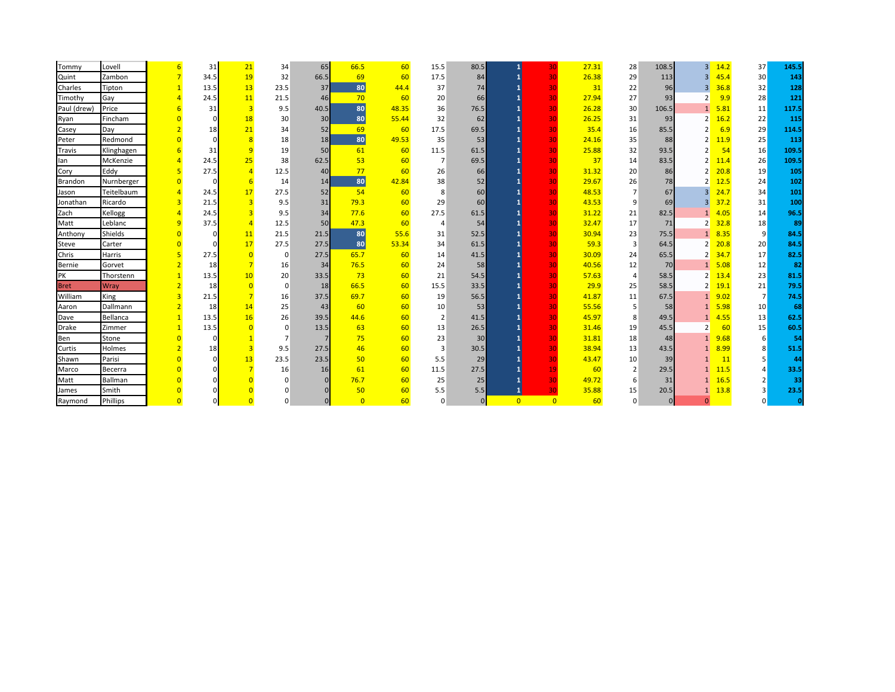| Tommy          | Lovell          |                | 31   | 21             | 34             | 65   | 66.5           | 60    | 15.5           | 80.5         | 1              | 30              | 27.31 | 28             | 108.5    | 3 <sup>1</sup> | 14.2 | 37              | 145.5 |
|----------------|-----------------|----------------|------|----------------|----------------|------|----------------|-------|----------------|--------------|----------------|-----------------|-------|----------------|----------|----------------|------|-----------------|-------|
| Quint          | Zambon          |                | 34.5 | 19             | 32             | 66.5 | 69             | 60    | 17.5           | 84           |                | 30              | 26.38 | 29             | 113      | 3              | 45.4 | 30 <sup>°</sup> | 143   |
| Charles        | Tipton          |                | 13.5 | 13             | 23.5           | 37   | 80             | 44.4  | 37             | 74           |                | 30 <sup>1</sup> | 31    | 22             | 96       | $\overline{3}$ | 36.8 | 32              | 128   |
| Timothy        | Gay             |                | 24.5 | 11             | 21.5           | 46   | 70             | 60    | 20             | 66           |                | 30 <sup>1</sup> | 27.94 | 27             | 93       | $\overline{2}$ | 9.9  | 28              | 121   |
| Paul (drew)    | Price           |                | 31   | $\overline{3}$ | 9.5            | 40.5 | 80             | 48.35 | 36             | 76.5         |                | 30 <sup>1</sup> | 26.28 | 30             | 106.5    |                | 5.81 | 11              | 117.5 |
| Ryan           | Fincham         |                |      | 18             | 30             | 30   | 80             | 55.44 | 32             | 62           |                | 30              | 26.25 | 31             | 93       | $\overline{2}$ | 16.2 | 22              | 115   |
| Casey          | Day             |                | 18   | 21             | 34             | 52   | 69             | 60    | 17.5           | 69.5         |                | 30 <sup>1</sup> | 35.4  | 16             | 85.5     | $\overline{2}$ | 6.9  | 29              | 114.5 |
| Peter          | Redmond         |                |      | $\overline{8}$ | 18             | 18   | 80             | 49.53 | 35             | 53           |                | 30 <sup>1</sup> | 24.16 | 35             | 88       |                | 11.9 | 25              | 113   |
| Travis         | Klinghagen      |                | 31   | $\overline{q}$ | 19             | 50   | 61             | 60    | 11.5           | 61.5         |                | 30              | 25.88 | 32             | 93.5     |                | 54   | 16              | 109.5 |
| lan            | McKenzie        |                | 24.5 | 25             | 38             | 62.5 | 53             | 60    | $\overline{7}$ | 69.5         |                | 30              | 37    | 14             | 83.5     |                | 11.4 | 26              | 109.5 |
| Cory           | Eddy            | 5              | 27.5 | $\overline{A}$ | 12.5           | 40   | 77             | 60    | 26             | 66           |                | 30 <sup>1</sup> | 31.32 | 20             | 86       |                | 20.8 | 19              | 105   |
| <b>Brandon</b> | Nurnberger      |                |      | 6              | 14             | 14   | 80             | 42.84 | 38             | 52           |                | 30 <sup>1</sup> | 29.67 | 26             | 78       |                | 12.5 | 24              | 102   |
| Jason          | Teitelbaum      |                | 24.5 | 17             | 27.5           | 52   | 54             | 60    | 8              | 60           |                | 30              | 48.53 | 7              | 67       | 3              | 24.7 | 34              | 101   |
| Jonathan       | Ricardo         | 3              | 21.5 |                | 9.5            | 31   | 79.3           | 60    | 29             | 60           |                | 30 <sup>1</sup> | 43.53 | 9              | 69       | 3              | 37.2 | 31              | 100   |
| Zach           | Kellogg         | $\overline{4}$ | 24.5 |                | 9.5            | 34   | 77.6           | 60    | 27.5           | 61.5         |                | 30 <sup>1</sup> | 31.22 | 21             | 82.5     |                | 4.05 | 14              | 96.5  |
| Matt           | Leblanc         | $\overline{9}$ | 37.5 | $\overline{A}$ | 12.5           | 50   | 47.3           | 60    | 4              | 54           |                | 30 <sup>1</sup> | 32.47 | 17             | 71       |                | 32.8 | 18              | 89    |
| Anthony        | Shields         |                |      | 11             | 21.5           | 21.5 | 80             | 55.6  | 31             | 52.5         |                | 30              | 30.94 | 23             | 75.5     |                | 8.35 | 9               | 84.5  |
| Steve          | Carter          |                |      | 17             | 27.5           | 27.5 | 80             | 53.34 | 34             | 61.5         |                | 30              | 59.3  | $\overline{3}$ | 64.5     |                | 20.8 | 20              | 84.5  |
| Chris          | Harris          |                | 27.5 |                | $\overline{0}$ | 27.5 | 65.7           | 60    | 14             | 41.5         |                | 30 <sup>1</sup> | 30.09 | 24             | 65.5     | 2              | 34.7 | 17              | 82.5  |
| Bernie         | Gorvet          |                | 18   |                | 16             | 34   | 76.5           | 60    | 24             | 58           |                | 30 <sup>1</sup> | 40.56 | 12             | 70       |                | 5.08 | 12              | 82    |
| PK             | Thorstenn       |                | 13.5 | 10             | 20             | 33.5 | 73             | 60    | 21             | 54.5         |                | 30              | 57.63 | $\overline{4}$ | 58.5     | 2              | 13.4 | 23              | 81.5  |
| <b>Bret</b>    | Wray            |                | 18   |                | $\overline{0}$ | 18   | 66.5           | 60    | 15.5           | 33.5         |                | 30              | 29.9  | 25             | 58.5     |                | 19.1 | 21              | 79.5  |
| William        | King            |                | 21.5 |                | 16             | 37.5 | 69.7           | 60    | 19             | 56.5         |                | 30 <sup>1</sup> | 41.87 | 11             | 67.5     |                | 9.02 | 7               | 74.5  |
| Aaron          | Dallmann        |                | 18   | 14             | 25             | 43   | 60             | 60    | 10             | 53           |                | 30 <sup>1</sup> | 55.56 | 5              | 58       |                | 5.98 | 10              | -68   |
| Dave           | Bellanca        |                | 13.5 | 16             | 26             | 39.5 | 44.6           | 60    | $\overline{2}$ | 41.5         |                | 30 <sup>1</sup> | 45.97 | 8              | 49.5     |                | 4.55 | 13              | 62.5  |
| Drake          | Zimmer          |                | 13.5 |                | $\Omega$       | 13.5 | 63             | 60    | 13             | 26.5         |                | 30              | 31.46 | 19             | 45.5     | $\overline{2}$ | 60   | 15              | 60.5  |
| Ben            | Stone           |                |      |                | 7              |      | 75             | 60    | 23             | 30           |                | 30 <sup>1</sup> | 31.81 | 18             | 48       |                | 9.68 | 6               | -54   |
| Curtis         | Holmes          |                | 18   | $\overline{3}$ | 9.5            | 27.5 | 46             | 60    | 3              | 30.5         |                | 30 <sup>1</sup> | 38.94 | 13             | 43.5     |                | 8.99 | 8               | 51.5  |
| Shawn          | Parisi          |                |      | 13             | 23.5           | 23.5 | 50             | 60    | 5.5            | 29           |                | 30 <sup>1</sup> | 43.47 | 10             | 39       |                | 11   | 5               | 44    |
| Marco          | <b>Becerra</b>  |                |      |                | 16             | 16   | 61             | 60    | 11.5           | 27.5         |                | 19              | 60    | $\overline{2}$ | 29.5     |                | 11.5 | Δ               | 33.5  |
| Matt           | Ballman         |                |      |                | $\Omega$       |      | 76.7           | 60    | 25             | 25           |                | 30 <sup>1</sup> | 49.72 | 6              | 31       |                | 16.5 | $\overline{2}$  | 33    |
| James          | Smith           |                |      |                |                |      | 50             | 60    | 5.5            | 5.5          | $\mathbf{1}$   | 30              | 35.88 | 15             | 20.5     |                | 13.8 | 3               | 23.5  |
| Raymond        | <b>Phillips</b> |                |      |                | $\Omega$       |      | $\overline{0}$ | 60    | $\mathbf 0$    | $\mathbf{0}$ | $\overline{0}$ | $\overline{0}$  | 60    | $\Omega$       | $\Omega$ | $\mathbf{0}$   |      | $\Omega$        |       |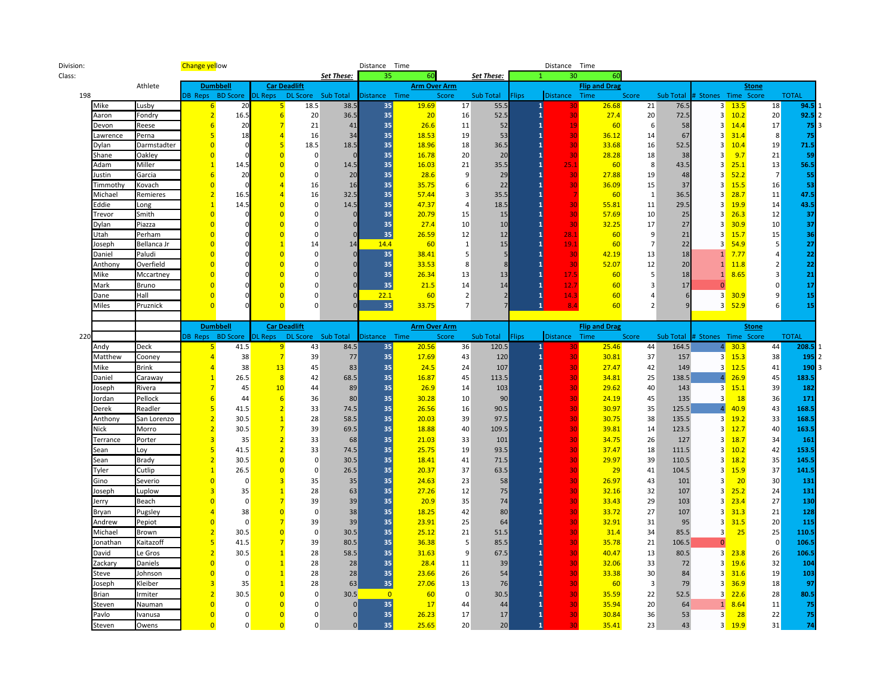| Division: |          |             | <b>Change yellow</b>    |                         |                |                     |            | Distance Time  |                     |                  |            |        | Distance Time        |                          |                         |           |                               |            |              |                |       |
|-----------|----------|-------------|-------------------------|-------------------------|----------------|---------------------|------------|----------------|---------------------|------------------|------------|--------|----------------------|--------------------------|-------------------------|-----------|-------------------------------|------------|--------------|----------------|-------|
| Class:    |          |             |                         |                         |                |                     | Set These: | 35             | 60                  |                  | Set These: |        |                      | 30<br>60                 |                         |           |                               |            |              |                |       |
|           |          | Athlete     |                         | <b>Dumbbell</b>         |                | <b>Car Deadlift</b> |            |                | <b>Arm Over Arm</b> |                  |            |        |                      | <b>Flip and Drag</b>     |                         |           |                               |            | <b>Stone</b> |                |       |
| 198       |          |             |                         | <b>DB Reps BD Score</b> | <b>DL Reps</b> | DL Score Sub Total  |            | Distance Time  |                     | Score            | Sub Total  | lips:  | Distance Time        |                          | Score                   | Sub Total | Stones Time Score             |            |              | <b>TOTAL</b>   |       |
|           | Mike     | Lusby       | 6                       | 20                      | 5              | 18.5                | 38.5       | 35             | 19.69               | 17               | 55.5       |        | $\mathbf{1}$         | 26.68<br>30              | 21                      | 76.5      |                               | $3 - 13.5$ |              | 18             | 94.5  |
|           | Aaron    | Fondry      | $\overline{2}$          | 16.5                    | 6              | 20                  | 36.5       | 35             | 20                  | 16               | 52.5       |        | $\mathbf{1}$         | 30<br>27.4               | 20                      | 72.5      | 3 <sup>1</sup>                | 10.2       |              | 20             | 92.5  |
|           | Devon    | Reese       | 6                       | 20                      |                | 21                  | 41         | 35             | 26.6                | 11               | 52         |        |                      | 19<br>60                 | 6                       | 58        | 3 <sup>1</sup>                | 14.4       |              | 17             | 75    |
|           | Lawrence | Perna       | 5                       | 18                      | $\overline{4}$ | 16                  | 34         | 35             | 18.53               | 19               | 53         |        |                      | 30<br>36.12              | 14                      | 67        | 3 <sup>1</sup>                | 31.4       |              | 8              | 75    |
|           | Dylan    | Darmstadter | $\Omega$                | $\Omega$                | 5              | 18.5                | 18.5       | 35             | 18.96               | 18               | 36.5       |        | 1                    | 30<br>33.68              | 16                      | 52.5      | 3 <sup>1</sup>                | 10.4       |              | 19             | 71.5  |
|           | Shane    | Oakley      | $\overline{0}$          |                         | $\overline{0}$ | $\mathbf 0$         |            | 35             | 16.78               | 20               | 20         |        | $\mathbf{1}$         | 30<br>28.28              | 18                      | 38        | $\overline{\mathbf{3}}$       | 9.7        |              | 21             | 59    |
|           | Adam     | Miller      | $\overline{1}$          | 14.5                    | $\Omega$       | $\Omega$            | 14.5       | 35             | 16.03               | 21               | 35.5       |        | 25.1                 | 60                       | 8                       | 43.5      | 3 <sup>1</sup>                | 25.1       |              | 13             | 56.5  |
|           | Justin   | Garcia      | 6                       | 20                      | $\overline{0}$ | $\Omega$            | 20         | 35             | 28.6                | 9                | 29         |        |                      | 30<br>27.88              | 19                      | 48        | 3 <sup>1</sup>                | 52.2       |              | 7              | 55    |
|           | Timmothy | Kovach      | $\Omega$                | $\Omega$                | $\overline{A}$ | 16                  | 16         | 35             | 35.75               | $6 \overline{6}$ | 22         |        |                      | 30<br>36.09              | 15                      | 37        | 3 <sup>1</sup>                | 15.5       |              | 16             | 53    |
|           | Michael  | Remieres    | $\overline{2}$          | 16.5                    | $\overline{4}$ | 16                  | 32.5       | 35             | 57.44               | $\overline{3}$   | 35.5       |        |                      | 60                       | $\mathbf{1}$            | 36.5      | 3 <sup>1</sup>                | 28.7       |              | 11             | 47.5  |
|           | Eddie    | Long        | $\overline{1}$          | 14.5                    | $\overline{0}$ | $\mathbf{0}$        | 14.5       | 35             | 47.37               | $\overline{4}$   | 18.5       |        |                      | 30<br>55.81              | 11                      | 29.5      | 3 <sup>1</sup>                | 19.9       |              | 14             | 43.5  |
|           | Trevor   | Smith       | $\overline{0}$          | $\overline{0}$          | $\overline{0}$ | $\Omega$            |            | 35             | 20.79               | 15               | 15         |        |                      | 30<br>57.69              | 10                      | 25        | 3 <sup>1</sup>                | 26.3       |              | 12             | 37    |
|           | Dylan    | Piazza      | $\overline{0}$          |                         | $\Omega$       | $\Omega$            |            | 35             | 27.4                | 10               | 10         |        |                      | 30<br>32.25              | 17                      | 27        | $\overline{3}$                | 30.9       |              | 10             | 37    |
|           | Utah     | Perham      | $\overline{0}$          |                         | $\Omega$       | $\Omega$            |            | 35             | 26.59               | 12               | 12         |        | 28.1<br>1            | 60                       | 9                       | 21        | 3 <sup>1</sup>                | 15.7       |              | 15             | 36    |
|           | Joseph   | Bellanca Jr | $\overline{0}$          |                         | $\mathbf{1}$   | 14                  | 14         | 14.4           | 60                  | 1                | 15         |        | 19.1<br>$\mathbf{1}$ | 60                       | $\overline{7}$          | 22        | $\overline{3}$                | 54.9       |              | 5              | 27    |
|           | Daniel   | Paludi      | $\overline{0}$          |                         | $\overline{0}$ | $\mathbf 0$         |            | 35             | 38.41               | 5 <sup>1</sup>   |            |        | 1                    | 30<br>42.19              | 13                      | 18        | 1                             | 7.77       |              | 4              | 22    |
|           | Anthony  | Overfield   | $\overline{0}$          |                         | $\Omega$       | $\Omega$            |            | 35             | 33.53               | 8                |            |        |                      | 52.07<br>30              | 12                      | 20        | 1                             | 11.8       |              | $\overline{2}$ | 22    |
|           | Mike     | Mccartney   | $\overline{0}$          |                         | $\overline{0}$ | $\Omega$            |            | 35             | 26.34               | 13               | 13         |        | 17.5<br>1            | 60                       | 5                       | 18        | 1                             | 8.65       |              | 3              | 21    |
|           | Mark     | Bruno       | $\overline{0}$          |                         | $\overline{0}$ | $\Omega$            |            | 35             | 21.5                | 14               | 14         |        | 12.7                 | 60                       | $\overline{3}$          | 17        | $\overline{0}$                |            |              | $\overline{0}$ | 17    |
|           | Dane     | Hall        | $\overline{0}$          |                         | $\Omega$       | $\Omega$            |            | 22.1           | 60                  | 2                |            |        | 14.3<br>1            | 60                       | $\overline{4}$          |           | 3 <sup>1</sup>                | 30.9       |              | 9              | 15    |
|           | Miles    | Pruznick    | $\Omega$                |                         | $\Omega$       | $\Omega$            |            | 35             | 33.75               | 7                |            |        | $\mathbf{1}$<br>8.4  | 60                       | $\overline{2}$          | 9         | 3 <sup>1</sup>                | 52.9       |              | 6              | 15    |
|           |          |             |                         |                         |                |                     |            |                |                     |                  |            |        |                      |                          |                         |           |                               |            |              |                |       |
|           |          |             |                         | <b>Dumbbell</b>         |                | <b>Car Deadlift</b> |            |                | Arm Over Arm        |                  |            |        |                      | <b>Flip and Drag</b>     |                         |           |                               |            | <b>Stone</b> |                |       |
| 220       |          |             | <b>B</b> Reps           | <b>BD Score</b>         | DL Reps        | DL Score Sub Total  |            | Distance Time  |                     | Score            | Sub Total  | Flips: | Distance Time        |                          | Score                   |           | Sub Total # Stones Time Score |            |              | <b>TOTAL</b>   |       |
|           | Andy     | Deck        | 5                       | 41.5                    | 9              | 43                  | 84.5       | 35             | 20.56               | 36               | 120.5      |        | $\mathbf{1}$         | 25.46<br>30              | 44                      | 164.5     | 4 <sup>1</sup>                | 30.3       |              | 44             | 208.  |
|           | Matthew  | Cooney      | $\overline{4}$          | 38                      | $\overline{7}$ | 39                  | 77         | 35             | 17.69               | 43               | 120        |        | $\mathbf{1}$         | 30 <sub>l</sub><br>30.81 | 37                      | 157       |                               | $3 - 15.3$ |              | 38             | 195   |
|           | Mike     | Brink       | $\overline{4}$          | 38                      | 13             | 45                  | 83         | 35             | 24.5                | 24               | 107        |        | $\mathbf{1}$         | 30<br>27.47              | 42                      | 149       | 3                             | 12.5       |              | 41             | 190   |
|           | Daniel   | Caraway     | $\overline{1}$          | 26.5                    | 8              | 42                  | 68.5       | 35             | 16.87               | 45               | 113.5      |        |                      | 30<br>34.81              | 25                      | 138.5     | $\overline{4}$                | 26.9       |              | 45             | 183.5 |
|           | Joseph   | Rivera      | $\overline{7}$          | 45                      | 10             | 44                  | 89         | 35             | 26.9                | 14               | 103        |        |                      | 30<br>29.62              | 40                      | 143       | $\overline{\mathbf{3}}$       | 15.1       |              | 39             | 182   |
|           | Jordan   | Pellock     | 6                       | 44                      | 6              | 36                  | 80         | 35             | 30.28               | 10               | 90         |        | 1                    | 30<br>24.19              | 45                      | 135       | 3 <sup>1</sup>                | 18         |              | 36             | 171   |
|           | Derek    | Readler     | 5                       | 41.5                    | $\overline{2}$ | 33                  | 74.5       | 35             | 26.56               | 16               | 90.5       |        |                      | 30<br>30.97              | 35                      | 125.5     | $\overline{4}$                | 40.9       | 43           |                | 168.5 |
|           | Anthony  | San Lorenzo | $\overline{2}$          | 30.5                    | $\mathbf{1}$   | 28                  | 58.5       | 35             | 20.03               | 39               | 97.5       |        |                      | 30<br>30.75              | 38                      | 135.5     | 3 <sup>1</sup>                | 19.2       |              | 33             | 168.5 |
|           | Nick     | Morro       | $\overline{2}$          | 30.5                    | $\overline{7}$ | 39                  | 69.5       | 35             | 18.88               | 40               | 109.5      |        | 1                    | 30<br>39.81              | 14                      | 123.5     | 3 <sup>1</sup>                | 12.7       |              | 40             | 163.5 |
|           | Terrance | Porter      | $\overline{\mathbf{3}}$ | 35                      |                | 33                  | 68         | 35             | 21.03               | 33               | 101        |        |                      | 30<br>34.75              | 26                      | 127       | 3                             | 18.7       |              | 34             | 161   |
|           | sean     | Loy         | $\overline{\mathbf{5}}$ | 41.5                    | $\overline{2}$ | 33                  | 74.5       | 35             | 25.75               | 19               | 93.5       |        | 1                    | 30<br>37.47              | 18                      | 111.5     | 3 <sup>1</sup>                | 10.2       |              | 42             | 153.5 |
|           | Sean     | Brady       | $\overline{2}$          | 30.5                    | $\Omega$       | $\mathbf 0$         | 30.5       | 35             | 18.41               | 41               | 71.5       |        |                      | 30<br>29.97              | 39                      | 110.5     | 3 <sup>1</sup>                | 18.2       |              | 35             | 145.5 |
|           | Tyler    | Cutlip      | $\overline{1}$          | 26.5                    | $\Omega$       | $\Omega$            | 26.5       | 35             | 20.37               | 37               | 63.5       |        |                      | 29<br>30                 | 41                      | 104.5     | 3 <sup>1</sup>                | 15.9       |              | 37             | 141.5 |
|           | Gino     | Severio     | $\overline{0}$          | $\mathbf 0$             | $\overline{3}$ | 35                  | 35         | 35             | 24.63               | 23               | 58         |        | 1                    | 30<br>26.97              | 43                      | 101       | $\overline{\mathbf{3}}$       | 20         |              | 30             | 131   |
|           | Joseph   | Luplow      | $\overline{3}$          | 35                      |                | 28                  | 63         | 35             | 27.26               | 12               | 75         |        |                      | 30<br>32.16              | 32                      | 107       | 3 <sup>1</sup>                | 25.2       |              | 24             | 131   |
|           | Jerry    | Beach       | $\overline{0}$          | $\mathbf 0$             |                | 39                  | 39         | 35             | 20.9                | 35               | 74         |        |                      | 30<br>33.43              | 29                      | 103       | 3 <sup>1</sup>                | 23.4       |              | 27             | 130   |
|           | Bryan    | Pugsley     | $\overline{4}$          | 38                      | $\overline{0}$ | $\mathbf{0}$        | 38         | 35             | 18.25               | 42               | 80         |        |                      | 30<br>33.72              | 27                      | 107       | $\overline{\mathbf{3}}$       | 31.3       |              | 21             | 128   |
|           | Andrew   | Pepiot      | $\Omega$                | $\mathbf 0$             |                | 39                  | 39         | 35             | 23.91               | 25               | 64         |        |                      | 30<br>32.91              | 31                      | 95        | $\overline{\mathbf{3}}$       | 31.5       |              | 20             | 115   |
|           | Michael  | Brown       | $\overline{2}$          | 30.5                    | $\overline{0}$ | $\mathbf 0$         | 30.5       | 35             | 25.12               | 21               | 51.5       |        |                      | 30<br>31.4               | 34                      | 85.5      | $\overline{\mathbf{3}}$       | 25         |              | 25             | 110.5 |
|           | Jonathan | Kaitazoff   | $\overline{5}$          | 41.5                    |                | 39                  | 80.5       | 35             | 36.38               | 5 <sup>1</sup>   | 85.5       |        |                      | 30<br>35.78              | 21                      | 106.5     | $\overline{0}$                |            |              | $\overline{0}$ | 106.5 |
|           | David    | Le Gros     | $\overline{2}$          | 30.5                    | $\overline{1}$ | 28                  | 58.5       | 35             | 31.63               | $\overline{9}$   | 67.5       |        |                      | 30<br>40.47              | 13                      | 80.5      | 3 <sup>1</sup>                | 23.8       |              | 26             | 106.5 |
|           | Zackary  | Daniels     | $\overline{0}$          | $\mathbf 0$             |                | 28                  | 28         | 35             | 28.4                | 11               | 39         |        |                      | 30<br>32.06              | 33                      | 72        | 3 <sup>1</sup>                | 19.6       |              | 32             | 104   |
|           |          |             | $\overline{0}$          | $\mathbf 0$             |                | 28                  | 28         | 35             |                     |                  |            |        |                      | 30                       |                         |           | 3 <sup>1</sup>                |            |              |                |       |
|           | Steve    | Johnson     | 3                       |                         |                |                     |            | 35             | 23.66               | 26               | 54         |        |                      | 33.38<br>30              | 30                      | 84<br>79  |                               | 31.6       |              | 19             | 103   |
|           | Joseph   | Kleiber     | $\overline{2}$          | 35                      | $\overline{0}$ | 28                  | 63         |                | 27.06               | 13               | 76         |        |                      | 60                       | $\overline{\mathbf{3}}$ |           | $\overline{\mathbf{3}}$       | 36.9       |              | 18             | 97    |
|           | 3rian    | rmiter      |                         | 30.5                    |                | $\Omega$            | 30.5       | $\overline{0}$ | 60                  | $\mathbf{0}$     | 30.5       |        |                      | 30<br>35.59              | 22                      | 52.5      | 3                             | 22.6       |              | 28             | 80.5  |
|           | Steven   | Nauman      | $\overline{0}$          | $\mathbf 0$             | $\overline{0}$ | $\Omega$            | 0          | 35             | 17                  | 44               | 44         |        |                      | 30<br>35.94              | 20                      | 64        | 1                             | 8.64       |              | 11             | 75    |
|           | Pavlo    | Ivanusa     | $\overline{0}$          | $\mathbf 0$             | $\overline{0}$ | $\Omega$            | 0          | 35             | 26.23               | 17               | 17         |        |                      | 30<br>30.84              | 36                      | 53        | $\overline{\mathbf{3}}$       | 28         |              | 22             | 75    |
|           | Steven   | Owens       | $\overline{0}$          | $\overline{0}$          | $\overline{0}$ | $\Omega$            | 0          | 35             | 25.65               | 20               | 20         |        | $\mathbf{1}$         | 30<br>35.41              | 23                      | 43        | 3 <sup>1</sup>                | 19.9       |              | 31             | 74    |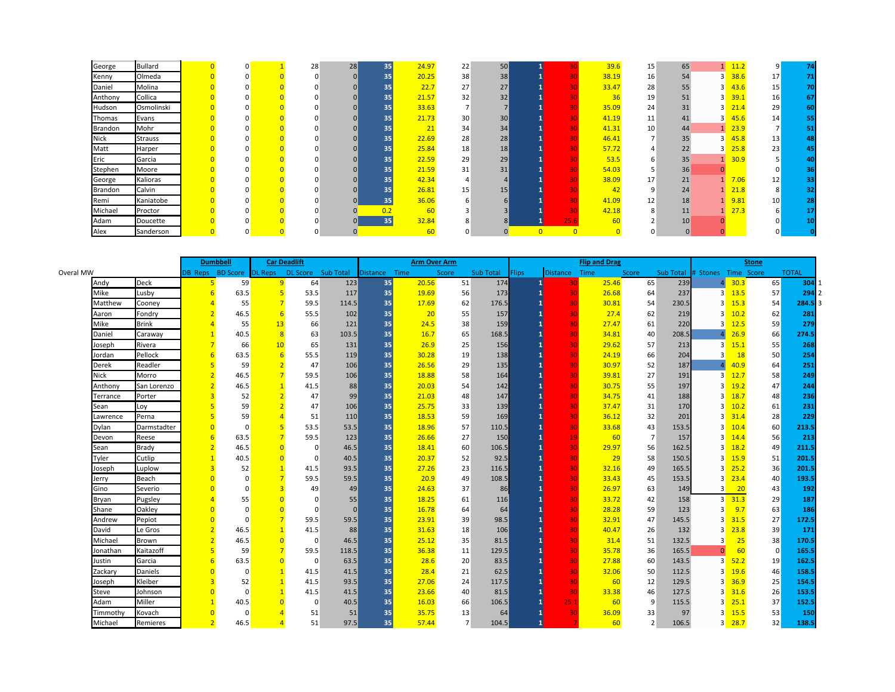| George      | <b>Bullard</b> |  |  | 28 | 28 | 35  | 24.97 | 22 | 50              |                |      | 39.6  | 15                       | 65          |          | 11.2 |                 | 74 |
|-------------|----------------|--|--|----|----|-----|-------|----|-----------------|----------------|------|-------|--------------------------|-------------|----------|------|-----------------|----|
| Kenny       | Olmeda         |  |  |    |    | 35  | 20.25 | 38 | 38              |                |      | 38.19 | 16                       | 54          |          | 38.6 | 17              | 71 |
| Daniel      | Molina         |  |  |    |    | 35  | 22.7  | 27 | 27              |                |      | 33.47 | 28                       | 55          |          | 43.6 | 15              | 70 |
| Anthony     | Collica        |  |  |    |    | 35  | 21.57 | 32 | 32              |                |      | 36    | 19                       | 51          |          | 39.1 | 16              | 67 |
| Hudson      | Osmolinski     |  |  |    |    | 35  | 33.63 |    |                 |                |      | 35.09 | 24                       | 31          |          | 21.4 | 29              | 60 |
| Thomas      | Evans          |  |  |    |    | 35  | 21.73 | 30 | 30 <sup>1</sup> |                |      | 41.19 | 11                       | 41          |          | 45.6 | 14              | 55 |
| Brandon     | Mohr           |  |  |    |    | 35  | 21    | 34 | 34              |                |      | 41.31 | 10                       | 44          |          | 23.9 |                 | 51 |
| <b>Nick</b> | <b>Strauss</b> |  |  |    |    | 35  | 22.69 | 28 | 28              |                |      | 46.41 | $\overline{\phantom{a}}$ | 35          |          | 45.8 | 13              | 48 |
| Matt        | Harper         |  |  |    |    | 35  | 25.84 | 18 | 18              |                |      | 57.72 |                          | 22          |          | 25.8 | 23              | 45 |
| Eric        | Garcia         |  |  |    |    | 35  | 22.59 | 29 | 29              |                |      | 53.5  | h                        | 35          |          | 30.9 |                 | 40 |
| Stephen     | Moore          |  |  |    |    | 35  | 21.59 | 31 | 31              |                |      | 54.03 |                          | 36          | $\Omega$ |      |                 | 36 |
| George      | Kalioras       |  |  |    |    | 35  | 42.34 |    |                 |                |      | 38.09 | 17                       | 21          |          | 7.06 | 12              | 33 |
| Brandon     | Calvin         |  |  |    |    | 35  | 26.81 | 15 | 15              |                |      | 42    | q                        | 24          |          | 21.8 |                 | 32 |
| Remi        | Kaniatobe      |  |  |    |    | 35  | 36.06 |    |                 |                |      | 41.09 | 12                       | 18          |          | 9.81 | 10 <sup>°</sup> | 28 |
| Michael     | Proctor        |  |  |    |    | 0.2 | 60    |    |                 |                |      | 42.18 | 8                        | 11          |          | 27.3 |                 |    |
| Adam        | Doucette       |  |  |    |    | 35  | 32.84 |    |                 |                | 25.6 | 60    |                          | 10          |          |      |                 | 10 |
| Alex        | Sanderson      |  |  |    |    |     | 60    |    |                 | $\overline{0}$ |      |       |                          | $\mathbf 0$ |          |      |                 |    |

|           |          |              |                         | <b>Dumbbell</b> | <b>Car Deadlift</b> |                    |          |               | <b>Arm Over Arm</b> |       |                  |              |               | <b>Flip and Drag</b> |                |       |                               |                      | Stone          |              |
|-----------|----------|--------------|-------------------------|-----------------|---------------------|--------------------|----------|---------------|---------------------|-------|------------------|--------------|---------------|----------------------|----------------|-------|-------------------------------|----------------------|----------------|--------------|
| Overal MW |          |              | <b>DB Reps BD Score</b> |                 | DL Reps             | DL Score Sub Total |          | Distance Time |                     | Score | <b>Sub Total</b> | <b>Flips</b> | Distance Time |                      | Score          |       | Sub Total # Stones Time Score |                      |                | <b>TOTAL</b> |
|           | Andy     | <b>Deck</b>  |                         | 59              | 9                   | 64                 | 123      | 35            | 20.56               | 51    | 174              |              | 30            | 25.46                | 65             | 239   | $\vert$                       | 30.3                 | 65             | 304          |
|           | Mike     | Lusby        |                         | 63.5            | 5                   | 53.5               | 117      | 35            | 19.69               | 56    | 173              |              | 30            | 26.68                | 64             | 237   | $\overline{3}$                | 13.5                 | 57             | 294          |
|           | Matthew  | Cooney       |                         | 55              |                     | 59.5               | 114.5    | 35            | 17.69               | 62    | 176.5            |              | 30            | 30.81                | 54             | 230.5 | 3                             | 15.3                 | 54             | 284.5        |
|           | Aaron    | Fondry       |                         | 46.5            |                     | 55.5               | 102      | 35            | 20                  | 55    | 157              |              | 30            | 27.4                 | 62             | 219   | $\overline{3}$                | 10.2                 | 62             | 281          |
|           | Mike     | <b>Brink</b> |                         | 55              | 13                  | 66                 | 121      | 35            | 24.5                | 38    | 159              |              | 30            | 27.47                | 61             | 220   | 3                             | 12.5                 | <b>59</b>      | 279          |
|           | Daniel   | Caraway      |                         | 40.5            | -8                  | 63                 | 103.5    | 35            | 16.7                | 65    | 168.5            |              | 30            | 34.81                | 40             | 208.5 | 4                             | 26.9                 | 66             | 274.5        |
|           | Joseph   | Rivera       |                         | 66              | 10                  | 65                 | 131      | 35            | 26.9                | 25    | 156              |              | 30            | 29.62                | 57             | 213   | 3                             | 15.1                 | 55             | 268          |
|           | Jordan   | Pellock      |                         | 63.5            | 6                   | 55.5               | 119      | 35            | 30.28               | 19    | 138              |              | 30            | 24.19                | 66             | 204   | 3                             | 18                   | 50             | 254          |
|           | Derek    | Readler      |                         | 59              |                     | 47                 | 106      | 35            | 26.56               | 29    | 135              |              | 30            | 30.97                | 52             | 187   | $\boldsymbol{\Lambda}$        | 40.9                 | 64             | 251          |
|           | Nick     | Morro        |                         | 46.5            |                     | 59.5               | 106      | 35            | 18.88               | 58    | 164              |              | 30            | 39.81                | 27             | 191   | $\overline{3}$                | 12.7                 | 58             | 249          |
|           | Anthony  | San Lorenzo  |                         | 46.5            |                     | 41.5               | 88       | 35            | 20.03               | 54    | 142              |              | 30            | 30.75                | 55             | 197   | 3                             | 19.2                 | 47             | 244          |
|           | Terrance | Porter       |                         | 52              |                     | 47                 | 99       | 35            | 21.03               | 48    | 147              |              | 30            | 34.75                | 41             | 188   | 3                             | 18.7                 | 48             | 236          |
|           | Sean     | Loy          |                         | 59              |                     | 47                 | 106      | 35            | 25.75               | 33    | 139              |              | 30            | 37.47                | 31             | 170   | 3                             | 10.2                 | 61             | 231          |
|           | Lawrence | Perna        |                         | 59              |                     | 51                 | 110      | 35            | 18.53               | 59    | 169              |              | 30            | 36.12                | 32             | 201   | 3                             | 31.4                 | 28             | 229          |
|           | Dylan    | Darmstadter  |                         | $\Omega$        | $\overline{5}$      | 53.5               | 53.5     | 35            | 18.96               | 57    | 110.5            |              | 30            | 33.68                | 43             | 153.5 | $\overline{3}$                | 10.4                 | 60             | 213.5        |
|           | Devon    | Reese        |                         | 63.5            |                     | 59.5               | 123      | 35            | 26.66               | 27    | 150              |              | 19            | 60                   | 7              | 157   | $\overline{3}$                | 14.4                 | 56             | 213          |
|           | Sean     | Brady        |                         | 46.5            |                     | $\Omega$           | 46.5     | 35            | 18.41               | 60    | 106.5            |              | 30            | 29.97                | 56             | 162.5 | 3                             | 18.2                 | 49             | 211.5        |
|           | Tyler    | Cutlip       |                         | 40.5            |                     | $\Omega$           | 40.5     | 35            | 20.37               | 52    | 92.5             |              | 30            | 29                   | 58             | 150.5 | $\overline{3}$                | 15.9                 | 51             | 201.5        |
|           | Joseph   | Luplow       |                         | 52              |                     | 41.5               | 93.5     | 35            | 27.26               | 23    | 116.5            |              | 30            | 32.16                | 49             | 165.5 |                               | $3 \overline{25.2}$  | 36             | 201.5        |
|           | Jerry    | Beach        |                         | $\Omega$        |                     | 59.5               | 59.5     | 35            | 20.9                | 49    | 108.5            |              | 30            | 33.43                | 45             | 153.5 | $\overline{3}$                | 23.4                 | 40             | 193.5        |
|           | Gino     | Severio      |                         | $\Omega$        |                     | 49                 | 49       | 35            | 24.63               | 37    | 86               |              | 30            | 26.97                | 63             | 149   | 3                             | 20                   | 43             | 192          |
|           | Bryan    | Pugsley      |                         | 55              |                     | O                  | 55       | 35            | 18.25               | 61    | 116              |              | 30            | 33.72                | 42             | 158   |                               | $3 \overline{)31.3}$ | 29             | 187          |
|           | Shane    | Oakley       |                         | $\Omega$        |                     | $\Omega$           | $\Omega$ | 35            | 16.78               | 64    | 64               |              | 30            | 28.28                | 59             | 123   | 3                             | 9.7                  | 63             | 186          |
|           | Andrew   | Pepiot       |                         | $\Omega$        | 7                   | 59.5               | 59.5     | 35            | 23.91               | 39    | 98.5             |              | 30            | 32.91                | 47             | 145.5 | 3                             | 31.5                 | 27             | 172.5        |
|           | David    | Le Gros      | $\overline{2}$          | 46.5            |                     | 41.5               | 88       | 35            | 31.63               | 18    | 106              |              | 30            | 40.47                | 26             | 132   | 3                             | 23.8                 | 39             | 171          |
|           | Michael  | Brown        |                         | 46.5            |                     | $\overline{0}$     | 46.5     | 35            | 25.12               | 35    | 81.5             |              | 30            | 31.4                 | 51             | 132.5 | 3                             | 25                   | 38             | 170.5        |
|           | Jonathan | Kaitazoff    |                         | 59              |                     | 59.5               | 118.5    | 35            | 36.38               | 11    | 129.5            |              | 30            | 35.78                | 36             | 165.5 | $\overline{0}$                | 60                   | $\overline{0}$ | 165.5        |
|           | Justin   | Garcia       |                         | 63.5            |                     | $\Omega$           | 63.5     | 35            | 28.6                | 20    | 83.5             |              | 30            | 27.88                | 60             | 143.5 | $\overline{3}$                | 52.2                 | 19             | 162.5        |
|           | Zackary  | Daniels      |                         | $\Omega$        |                     | 41.5               | 41.5     | 35            | 28.4                | 21    | 62.5             |              | 30            | 32.06                | 50             | 112.5 | $\overline{3}$                | 19.6                 | 46             | 158.5        |
|           | Joseph   | Kleiber      |                         | 52              |                     | 41.5               | 93.5     | 35            | 27.06               | 24    | 117.5            |              | 30            | 60                   | 12             | 129.5 | 3                             | 36.9                 | 25             | 154.5        |
|           | Steve    | Johnson      |                         | $\Omega$        |                     | 41.5               | 41.5     | 35            | 23.66               | 40    | 81.5             |              | 30            | 33.38                | 46             | 127.5 | 3                             | 31.6                 | 26             | 153.5        |
|           | Adam     | Miller       |                         | 40.5            |                     | $\Omega$           | 40.5     | 35            | 16.03               | 66    | 106.5            |              | 25.1          | 60                   | 9              | 115.5 | 3                             | 25.1                 | 37             | 152.5        |
|           | Timmothv | Kovach       |                         | $\Omega$        |                     | 51                 | 51       | 35            | 35.75               | 13    | 64               |              | 30            | 36.09                | 33             | 97    | $\overline{3}$                | 15.5                 | 53             | 150          |
|           | Michael  | Remieres     | $\overline{2}$          | 46.5            |                     | 51                 | 97.5     | 35            | 57.44               | 7     | 104.5            |              |               | 60                   | $\overline{2}$ | 106.5 |                               | $3 - 28.7$           | 32             | 138.5        |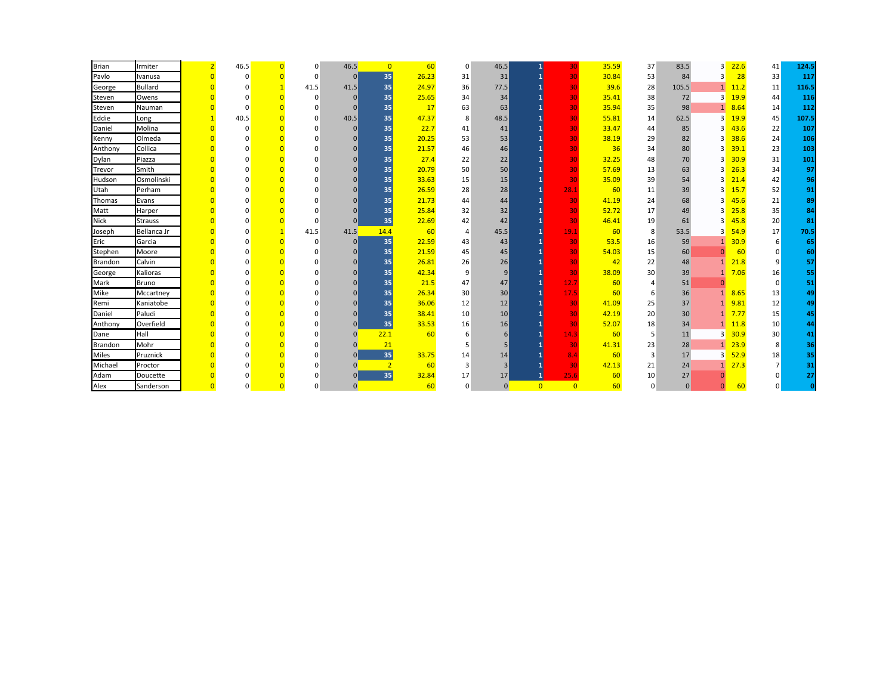| <b>Brian</b>   | Irmiter        | $\overline{2}$          | 46.5         | $\Omega$ | $\overline{0}$ | 46.5           | $\overline{0}$  | 60    | $\overline{0}$ | 46.5            | $\mathbf{1}$   | 30             | 35.59 | 37       | 83.5         | 3              | 22.6 | 41              | 124.5        |
|----------------|----------------|-------------------------|--------------|----------|----------------|----------------|-----------------|-------|----------------|-----------------|----------------|----------------|-------|----------|--------------|----------------|------|-----------------|--------------|
| Pavlo          | Ivanusa        | $\overline{0}$          | $\Omega$     | $\Omega$ | $\Omega$       | 0              | 35              | 26.23 | 31             | 31              | 1              | 30             | 30.84 | 53       | 84           | 3              | 28   | 33              | 117          |
| George         | <b>Bullard</b> | $\overline{0}$          |              |          | 41.5           | 41.5           | 35              | 24.97 | 36             | 77.5            |                | 30             | 39.6  | 28       | 105.5        | $\mathbf{1}$   | 11.2 | 11              | 116.5        |
| Steven         | Owens          | $\Omega$                | <sup>0</sup> |          | $\Omega$       | $\Omega$       | 35 <sub>1</sub> | 25.65 | 34             | 34              |                | 30             | 35.41 | 38       | 72           | 3              | 19.9 | 44              | 116          |
| Steven         | Nauman         | $\overline{0}$          | $\Omega$     |          |                | $\Omega$       | 35              | 17    | 63             | 63              |                | 30             | 35.94 | 35       | 98           | $\mathbf{1}$   | 8.64 | 14              | 112          |
| Eddie          | Long           | $\mathbf{1}$            | 40.5         |          | $\Omega$       | 40.5           | 35 <sub>1</sub> | 47.37 | 8              | 48.5            |                | 30             | 55.81 | 14       | 62.5         | 3              | 19.9 | 45              | 107.5        |
| Daniel         | Molina         | $\overline{0}$          | $\Omega$     | $\Omega$ |                | $\Omega$       | 35              | 22.7  | 41             | 41              |                | 30             | 33.47 | 44       | 85           | 3              | 43.6 | 22              | 107          |
| Kenny          | Olmeda         | $\overline{0}$          |              | $\Omega$ | O              | $\Omega$       | 35              | 20.25 | 53             | 53              |                | 30             | 38.19 | 29       | 82           | 3              | 38.6 | 24              | 106          |
| Anthony        | Collica        | $\overline{0}$          |              |          |                |                | 35              | 21.57 | 46             | 46              |                | 30             | 36    | 34       | 80           | Р              | 39.1 | 23              | 103          |
| Dylan          | Piazza         | $\overline{0}$          |              |          |                | $\Omega$       | 35 <sub>1</sub> | 27.4  | 22             | 22              |                | 30             | 32.25 | 48       | 70           | 3              | 30.9 | 31              | 101          |
| Trevor         | Smith          | $\Omega$                |              | $\Omega$ |                | $\Omega$       | 35 <sub>1</sub> | 20.79 | 50             | 50              |                | 30             | 57.69 | 13       | 63           |                | 26.3 | 34              | 97           |
| Hudson         | Osmolinski     | $\Omega$                |              | $\Omega$ |                | $\Omega$       | 35 <sub>1</sub> | 33.63 | 15             | 15              |                | 30             | 35.09 | 39       | 54           |                | 21.4 | 42              | 96           |
| Utah           | Perham         | $\Omega$                | $\Omega$     | $\Omega$ | n              | $\Omega$       | 35 <sub>1</sub> | 26.59 | 28             | 28              | $\mathbf{1}$   | 28.1           | 60    | 11       | 39           | 3              | 15.7 | 52              | 91           |
| Thomas         | Evans          | $\overline{0}$          |              |          |                | $\Omega$       | 35 <sub>1</sub> | 21.73 | 44             | 44              |                | 30             | 41.19 | 24       | 68           | 3              | 45.6 | 21              | 89           |
| Matt           | Harper         | $\Omega$                |              |          |                | $\Omega$       | 35 <sub>1</sub> | 25.84 | 32             | 32              |                | 30             | 52.72 | 17       | 49           | 3              | 25.8 | 35              | 84           |
| <b>Nick</b>    | <b>Strauss</b> | $\overline{\mathbf{0}}$ |              |          | $\Omega$       | $\Omega$       | 35              | 22.69 | 42             | 42              |                | 30             | 46.41 | 19       | 61           | 3              | 45.8 | 20              | 81           |
| Joseph         | Bellanca Jr    | $\overline{0}$          | O            |          | 41.5           | 41.5           | 14.4            | 60    | $\overline{4}$ | 45.5            | 1              | 19.1           | 60    | 8        | 53.5         | 3              | 54.9 | 17              | 70.5         |
| Eric           | Garcia         | $\overline{0}$          |              | $\Omega$ | $\Omega$       | 0              | 35              | 22.59 | 43             | 43              |                | 30             | 53.5  | 16       | 59           |                | 30.9 | 6               | 65           |
| Stephen        | Moore          | $\Omega$                |              | $\Omega$ |                | <sup>0</sup>   | 35              | 21.59 | 45             | 45              |                | 30             | 54.03 | 15       | 60           |                | 60   | $\Omega$        | 60           |
| <b>Brandon</b> | Calvin         | $\Omega$                | O            |          |                |                | 35              | 26.81 | 26             | 26              |                | 30             | 42    | 22       | 48           | $\mathbf{1}$   | 21.8 | 9               | 57           |
| George         | Kalioras       | $\overline{0}$          | U            |          |                | $\Omega$       | 35              | 42.34 | 9              | 9               |                | 30             | 38.09 | 30       | 39           | $\mathbf{1}$   | 7.06 | 16              | 55           |
| Mark           | Bruno          | $\Omega$                |              | $\Omega$ |                | $\Omega$       | 35 <sub>1</sub> | 21.5  | 47             | 47              | $\mathbf{1}$   | 12.7           | 60    | 4        | 51           | $\Omega$       |      | $\overline{0}$  | 51           |
| Mike           | Mccartney      | $\Omega$                |              | $\Omega$ |                | $\Omega$       | 35 <sub>1</sub> | 26.34 | 30             | 30              | $\mathbf{1}$   | 17.5           | 60    | 6        | 36           |                | 8.65 | 13              | 49           |
| Remi           | Kaniatobe      | $\overline{0}$          | n            |          |                |                | 35 <sub>1</sub> | 36.06 | 12             | 12              |                | 30             | 41.09 | 25       | 37           | $\mathbf{1}$   | 9.81 | 12              | 49           |
| Daniel         | Paludi         | $\Omega$                |              |          |                | $\Omega$       | 35 <sub>1</sub> | 38.41 | 10             | 10 <sup>1</sup> |                | 30             | 42.19 | 20       | 30           | 1              | 7.77 | 15              | 45           |
| Anthony        | Overfield      | $\Omega$                |              | $\Omega$ |                | $\Omega$       | 35 <sub>1</sub> | 33.53 | 16             | 16              |                | 30             | 52.07 | 18       | 34           | 1              | 11.8 | 10 <sup>°</sup> | 44           |
| Dane           | Hall           | $\overline{0}$          |              | $\Omega$ | $\Omega$       | $\Omega$       | 22.1            | 60    | 6              | 6               |                | 14.3           | 60    | 5        | 11           | 3              | 30.9 | 30 <sup>°</sup> | 41           |
| <b>Brandon</b> | Mohr           | $\overline{0}$          | O            | $\Omega$ | $\Omega$       | $\Omega$       | 21              |       |                | 5               |                | 30             | 41.31 | 23       | 28           | 1              | 23.9 | 8               | 36           |
| <b>Miles</b>   | Pruznick       | $\Omega$                |              | $\Omega$ | $\Omega$       | $\Omega$       | 35              | 33.75 | 14             | 14              |                | 8.4            | 60    | 3        | 17           | 3              | 52.9 | 18              | 35           |
| Michael        | Proctor        | $\Omega$                |              | $\Omega$ | $\Omega$       | $\Omega$       | $\overline{2}$  | 60    | 3              | 3               | 1              | 30             | 42.13 | 21       | 24           | 1              | 27.3 | 7               | 31           |
| Adam           | Doucette       |                         |              | $\Omega$ | $\Omega$       | $\Omega$       | 35              | 32.84 | 17             | 17              | $\mathbf{1}$   | 25.6           | 60    | 10       | 27           |                |      |                 | 27           |
| Alex           | Sanderson      | $\overline{0}$          | $\Omega$     | $\Omega$ | 0              | $\overline{0}$ |                 | 60    | $\Omega$       | $\overline{0}$  | $\overline{0}$ | $\overline{0}$ | 60    | $\Omega$ | $\mathbf{0}$ | $\overline{0}$ | 60   | U               | $\mathbf{0}$ |
|                |                |                         |              |          |                |                |                 |       |                |                 |                |                |       |          |              |                |      |                 |              |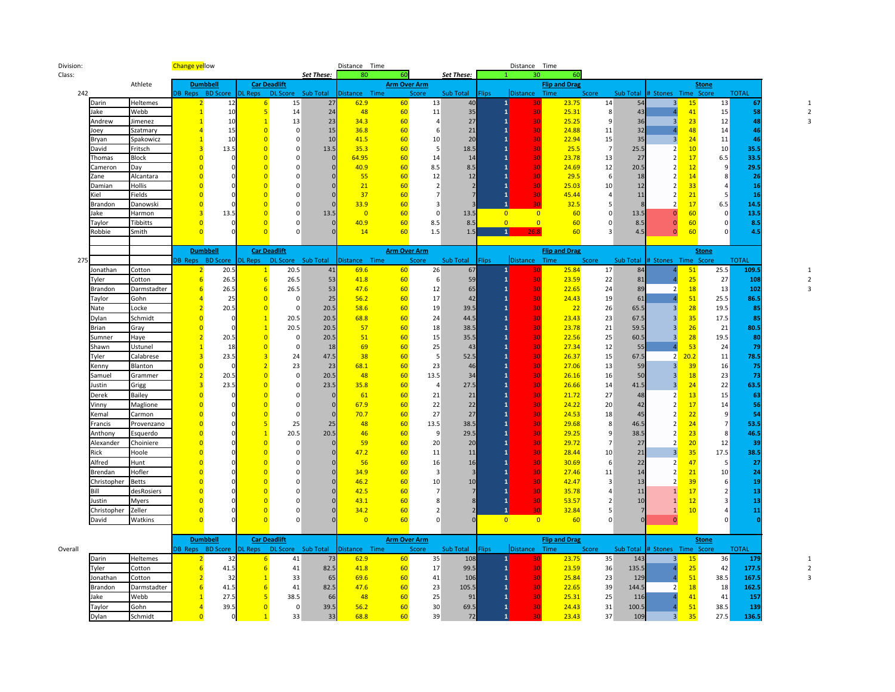| Division: |                    |                     | <b>Change yellow</b>             |                  |                                  |                                             |            | Distance Time  |                     |                      |                 |                | Distance Time   |                      |                |           |                                      |                 |              |  |
|-----------|--------------------|---------------------|----------------------------------|------------------|----------------------------------|---------------------------------------------|------------|----------------|---------------------|----------------------|-----------------|----------------|-----------------|----------------------|----------------|-----------|--------------------------------------|-----------------|--------------|--|
| Class:    |                    |                     |                                  |                  |                                  |                                             | Set These: | 80             | 60                  |                      | Set These:      |                | 30              | 60                   |                |           |                                      |                 |              |  |
|           |                    | Athlete             |                                  | <b>Dumbbell</b>  |                                  | <b>Car Deadlift</b>                         |            |                | <b>Arm Over Arm</b> |                      |                 |                |                 | <b>Flip and Drag</b> |                |           |                                      | <b>Stone</b>    |              |  |
| 242       |                    |                     |                                  | DB Reps BD Score | <b>DL Reps</b>                   | DL Score Sub Total                          |            | Distance Time  |                     | Score                | Sub Total       | <b>Flips</b>   | <b>Distance</b> | Time                 | Score          | Sub Total | # Stones Time Score                  |                 | <b>TOTAL</b> |  |
|           | Darin              | Heltemes            |                                  | 12               | $6 \overline{6}$                 | 15                                          | 27         | 62.9           | 60                  | 13                   | 40              |                |                 | 23.75                | 14             | 54        | 3 <sup>1</sup><br>15                 | 13              | 67           |  |
|           | Jake               | Webb                | $\mathbf{1}$                     | 10               | $\overline{5}$                   | 14                                          | 24         | 48             | 60                  | $11\,$               | 35              |                | 30              | 25.31                | 8 <sup>1</sup> | 43        | 41<br>$\mathbf{A}$                   | 15              | 58           |  |
|           | Andrew             | Jimenez             |                                  | 10               | $\overline{1}$                   | 13                                          | 23         | 34.3           | 60                  | $\overline{4}$       | 27              |                | 30              | 25.25                | 9              | 36        | $\overline{3}$<br>23                 | 12              | 48           |  |
|           | Joey               | Szatmary            |                                  | 15               | $\overline{0}$                   | $\mathbf 0$                                 | 15         | 36.8           | 60                  | 6                    | 21              |                | 30              | 24.88                | 11             | 32        | 48                                   | 14              | 46           |  |
|           | Bryan              | Spakowicz           |                                  | 10               | $\overline{0}$                   | $\mathbf{0}$                                | 10         | 41.5           | 60                  | 10                   | 20              |                | 30              | 22.94                | 15             | 35        | 24<br>$\overline{3}$                 | 11              | 46           |  |
|           | David              | Fritsch             | 3                                | 13.5             | $\overline{0}$                   | $\mathbf 0$                                 | 13.5       | 35.3           | 60                  | 5                    | 18.5            |                | 30              | 25.5                 | $\overline{7}$ | 25.5      | 10<br>2                              | 10 <sup>°</sup> | 35.5         |  |
|           | Thomas             | Block               | $\overline{0}$                   | C                | $\overline{0}$<br>$\overline{0}$ | $\Omega$<br>$\Omega$                        |            | 64.95          | 60                  | 14                   | 14              |                | 30              | 23.78                | 13             | 27        | 17<br>2<br>$\overline{2}$            | 6.5             | 33.5         |  |
|           | Cameron            | Day                 | $\overline{0}$<br>$\overline{0}$ |                  | $\overline{0}$                   | $\Omega$                                    |            | 40.9           | 60<br>60            | 8.5                  | 8.5<br>12       |                | 30              | 24.69<br>29.5        | 12             | 20.5      | 12<br>$\overline{2}$                 | 9<br>8          | 29.5         |  |
|           | Zane<br>Damian     | Alcantara<br>Hollis | $\Omega$                         |                  | $\overline{0}$                   | $\Omega$                                    |            | 55<br>21       | 60                  | 12<br>$\overline{2}$ | $\overline{z}$  |                | 30<br>30        | 25.03                | 6<br>10        | 18<br>12  | 14<br>33<br>$\overline{2}$           |                 | 26<br>16     |  |
|           | Kiel               | Fields              | $\overline{0}$                   |                  | $\overline{0}$                   | $\Omega$                                    |            | 37             | 60                  | $\overline{7}$       |                 |                | 30              | 45.44                | $\overline{a}$ | 11        | 21<br>$\overline{2}$                 |                 | 16           |  |
|           | Brandon            | Danowski            | $\overline{0}$                   |                  | $\overline{0}$                   | $\mathbf 0$                                 |            | 33.9           | 60                  | 3                    |                 |                | จิด             | 32.5                 | 5              |           | 17<br>$\overline{2}$                 | 6.5             | 14.5         |  |
|           | Jake               | Harmon              | $\overline{3}$                   | 13.5             | $\Omega$                         | $\mathbf 0$                                 | 13.5       | $\overline{0}$ | 60                  | $\mathbf 0$          | 13.5            | $\overline{0}$ | $\overline{0}$  | 60                   | $\Omega$       | 13.5      | 60<br>$\Omega$                       | $\overline{0}$  | 13.5         |  |
|           | Taylor             | Tibbitts            | $\Omega$                         | C                | $\Omega$                         | $\Omega$                                    |            | 40.9           | 60                  | 8.5                  | 8.5             | $\overline{0}$ | $\overline{0}$  | 60                   | $\Omega$       | 8.5       | 60<br>$\overline{0}$                 | $\Omega$        | 8.5          |  |
|           | Robbie             | Smith               | $\Omega$                         |                  | $\Omega$                         | $\Omega$                                    |            | 14             | 60                  | 1.5                  | 1.5             | $\mathbf{1}$   | 26.8            | 60                   | $\mathbf{3}$   | 4.5       | 60<br>$\mathbf{0}$                   | $\Omega$        | 4.5          |  |
|           |                    |                     |                                  |                  |                                  |                                             |            |                |                     |                      |                 |                |                 |                      |                |           |                                      |                 |              |  |
|           |                    |                     |                                  | <b>Dumbbell</b>  |                                  | <b>Car Deadlift</b>                         |            |                | <b>Arm Over Arm</b> |                      |                 |                |                 | <b>Flip and Drag</b> |                |           |                                      | <b>Stone</b>    |              |  |
| 275       |                    |                     |                                  |                  |                                  | DB Reps BD Score DL Reps DL Score Sub Total |            | Distance Time  |                     | Score                | Sub Total Flips |                | Distance Time   |                      | Score          |           | Sub Total # Stones Time Score        |                 | <b>TOTAL</b> |  |
|           | onathan            | Cotton              | $\overline{2}$                   | 20.5             | $\mathbf{1}$                     | 20.5                                        | 41         | 69.6           | 60                  | 26                   | 67              |                | 30              | 25.84                | 17             | 84        | 51                                   | 25.5            | 109.5        |  |
|           | Tyler              | Cotton              | 6                                | 26.5             | 6                                | 26.5                                        | 53         | 41.8           | 60                  | 6                    | 59              |                | 30              | 23.59                | 22             | 81        | 25                                   | 27              | 108          |  |
|           | <b>Brandon</b>     | Darmstadter         | 6                                | 26.5             | $6\overline{6}$                  | 26.5                                        | 53         | 47.6           | 60                  | 12                   | 65              |                | 30              | 22.65                | 24             | 89        | $\overline{2}$<br>18                 | 13              | 102          |  |
|           | Taylor             | Gohn                | Δ                                | 25               | $\overline{0}$                   | $\mathbf 0$                                 | 25         | 56.2           | 60                  | 17                   | 42              |                | 30              | 24.43                | 19             | 61        | 51<br>$\overline{a}$                 | 25.5            | 86.5         |  |
|           | Nate               | Locke               | $\overline{2}$                   | 20.5             | $\overline{0}$                   | $\mathbf 0$                                 | 20.5       | 58.6           | 60                  | 19                   | 39.5            |                | 30              | 22                   | 26             | 65.5      | 28<br>$\overline{3}$                 | 19.5            | 85           |  |
|           | Dylan              | Schmidt             | $\overline{0}$                   | $\mathsf{C}$     | $\mathbf{1}$                     | 20.5                                        | 20.5       | 68.8           | 60                  | 24                   | 44.5            |                | 30              | 23.43                | 23             | 67.5      | 35<br>$\overline{3}$                 | 17.5            | 85           |  |
|           | Brian              | Gray                | $\overline{0}$                   |                  | $\mathbf{1}$                     | 20.5                                        | 20.5       | 57             | 60                  | 18                   | 38.5            |                | 30              | 23.78                | 21             | 59.5      | 26<br>$\overline{3}$                 | 21              | 80.5         |  |
|           | Sumner             | Haye                | $\overline{2}$                   | 20.5             | $\overline{0}$                   | $\mathbf 0$                                 | 20.5       | 51             | 60                  | 15                   | 35.5            |                | 30              | 22.56                | 25             | 60.5      | 28<br>3                              | 19.5            | 80           |  |
|           | Shawn              | Ustunel             |                                  | 18               | $\overline{0}$                   | $\mathbf 0$                                 | 18         | 69             | 60                  | 25                   | 43              |                | 30              | 27.34                | 12             | 55        | 53                                   | 24              | 79           |  |
|           | Tyler              | Calabrese           | $\overline{3}$                   | 23.5             | $\overline{3}$                   | 24                                          | 47.5       | 38             | 60                  | 5                    | 52.5            |                | 30              | 26.37                | 15             | 67.5      | $2^{\prime}$<br>20.2                 | 11              | 78.5         |  |
|           | Kenny              | Blanton             | $\overline{0}$                   | c                | $\overline{2}$                   | 23                                          | 23         | 68.1           | 60                  | 23                   | 46              |                | 30              | 27.06                | 13             | 59        | 3 <sup>1</sup><br>39                 | 16              | 75           |  |
|           | Samuel             | Grammer             | $\overline{2}$                   | 20.5             | $\overline{0}$                   | $\mathbf{0}$                                | 20.5       | 48             | 60                  | 13.5                 | 34              |                | 30              | 26.16                | 16             | 50        | 18<br>$\overline{3}$                 | 23              | 73           |  |
|           | Justin             | Grigg               | $\overline{3}$                   | 23.5             | $\overline{0}$                   | $\mathbf 0$                                 | 23.5       | 35.8           | 60                  | $\overline{4}$       | 27.5            |                | 30              | 26.66                | 14             | 41.5      | 3<br>24                              | 22              | 63.5         |  |
|           | Derek              | Bailey              | $\overline{0}$                   |                  | $\overline{0}$                   | $\Omega$                                    |            | 61             | 60                  | 21                   | 21              |                | 30              | 21.72                | 27             | 48        | 13<br>$\overline{2}$                 | 15              | 63           |  |
|           | Vinny              | Maglione            | $\overline{0}$                   |                  | $\overline{0}$                   | $\Omega$                                    |            | 67.9           | 60                  | 22                   | 22              |                | 30              | 24.22                | 20             | 42        | 17<br>$\overline{2}$                 | 14              | 56           |  |
|           | Kemal              | Carmon              | $\overline{0}$                   |                  | $\overline{\mathbf{0}}$          | $\mathbf 0$                                 |            | 70.7           | 60                  | 27                   | 27              |                | 30              | 24.53                | 18             | 45        | 22<br>$\overline{2}$                 | 9               | 54           |  |
|           | Francis            | Provenzano          | $\overline{0}$                   |                  | $\overline{\mathbf{5}}$          | 25                                          | 25         | 48             | 60                  | 13.5                 | 38.5            |                | 30              | 29.68                | 8              | 46.5      | 24<br>2                              | $\overline{7}$  | 53.5         |  |
|           | Anthony            | Esquerdo            | $\overline{0}$                   |                  | $\mathbf{1}$                     | 20.5                                        | 20.5       | 46             | 60                  | 9                    | 29.5            |                | 30              | 29.25                | 9              | 38.5      | 23<br>2                              | 8               | 46.5         |  |
|           | Alexander          | Choiniere           | $\overline{0}$                   |                  | $\overline{0}$                   | $\mathbf 0$                                 |            | 59             | 60                  | 20                   | 20              |                | 30              | 29.72                | $\overline{7}$ | 27        | $\overline{2}$<br>20                 | 12              | 39           |  |
|           | Rick               | Hoole               | $\overline{0}$                   |                  | $\overline{0}$                   | $\mathbf 0$                                 |            | 47.2           | 60                  | 11                   | 11              |                | 30              | 28.44                | 10             | 21        | $\overline{3}$<br>35                 | 17.5            | 38.5         |  |
|           | Alfred             | Hunt                | $\overline{0}$                   |                  | $\overline{0}$                   | $\Omega$                                    |            | 56             | 60                  | 16                   | 16              |                | 30              | 30.69                | 6              | 22        | 47<br>2                              | 5               | 27           |  |
|           | Brendan            | Hofler              | $\overline{0}$                   |                  | $\overline{0}$                   | $\Omega$                                    |            | 34.9           | 60                  | $\overline{3}$       | $\overline{3}$  |                | 30              | 27.46                | 11             | 14        | 21<br>$\overline{2}$                 | 10              | 24           |  |
|           | Christopher        | <b>Betts</b>        | $\Omega$                         |                  | $\overline{0}$                   | $\Omega$                                    |            | 46.2           | 60                  | 10                   | 10              |                | 30              | 42.47                | 3              | 13        | 39<br>$\overline{2}$                 | 6               | 19           |  |
|           | Bill               | desRosiers          | $\overline{0}$                   |                  | $\overline{0}$                   | O                                           |            | 42.5           | 60                  | $\overline{7}$       |                 |                | 30              | 35.78                | 4              | 11        | 17<br>$\mathbf{1}$                   | $\overline{2}$  | 13           |  |
|           | lustin             | Myers               | $\overline{0}$                   |                  | $\Omega$                         | $\Omega$                                    |            | 43.1           | 60                  | 8                    |                 |                | 30              | 53.57                | $\overline{2}$ | 10        | $\mathbf{1}$<br>12                   | 3               | 13           |  |
|           | Christopher Zeller |                     | $\Omega$                         |                  | $\Omega$                         | $\Omega$                                    |            | 34.2           | 60                  | $\overline{2}$       |                 |                | ٩O              | 32.84                | 5              |           | 10<br>$\mathbf{1}$                   |                 | 11           |  |
|           | David              | Watkins             | $\overline{0}$                   |                  | $\Omega$                         | $\Omega$                                    |            | $\overline{0}$ | 60                  | $\Omega$             | $\Omega$        | $\overline{0}$ | $\overline{0}$  | 60                   | $\Omega$       | $\Omega$  | $\Omega$                             | $\Omega$        |              |  |
|           |                    |                     |                                  |                  |                                  |                                             |            |                |                     |                      |                 |                |                 |                      |                |           |                                      |                 |              |  |
|           |                    |                     |                                  | <b>Dumbbell</b>  |                                  | <b>Car Deadlift</b>                         |            |                | <b>Arm Over Arm</b> |                      |                 |                |                 | <b>Flip and Drag</b> |                |           |                                      | <b>Stone</b>    |              |  |
| Overall   |                    |                     |                                  | DB Reps BD Score |                                  | DL Reps DL Score Sub Total                  |            | Distance Time  |                     | Score                | Sub Total       | <b>Flips</b>   | Distance Time   |                      | Score          |           | Sub Total # Stones Time Score        |                 | <b>TOTAL</b> |  |
|           | Darin              | Heltemes            |                                  | 32               | 6                                | 41                                          | 73         | 62.9           | 60                  | 35                   | 108             |                | 30              | 23.75                | 35             | 143       | $\overline{\mathbf{3}}$<br><b>15</b> | 36              | 179          |  |
|           | Tyler              | Cotton              | $6\overline{6}$                  | 41.5             | 6                                | 41                                          | 82.5       | 41.8           | 60                  | 17                   | 99.5            |                | 30              | 23.59                | 36             | 135.5     | 25                                   | 42              | 177.5        |  |
|           | Jonathan           | Cotton              | $\overline{2}$                   | 32               | $\mathbf{1}$                     | 33                                          | 65         | 69.6           | 60                  | 41                   | 106             |                | 30              | 25.84                | 23             | 129       | 51                                   | 38.5            | 167.5        |  |
|           | Brandon            | Darmstadter         | $6\overline{6}$                  | 41.5             | 6                                | 41                                          | 82.5       | 47.6           | 60                  | 23                   | 105.5           |                | 30              | 22.65                | 39             | 144.5     | $\overline{2}$<br>18                 | 18              | 162.5        |  |
|           | Jake               | Webb                |                                  | 27.5             | $\overline{\mathbf{5}}$          | 38.5                                        | 66         | 48             | 60                  | 25                   | 91              |                | 30              | 25.31                | 25             | 116       | 41                                   | 41              | 157          |  |
|           | Taylor             | Gohn                | $\overline{4}$                   | 39.5             | $\overline{0}$                   | $\mathbf 0$                                 | 39.5       | 56.2           | 60                  | 30                   | 69.5            |                | 30              | 24.43                | 31             | 100.5     | 51                                   | 38.5            | 139          |  |
|           | Dylan              | Schmidt             | $\overline{0}$                   | $\Omega$         | $\overline{1}$                   | 33                                          | 33         | 68.8           | 60                  | 39                   | 72              |                | 30              | 23.43                | 37             | 109       | 3 <sup>1</sup><br>35                 | 27.5            | 136.5        |  |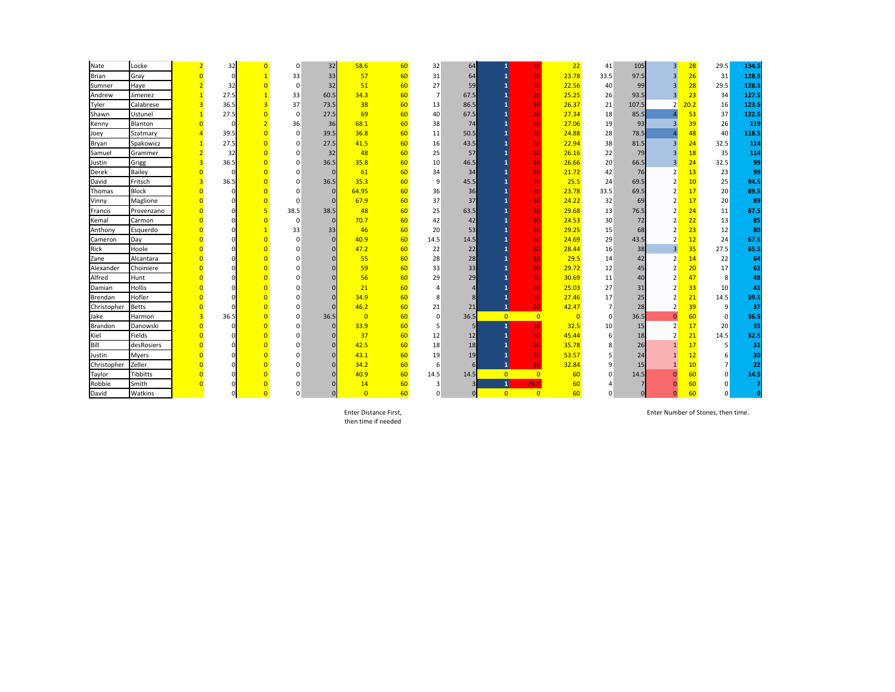| Nate         | Locke           | $\overline{2}$          | 32       | $\Omega$ | 32   | 58.6           | 60 | 32             | 64           |                | 30             | 22             | 41             | 105      | 3                       | 28   | 29.5            | 134.5 |
|--------------|-----------------|-------------------------|----------|----------|------|----------------|----|----------------|--------------|----------------|----------------|----------------|----------------|----------|-------------------------|------|-----------------|-------|
| <b>Brian</b> | Gray            | $\overline{0}$          | $\Omega$ | 33       | 33   | 57             | 60 | 31             | 64           |                | 30             | 23.78          | 33.5           | 97.5     | $\overline{\mathbf{3}}$ | 26   | 31              | 128.5 |
| Sumner       | Haye            |                         | 32       | $\Omega$ | 32   | 51             | 60 | 27             | 59           |                | 30             | 22.56          | 40             | 99       | $\overline{3}$          | 28   | 29.5            | 128.5 |
| Andrew       | Jimenez         |                         | 27.5     | 33       | 60.5 | 34.3           | 60 | $\overline{7}$ | 67.5         |                | 30             | 25.25          | 26             | 93.5     | $\overline{\mathbf{3}}$ | 23   | 34              | 127.5 |
| Tyler        | Calabrese       | $\overline{\mathbf{3}}$ | 36.5     | 37       | 73.5 | 38             | 60 | 13             | 86.5         |                | 30             | 26.37          | 21             | 107.5    | $\overline{2}$          | 20.2 | 16              | 123.5 |
| Shawn        | Ustunel         | $\mathbf{1}$            | 27.5     | $\Omega$ | 27.5 | 69             | 60 | 40             | 67.5         |                | 30             | 27.34          | 18             | 85.5     | $\mathbf{A}$            | 53   | 37              | 122.5 |
| Kenny        | <b>Blanton</b>  | $\overline{0}$          | $\Omega$ | 36       | 36   | 68.1           | 60 | 38             | 74           |                | 30             | 27.06          | 19             | 93       | $\overline{3}$          | 39   | 26              | 119   |
| Joey         | Szatmary        | $\overline{4}$          | 39.5     | $\Omega$ | 39.5 | 36.8           | 60 | 11             | 50.5         |                | 30             | 24.88          | 28             | 78.5     | $\mathbf{A}$            | 48   | 40              | 118.5 |
| Bryan        | Spakowicz       | $\mathbf{1}$            | 27.5     |          | 27.5 | 41.5           | 60 | 16             | 43.5         |                | 30             | 22.94          | 38             | 81.5     | $\overline{3}$          | 24   | 32.5            | 114   |
| Samuel       | Grammer         | $\overline{2}$          | 32       |          | 32   | 48             | 60 | 25             | 57           |                | 30             | 26.16          | 22             | 79       | $\overline{\mathbf{3}}$ | 18   | 35              | 114   |
| Justin       | Grigg           | $\overline{3}$          | 36.5     |          | 36.5 | 35.8           | 60 | 10             | 46.5         |                | 30             | 26.66          | 20             | 66.5     | $\overline{\mathbf{3}}$ | 24   | 32.5            | 99    |
| Derek        | <b>Bailey</b>   | $\overline{0}$          |          |          |      | 61             | 60 | 34             | 34           |                | 30             | 21.72          | 42             | 76       | $\overline{2}$          | 13   | 23              | 99    |
| David        | Fritsch         | $\overline{\mathbf{3}}$ | 36.5     | n        | 36.5 | 35.3           | 60 | 9              | 45.5         |                | 30             | 25.5           | 24             | 69.5     | $\overline{2}$          | 10   | 25              | 94.5  |
| Thomas       | <b>Block</b>    | $\overline{0}$          | $\Omega$ |          |      | 64.95          | 60 | 36             | 36           |                | 30             | 23.78          | 33.5           | 69.5     | $\overline{2}$          | 17   | 20              | 89.5  |
| Vinny        | Maglione        |                         |          | $\Omega$ |      | 67.9           | 60 | 37             | 37           |                | 30             | 24.22          | 32             | 69       | $\overline{2}$          | 17   | 20              | 89    |
| Francis      | Provenzano      | $\overline{0}$          |          | 38.5     | 38.5 | 48             | 60 | 25             | 63.5         |                | 30             | 29.68          | 13             | 76.5     | $\overline{2}$          | 24   | 11              | 87.5  |
| Kemal        | Carmon          | $\overline{0}$          |          | $\Omega$ |      | 70.7           | 60 | 42             | 42           |                | 30             | 24.53          | 30             | 72       | $\overline{2}$          | 22   | 13              | 85    |
| Anthony      | Esquerdo        | $\Omega$                |          | 33       | 33   | 46             | 60 | 20             | 53           |                | 30             | 29.25          | 15             | 68       | $\overline{2}$          | 23   | 12              | 80    |
| Cameron      | Day             | $\Omega$                |          | $\Omega$ |      | 40.9           | 60 | 14.5           | 14.5         |                | 30             | 24.69          | 29             | 43.5     | $\overline{2}$          | 12   | 24              | 67.5  |
| Rick         | Hoole           |                         |          |          |      | 47.2           | 60 | 22             | 22           |                | 30             | 28.44          | 16             | 38       | $\overline{3}$          | 35   | 27.5            | 65.5  |
| Zane         | Alcantara       |                         |          |          |      | 55             | 60 | 28             | 28           |                | 30             | 29.5           | 14             | 42       | $\overline{2}$          | 14   | 22              | 64    |
| Alexander    | Choiniere       |                         |          |          |      | 59             | 60 | 33             | 33           |                | 30             | 29.72          | 12             | 45       | $\overline{2}$          | 20   | 17              | 62    |
| Alfred       | Hunt            |                         |          |          |      | 56             | 60 | 29             | 29           |                | 30             | 30.69          | 11             | 40       | $\overline{2}$          | 47   | 8               | 48    |
| Damian       | Hollis          |                         |          |          |      | 21             | 60 | Δ              |              |                | 30             | 25.03          | 27             | 31       | $\overline{2}$          | 33   | 10 <sup>°</sup> | 41    |
| Brendan      | Hofler          | $\overline{0}$          |          |          |      | 34.9           | 60 | 8              |              |                | 30             | 27.46          | 17             | 25       | $\overline{2}$          | 21   | 14.5            | 39.5  |
| Christopher  | <b>Betts</b>    | $\overline{0}$          |          |          |      | 46.2           | 60 | 21             | 21           |                | 30             | 42.47          | $\overline{7}$ | 28       | $\overline{2}$          | 39   | 9               | 37    |
| Jake         | Harmon          | 3                       | 36.5     |          | 36.5 | $\Omega$       | 60 | $\Omega$       | 36.5         | $\overline{0}$ | $\overline{0}$ | $\overline{0}$ | $\overline{0}$ | 36.5     | $\Omega$                | 60   | $\Omega$        | 36.5  |
| Brandon      | Danowski        | $\overline{0}$          |          |          |      | 33.9           | 60 | 5              |              | $\mathbf{1}$   | 30             | 32.5           | 10             | 15       | $\overline{2}$          | 17   | 20              | 35    |
| Kiel         | Fields          |                         |          |          |      | 37             | 60 | 12             | 12           |                | 30             | 45.44          | 6              | 18       | $\overline{2}$          | 21   | 14.5            | 32.5  |
| Bill         | desRosiers      |                         |          |          |      | 42.5           | 60 | 18             | 18           |                | 30             | 35.78          | 8              | 26       |                         | 17   | 5               | 31    |
| Justin       | Myers           |                         |          |          |      | 43.1           | 60 | 19             | 19           |                | 30             | 53.57          | 5              | 24       |                         | 12   | 6               | 30    |
| Christopher  | Zeller          |                         |          |          |      | 34.2           | 60 | 6              |              | $\mathbf{1}$   | 30             | 32.84          | 9              | 15       |                         | 10   | 7 <sup>1</sup>  | 22    |
| Taylor       | <b>Tibbitts</b> |                         |          |          |      | 40.9           | 60 | 14.5           | 14.5         | $\overline{0}$ | $\overline{0}$ | 60             | $\Omega$       | 14.5     |                         | 60   | $\Omega$        | 14.5  |
| Robbie       | Smith           |                         |          |          |      | 14             | 60 | 3              |              | $\mathbf{1}$   | 26.8           | 60             | Δ              |          |                         | 60   |                 |       |
| David        | Watkins         |                         |          | n        |      | $\overline{0}$ | 60 | $\Omega$       | $\mathbf{0}$ | $\overline{0}$ | $\overline{0}$ | 60             | 0              | $\Omega$ | $\Omega$                | 60   |                 |       |

then time if needed

Enter Distance First, Enter Number of Stones, then time.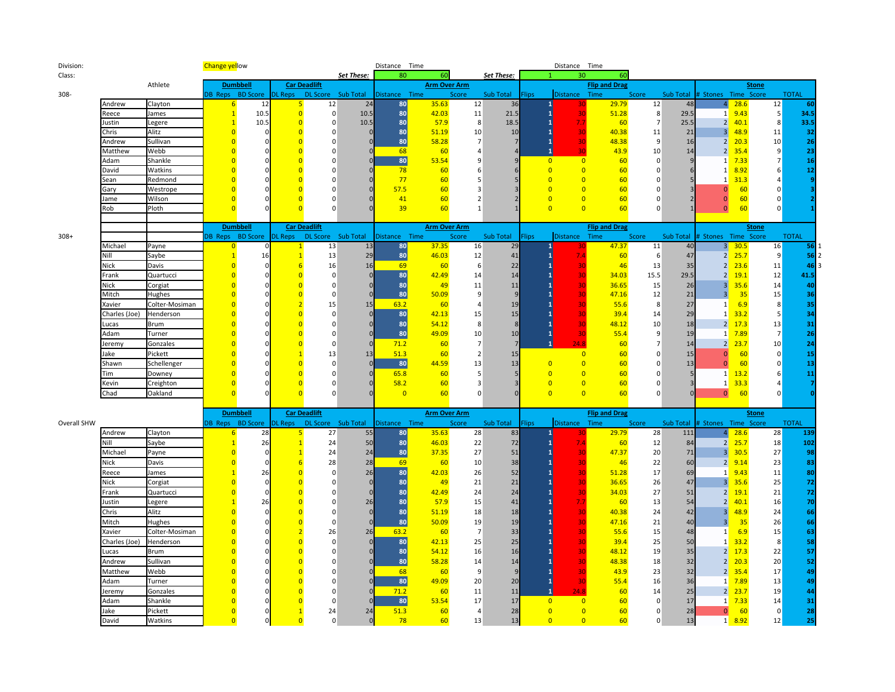| Division:   |                              |                | <b>Change yellow</b> |                          |                     |                      |            | Distance Time  |                     |                |              |              | Distance Time          |                                              |                      |           |                               |              |                      |              |
|-------------|------------------------------|----------------|----------------------|--------------------------|---------------------|----------------------|------------|----------------|---------------------|----------------|--------------|--------------|------------------------|----------------------------------------------|----------------------|-----------|-------------------------------|--------------|----------------------|--------------|
| Class:      | Athlete<br>Andrew<br>Clayton |                |                      |                          |                     |                      | Set These: | 80             | 60                  |                | Set These:   |              |                        | 30<br>60                                     |                      |           |                               |              |                      |              |
|             |                              |                |                      | <b>Dumbbell</b>          | <b>Car Deadlift</b> |                      |            |                | <b>Arm Over Arm</b> |                |              |              |                        | <b>Flip and Drag</b>                         |                      |           |                               | <b>Stone</b> |                      |              |
| 308-        |                              |                |                      | DB Reps BD Score DL Reps |                     | DL Score Sub Total   |            | Distance       | Time                | Score          | Sub Total    | <b>Flips</b> | <b>Distance</b>        | Time                                         | Score                | Sub Total | # Stones Time Score           |              |                      | <b>TOTAL</b> |
|             |                              |                | 6                    | 12                       | 5                   | 12                   | 24         | 80             | 35.63               | 12             | 36           |              | 30                     | 29.79                                        | 12                   | 48        | 4                             | 28.6         | 12                   | 60           |
|             | Reece                        | James          | $\overline{1}$       | 10.5                     | $\overline{0}$      | 0                    | 10.5       | 80             | 42.03               | 11             | 21.5         |              |                        | 51.28<br>30                                  | 8                    | 29.5      | 1                             | 9.43         | 5                    | 34.5         |
|             | ustin                        | Legere         | $\overline{1}$       | 10.5                     | $\Omega$            | $\Omega$             | 10.5       | 80             | 57.9                | 8              | 18.5         |              | 7.7                    | 60                                           | $\overline{7}$       | 25.5      | 2                             | 40.1         | 8                    | 33.5         |
|             | Chris                        | Alitz          | $\Omega$             |                          | $\Omega$            | 0                    |            | 80             | 51.19               | 10             | 10           |              |                        | 40.38<br>30                                  | 11                   | 21        | 3 <sup>1</sup>                | 48.9         | 11                   | 32           |
|             | Andrew                       | Sullivan       | $\Omega$             | $\Omega$                 | $\Omega$            | $\Omega$             |            | 80             | 58.28               | $\overline{7}$ | 7            |              |                        | 30<br>48.38                                  | -9                   | 16        | 2                             | 20.3         | 10 <sup>°</sup>      | 26           |
|             | Matthew                      | Webb           |                      |                          | $\overline{0}$      | $\mathbf 0$          |            | 68             | 60                  | $\overline{a}$ |              |              | $\mathbf{1}$           | 30<br>43.9                                   | 10                   | 14        | 2                             | 35.4         | 9                    | 23           |
|             | Adam                         | Shankle        |                      |                          | $\Omega$            | 0                    |            | 80             | 53.54               | 9              | q            |              | $\overline{0}$         | $\overline{0}$<br>60                         | $\Omega$             |           | 1                             | 7.33         | 7                    | 16           |
|             | David                        | Watkins        |                      |                          | $\Omega$            | $\Omega$             |            | 78             | 60                  |                |              |              | $\Omega$               | $\overline{0}$<br>60                         | $\Omega$             |           | 1                             | 8.92         | 6                    | 12           |
|             | Sean                         | Redmond        |                      |                          | $\Omega$            | $\Omega$             |            | 77<br>57.5     | 60                  |                |              |              | $\Omega$               | $\overline{0}$<br>60                         | n                    |           |                               | 31.3         | 4                    |              |
|             | Gary                         | Westrope       |                      |                          | $\Omega$            | $\Omega$             |            |                | 60                  |                |              |              | $\overline{0}$         | $\overline{0}$<br>60                         | $\Omega$             |           | $\bf{0}$                      | 60           | $\mathbf 0$          |              |
|             | Jame                         | Wilson         |                      |                          | $\overline{0}$      | $\Omega$<br>$\Omega$ |            | 41<br>39       | 60                  |                |              |              | $\Omega$<br>$\Omega$   | $\overline{0}$<br>60<br>$\overline{0}$<br>60 | $\Omega$<br>$\Omega$ |           | $\Omega$                      | 60<br>60     | $\Omega$<br>$\Omega$ |              |
|             | Rob                          | Ploth          |                      |                          |                     |                      |            |                | 60                  |                |              |              |                        |                                              |                      |           | $\overline{0}$                |              |                      |              |
|             |                              |                |                      | <b>Dumbbell</b>          | <b>Car Deadlift</b> |                      |            |                | <b>Arm Over Arm</b> |                |              |              |                        | <b>Flip and Drag</b>                         |                      |           |                               |              |                      |              |
| $308+$      |                              |                |                      | DB Reps BD Score DL Reps |                     | DL Score Sub Total   |            | Distance Time  |                     | Score          | Sub Total    | Flips        | <b>Distance</b>        | Time                                         | Score                |           | Sub Total # Stones Time Score | <b>Stone</b> |                      | <b>TOTAL</b> |
|             | Michael                      | Payne          | 0                    |                          |                     | 13                   | 13         | 80             | 37.35               | 16             | 29           |              |                        | 47.37                                        | 11                   | 40        | 3 <sup>1</sup>                | 30.5         | 16                   | 56           |
|             | Nill                         | Saybe          |                      | 16                       |                     | 13                   | 29         | 80             | 46.03               | 12             | 41           |              | 7.4                    | 60                                           | 6                    | 47        | 2                             | 25.7         | 9                    | 56           |
|             | Nick                         | Davis          | $\Omega$             |                          | -6                  | 16                   | 16         | 69             | 60                  | -6             | 22           |              |                        | 30<br>46                                     | 13                   | 35        | 2                             | 23.6         | 11                   | 46           |
|             | Frank                        | Quartucci      | $\Omega$             | $\Omega$                 | $\Omega$            | $\Omega$             | $\Omega$   | 80             | 42.49               | 14             | 14           |              |                        | 30<br>34.03                                  | 15.5                 | 29.5      | 2 <sup>1</sup>                | 19.1         | 12                   | 41.5         |
|             | <b>Nick</b>                  | Corgiat        | O                    | O                        | $\overline{0}$      | $\Omega$             |            | 80             | 49                  | 11             | 11           |              |                        | 30<br>36.65                                  | 15                   | 26        | 3 <sup>1</sup>                | 35.6         | 14                   | 40           |
|             | Mitch                        | Hughes         |                      | $\Omega$                 | $\overline{0}$      | $\Omega$             | $\sqrt{ }$ | 80             | 50.09               | 9              | 9            |              |                        | 30<br>47.16                                  | 12                   | 21        | 3 <sup>1</sup>                | 35           | 15                   | 36           |
|             | Xavier                       | Colter-Mosiman | n                    | O                        | $\overline{2}$      | 15                   | 15         | 63.2           | 60                  | $\Delta$       | 19           |              |                        | 30<br>55.6                                   | 8                    | 27        | $\mathbf{1}$                  | 6.9          | 8                    | 35           |
|             | Charles (Joe)                | Henderson      |                      |                          | $\overline{0}$      | $\mathbf 0$          | $\epsilon$ | 80             | 42.13               | 15             | 15           |              |                        | 39.4<br>30                                   | 14                   | 29        | $\mathbf{1}$                  | 33.2         | 5                    | 34           |
|             | ucas.                        | <b>Brum</b>    |                      |                          | $\Omega$            | $\Omega$             | $\Omega$   | 80             | 54.12               | 8              | $\mathsf{R}$ |              |                        | 48.12<br>30                                  | 10                   | 18        | $\overline{2}$                | 17.3         | 13                   | 31           |
|             | Adam                         | Turner         |                      |                          | $\Omega$            | $\Omega$             |            | 80             | 49.09               | 10             | 10           |              | 1                      | 30<br>55.4                                   | 9                    | 19        | 1                             | 7.89         | $\overline{7}$       | 26           |
|             | Jeremy                       | Gonzales       |                      |                          | $\Omega$            | $\Omega$             | $\Omega$   | 71.2           | 60                  | $\overline{7}$ |              |              | $\overline{1}$<br>24.8 | 60                                           | $7\overline{ }$      | 14        | 2 <sup>1</sup>                | 23.7         | 10 <sup>°</sup>      | 24           |
|             | ake                          | Pickett        |                      |                          |                     | 13                   | 13         | 51.3           | 60                  | $\overline{2}$ | 15           |              |                        | $\overline{0}$<br>60                         | $\Omega$             | 15        | $\Omega$                      | 60           | $\overline{0}$       | 15           |
|             | Shawn                        | Schellenger    |                      |                          | $\overline{0}$      | $\Omega$             |            | 80             | 44.59               | 13             | 13           |              | $\Omega$               | $\overline{0}$<br>60                         | $\Omega$             | 13        | $\Omega$                      | 60           | $\overline{0}$       | 13           |
|             | Tim                          | Downey         |                      |                          | $\overline{0}$      | $\Omega$             | $\Omega$   | 65.8           | 60                  | .5             |              |              | $\overline{0}$         | $\overline{0}$<br>60                         | $\Omega$             |           | 1                             | 13.2         | 6                    | 11           |
|             | Kevin                        | Creighton      |                      |                          | $\overline{0}$      | $\Omega$             |            | 58.2           | 60                  | 3              |              |              | $\overline{0}$         | $\overline{0}$<br>60                         | $\Omega$             |           | 1                             | 33.3         |                      |              |
|             | Chad                         | Oakland        | $\Omega$             |                          | $\Omega$            | $\mathbf 0$          |            | $\overline{0}$ | 60                  | $\Omega$       |              |              | $\overline{0}$         | $\overline{0}$<br>60                         | $\mathbf 0$          |           | $\overline{0}$                | 60           | $\Omega$             |              |
|             |                              |                |                      |                          |                     |                      |            |                |                     |                |              |              |                        |                                              |                      |           |                               |              |                      |              |
|             |                              |                |                      | <b>Dumbbell</b>          |                     | <b>Car Deadlift</b>  |            |                | <b>Arm Over Arm</b> |                |              |              |                        | <b>Flip and Drag</b>                         |                      |           |                               | <b>Stone</b> |                      |              |
| Overall SHW |                              |                |                      | DB Reps BD Score DL Reps |                     | DL Score Sub Total   |            | Distance Time  |                     | Score          | Sub Total    | <b>Flips</b> | <b>Distance</b>        | Time                                         | Score                |           | Sub Total # Stones Time Score |              |                      | <b>TOTAL</b> |
|             | Andrew                       | Clayton        | 6                    | 28                       | 5                   | 27                   | 55         | 80             | 35.63               | 28             | 83           |              | 30                     | 29.79                                        | 28                   | 111       | 4 <sup>1</sup>                | 28.6         | 28                   | 139          |
|             | Nill                         | Saybe          |                      | 26                       |                     | 24                   | 50         | 80             | 46.03               | 22             | 72           |              | 7.4                    | 60                                           | 12                   | 84        | 2 <sup>1</sup>                | 25.7         | 18                   | 102          |
|             | Michael                      | Payne          |                      | 0                        |                     | 24                   | 24         | 80             | 37.35               | 27             | 51           |              |                        | 47.37<br>30                                  | 20                   | 71        | 3 <sup>1</sup>                | 30.5         | 27                   | 98           |
|             | Nick                         | Davis          | $\Omega$             | O                        | -6                  | 28                   | 28         | 69             | 60                  | 10             | 38           |              |                        | 30<br>46                                     | 22                   | 60        | 2 <sup>1</sup>                | 9.14         | 23                   | 83           |
|             | Reece                        | James          |                      | 26                       | $\Omega$            | $\Omega$             | 26         | 80             | 42.03               | 26             | 52           |              |                        | 30<br>51.28                                  | 17                   | 69        | 1                             | 9.43         | 11                   | 80           |
|             | <b>Nick</b>                  | Corgiat        |                      | $\Omega$                 | $\overline{0}$      | $\Omega$             | -0         | 80             | 49                  | 21             | 21           |              |                        | 36.65<br>30                                  | 26                   | 47        | 3                             | 35.6         | 25                   | 72           |
|             | <sup>:</sup> rank            | Quartucci      |                      |                          | $\overline{0}$      | $\Omega$             |            | 80             | 42.49               | 24             | 24           |              |                        | 34.03<br>30                                  | 27                   | 51        | 2                             | 19.1         | 21                   | 72           |
|             | Justin                       | Legere         |                      | 26                       | $\Omega$            | $\Omega$             | 26         | 80             | 57.9                | 15             | 41           |              | 7.7                    | 60                                           | 13                   | 54        | $\overline{2}$                | 40.1         | 16                   | 70           |
|             | Chris                        | Alitz          |                      |                          | $\overline{0}$      | $\Omega$             | $\Omega$   | 80             | 51.19               | 18             | 18           |              |                        | 30<br>40.38                                  | 24                   | 42        | 3                             | 48.9         | 24                   | 66           |
|             | Mitch                        | Hughes         |                      |                          | $\overline{0}$      | $\mathbf 0$          | $\sqrt{ }$ | 80             | 50.09               | 19             | 19           |              |                        | 47.16<br>30                                  | 21                   | 40        | $\overline{3}$                | 35           | 26                   | 66           |
|             | Xavier                       | Colter-Mosiman |                      | $\Omega$                 | $\overline{2}$      | 26                   | 26         | 63.2           | 60                  | $\overline{7}$ | 33           |              |                        | 30<br>55.6                                   | 15                   | 48        | $\mathbf{1}$                  | 6.9          | 15                   | 63           |
|             | Charles (Joe)                | Henderson      |                      |                          | $\overline{0}$      | $\Omega$             |            | 80             | 42.13               | 25             | 25           |              |                        | 39.4<br>30                                   | 25                   | 50        | $\mathbf{1}$                  | 33.2         | 8                    | 58           |
|             | ucas                         | <b>Brum</b>    |                      |                          | $\overline{0}$      | $\Omega$             | $\Omega$   | 80             | 54.12               | 16             | 16           |              |                        | 48.12<br>30                                  | 19                   | 35        | 2                             | 17.3         | 22                   | 57           |
|             | Andrew                       | Sullivan       |                      |                          | $\Omega$            | $\Omega$             | $\sqrt{ }$ | 80             | 58.28               | 14             | 14           |              |                        | 30<br>48.38                                  | 18                   | 32        | 2                             | 20.3         | 20                   | 52           |
|             | Matthew                      | Webb           |                      |                          | $\Omega$            | $\Omega$             | $\Omega$   | 68             | 60                  | 9              | 9            |              |                        | 43.9<br>30                                   | 23                   | 32        | 2 <sup>1</sup>                | 35.4         | 17                   | 49           |
|             | Adam                         | Turner         |                      |                          | $\Omega$            | $\Omega$             |            | 80             | 49.09               | 20             | 20           |              |                        | 55.4<br>30                                   | 16                   | 36        | $\mathbf{1}$                  | 7.89         | 13                   | 49           |
|             | leremy                       | Gonzales       |                      |                          |                     | $\Omega$             |            | 71.2           | 60                  | 11             | 11           |              | $\mathbf{1}$<br>24.8   | 60                                           | 14                   | 25        | $\overline{2}$                | 23.7         | 19                   | 44           |
|             | Adam                         | Shankle        |                      |                          | $\Omega$            | $\Omega$             |            | 80             | 53.54               | 17             | 17           |              | $\overline{0}$         | $\overline{0}$<br>60                         | $\Omega$             | 17        | 1                             | 7.33         | 14                   | 31           |
|             | ake                          | Pickett        | 0                    | 0                        |                     | 24                   | 24         | 51.3           | 60                  | $\Delta$       | 28           |              | $\overline{0}$         | $\overline{0}$<br>60                         | $\Omega$             | 28        | $\mathbf{0}$                  | 60           | $\overline{0}$       | 28           |
|             | David                        | Watkins        | $\overline{0}$       | 0                        | $\Omega$            | $\Omega$             | $\Omega$   | 78             | 60                  | 13             | 13           |              | $\overline{0}$         | $\overline{0}$<br>60                         | $\overline{0}$       | 13        | 1                             | 8.92         | 12                   | 25           |
|             |                              |                |                      |                          |                     |                      |            |                |                     |                |              |              |                        |                                              |                      |           |                               |              |                      |              |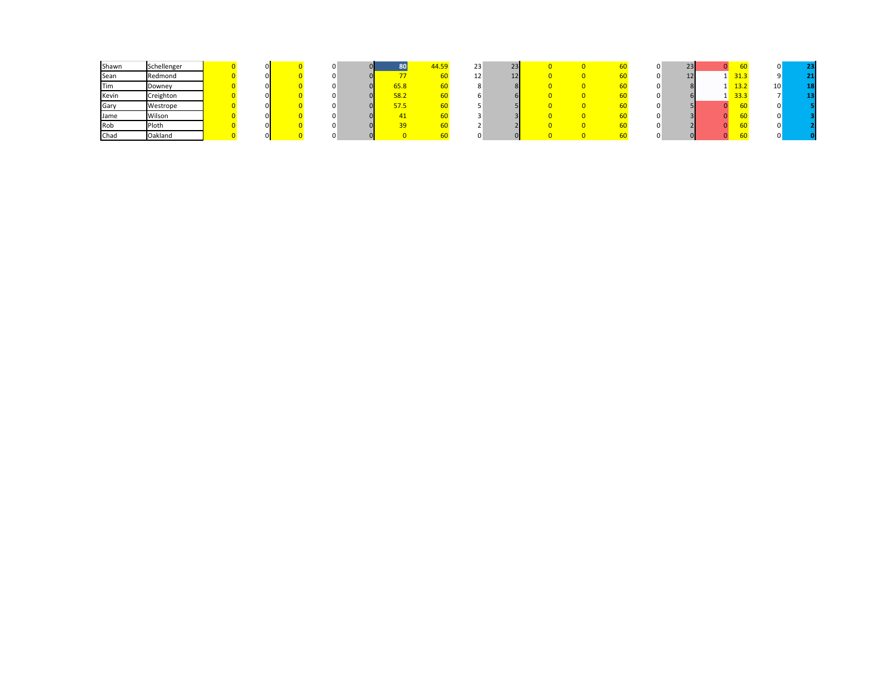| Shawn | Schellenger |  |  |               | 44.59 | 23 | 23 |  |  | 23              |      |    |    |
|-------|-------------|--|--|---------------|-------|----|----|--|--|-----------------|------|----|----|
| Sean  | Redmond     |  |  |               |       | ∸  |    |  |  | 12 <sup>1</sup> | 31.3 |    |    |
| Tim   | Downey      |  |  | $5.8^{\circ}$ |       |    |    |  |  |                 | 13.2 | ⊥∪ | 18 |
| Kevin | Creighton   |  |  | 58.2          |       |    |    |  |  |                 | 33.3 |    |    |
| Gary  | Westrope    |  |  | <u>57.5</u>   |       |    |    |  |  |                 |      |    |    |
| Jame  | Wilson      |  |  |               |       |    |    |  |  |                 |      |    |    |
| Rob   | Ploth       |  |  |               |       |    |    |  |  |                 |      |    |    |
| Chad  | Oakland     |  |  |               |       |    |    |  |  |                 |      |    |    |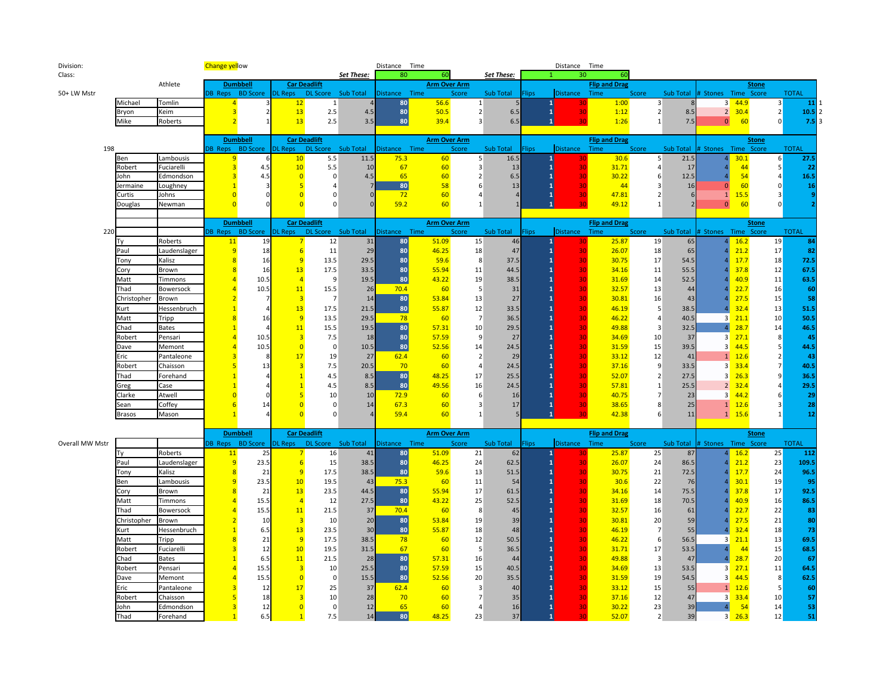| Division:       |               |              | <b>Change yellow</b> |                          |                     |                     |            | Distance Time |                     |                |            |              | Distance Time      |                      |                         |                  |                               |      |                         |              |
|-----------------|---------------|--------------|----------------------|--------------------------|---------------------|---------------------|------------|---------------|---------------------|----------------|------------|--------------|--------------------|----------------------|-------------------------|------------------|-------------------------------|------|-------------------------|--------------|
| Class:          |               |              |                      |                          |                     |                     | Set These: | 80            | 60                  |                | Set These: |              | 30                 | 60                   |                         |                  |                               |      |                         |              |
|                 |               | Athlete      |                      | <b>Dumbbell</b>          |                     | <b>Car Deadlift</b> |            |               | <b>Arm Over Arm</b> |                |            |              |                    | <b>Flip and Drag</b> |                         |                  |                               |      | <b>Stone</b>            |              |
| 50+ LW Mstr     |               |              |                      | DB Reps BD Score         | <b>DL Reps</b>      | DL Score Sub Total  |            | Distance Time |                     | Score          | Sub Total  | Flips        | <b>Distance</b>    | Time                 | Score                   | <b>Sub Total</b> | # Stones Time Score           |      |                         | <b>TOTAL</b> |
|                 | Michael       | Tomlin       | $\overline{a}$       |                          | 12                  | 1                   |            | 80            | 56.6                | 1              |            |              |                    | 1:00                 | $\overline{3}$          |                  | 3 <sup>1</sup>                | 44.9 | 3                       | 11           |
|                 | Bryon         | Keim         | $\overline{3}$       | $\overline{2}$           | 13                  | $2.5\,$             | 4.5        | 80            | 50.5                | $\overline{2}$ | 6.5        |              | 30<br>$\mathbf{1}$ | 1:12                 | $\overline{2}$          | 8.5              | $2 \mid$                      | 30.4 | $\overline{2}$          | $10.5\,$     |
|                 | Mike          | Roberts      | $\overline{2}$       | $\mathbf{1}$             | 13                  | 2.5                 | 3.5        | 80            | 39.4                | 3              | 6.5        |              |                    | 1:26                 | $\vert$ 1               | 7.5              | $\Omega$                      | 60   | $\Omega$                | 7.5          |
|                 |               |              |                      |                          |                     |                     |            |               |                     |                |            |              |                    |                      |                         |                  |                               |      |                         |              |
|                 |               |              |                      | <b>Dumbbell</b>          |                     | <b>Car Deadlift</b> |            |               | <b>Arm Over Arm</b> |                |            |              |                    | <b>Flip and Drag</b> |                         |                  |                               |      | <b>Stone</b>            |              |
| 198             |               |              |                      | DB Reps BD Score DL Reps |                     | DL Score Sub Total  |            | Distance Time |                     | Score          | Sub Total  | <b>Flips</b> | <b>Distance</b>    | Time                 | Score                   |                  | Sub Total # Stones Time Score |      |                         | <b>TOTAL</b> |
|                 | Ben           | Lambousis    | 9                    |                          | 10                  | 5.5                 | 11.5       | 75.3          | 60                  | 5              | 16.5       |              | 30                 | 30.6                 | 5 <sup>1</sup>          | 21.5             |                               | 30.1 | 6                       | 27.5         |
|                 | Robert        | Fuciarelli   | 3                    | 4.5                      | 10                  | 5.5                 | 10         | 67            | 60                  | 3              | 13         |              | 30                 | 31.71                | $\overline{4}$          | 17               |                               | 44   | 5                       | 22           |
|                 | John          | Edmondson    |                      | 4.5                      | $\overline{0}$      | 0                   | 4.5        | 65            | 60                  |                | 6.5        |              | 30                 | 30.22                | 6                       | 12.5             |                               | 54   | $\overline{4}$          | 16.5         |
|                 | Jermaine      | Loughney     |                      |                          |                     | $\overline{4}$      |            | 80            | 58                  | 6              | 13         |              | 30                 | 44                   | 3                       | 16               | 0                             | 60   | $\mathbf 0$             | 16           |
|                 | Curtis        | Johns        |                      |                          | $\Omega$            | 0                   |            | 72            | 60                  | 4              |            |              | 30                 | 47.81                | $\overline{2}$          |                  | $\mathbf{1}$                  | 15.5 | 3                       |              |
|                 | Douglas       | Newman       |                      |                          |                     | $\Omega$            |            | 59.2          | 60                  | $\mathbf{1}$   |            |              |                    | 49.12                | $\mathbf{1}$            |                  | $\mathbf{0}$                  | 60   | $\Omega$                |              |
|                 |               |              |                      |                          |                     |                     |            |               |                     |                |            |              |                    |                      |                         |                  |                               |      |                         |              |
|                 |               |              |                      | <b>Dumbbell</b>          |                     | <b>Car Deadlift</b> |            |               | <b>Arm Over Arm</b> |                |            |              |                    | <b>Flip and Drag</b> |                         |                  |                               |      | <b>Stone</b>            |              |
| 220             |               |              |                      | DB Reps BD Score         | <b>DL Reps</b>      | DL Score Sub Total  |            | Distance Time |                     | Score          | Sub Total  | <b>Flips</b> | <b>Distance</b>    | Time                 | Score                   | Sub Total        | # Stones Time Score           |      |                         | <b>TOTAL</b> |
|                 | Tv            | Roberts      | 11                   | 19                       | -7                  | 12                  | 31         | 80            | 51.09               | 15             | 46         |              | 1<br>30            | 25.87                | 19                      | 65               |                               | 16.2 | 19                      | 84           |
|                 | Paul          | Laudenslager | 9                    | 18                       | 6                   | $11\,$              | 29         | 80            | 46.25               | 18             | 47         |              | 30                 | 26.07                | 18                      | 65               |                               | 21.2 | 17                      | 82           |
|                 | Tony          | Kalisz       |                      | 16                       | $\overline{q}$      | 13.5                | 29.5       | 80            | 59.6                | 8              | 37.5       |              | 30                 | 30.75                | 17                      | 54.5             |                               | 17.7 | 18                      | 72.5         |
|                 | Cory          | Brown        |                      | 16                       | 13                  | 17.5                | 33.5       | 80            | 55.94               | 11             | 44.5       |              | 30                 | 34.16                | 11                      | 55.5             |                               | 37.8 | 12                      | 67.5         |
|                 | Matt          | Timmons      |                      | 10.5                     |                     | 9                   | 19.5       | 80            | 43.22               | 19             | 38.5       |              | 30                 | 31.69                | 14                      | 52.5             |                               | 40.9 | 11                      | 63.5         |
|                 | Thad          | Bowersock    |                      | 10.5                     | 11                  | 15.5                | 26         | 70.4          | 60                  | -5             | 31         |              | 30                 | 32.57                | 13                      | 44               |                               | 22.7 | 16                      | 60           |
|                 | Christopher   | Brown        |                      | $\overline{7}$           | 3                   | $\overline{7}$      | 14         | 80            | 53.84               | 13             | 27         |              | 30                 | 30.81                | 16                      | 43               |                               | 27.5 | 15                      | 58           |
|                 | Kurt          | Hessenbruch  |                      | $\overline{4}$           | 13                  | 17.5                | 21.5       | 80            | 55.87               | 12             | 33.5       |              | 30                 | 46.19                | 5                       | 38.5             |                               | 32.4 | 13                      | 51.5         |
|                 | Matt          | Tripp        |                      | 16                       | $\overline{9}$      | 13.5                | 29.5       | 78            | 60                  | $\overline{7}$ | 36.5       |              | 30 <sup>2</sup>    | 46.22                | $\overline{a}$          | 40.5             | 3                             | 21.1 | 10 <sup>°</sup>         | 50.5         |
|                 | Chad          | <b>Bates</b> |                      | $\Delta$                 | 11                  | 15.5                | 19.5       | 80            | 57.31               | 10             | 29.5       |              | 30                 | 49.88                | $\overline{\mathbf{3}}$ | 32.5             | 4                             | 28.7 | 14                      | 46.5         |
|                 | Robert        | Pensari      |                      | 10.5                     |                     | 7.5                 | 18         | 80            | 57.59               | 9              | 27         |              | 30                 | 34.69                | 10                      | 37               | 3 <sup>1</sup>                | 27.1 | 8                       | 45           |
|                 | Dave          | Memont       |                      | 10.5                     | $\Omega$            | 0                   | 10.5       | 80            | 52.56               | 14             | 24.5       |              | 30                 | 31.59                | 15                      | 39.5             | 3                             | 44.5 | $\overline{\mathbf{5}}$ | 44.5         |
|                 | Eric          | Pantaleone   |                      | 8                        | 17                  | 19                  | 27         | 62.4          | 60                  | $\overline{2}$ | 29         |              | 30                 | 33.12                | 12                      | 41               | $\mathbf{1}$                  | 12.6 | $\overline{2}$          | 43           |
|                 | Robert        | Chaisson     |                      | 13                       |                     | 7.5                 | 20.5       | 70            | 60                  | $\overline{4}$ | 24.5       |              | 30                 | 37.16                | 9                       | 33.5             | 3                             | 33.4 | 7                       | 40.5         |
|                 | Thad          | Forehand     |                      |                          |                     | 4.5                 | 8.5        | 80            | 48.25               | 17             | 25.5       |              | 30                 | 52.07                | $\overline{2}$          | 27.5             | 3                             | 26.3 | 9                       | 36.5         |
|                 | Greg          | Case         |                      |                          |                     | 4.5                 | 8.5        | 80            | 49.56               | 16             | 24.5       |              | 30                 | 57.81                | $\mathbf{1}$            | 25.5             | 2 <sup>1</sup>                | 32.4 | $\overline{4}$          | 29.5         |
|                 | Clarke        | Atwell       |                      |                          |                     | 10                  | 10         | 72.9          | 60                  | 6              | 16         |              | 30                 | 40.75                | $\overline{7}$          | 23               | 3                             | 44.2 | 6                       | 29           |
|                 | Sean          | Coffey       |                      | 14                       | $\Omega$            | $\mathbf 0$         | 14         | 67.3          | 60                  | 3              | 17         |              | 30                 | 38.65                | 8                       | 25               | $\mathbf{1}$                  | 12.6 | 3                       | 28           |
|                 | <b>Brasos</b> | Mason        |                      |                          |                     | $\Omega$            |            | 59.4          | 60                  |                |            |              | 30                 | 42.38                | 6                       | 11               | 1                             | 15.6 | $\mathbf{1}$            | 12           |
|                 |               |              |                      |                          |                     |                     |            |               |                     |                |            |              |                    |                      |                         |                  |                               |      |                         |              |
|                 |               |              |                      | <b>Dumbbell</b>          | <b>Car Deadlift</b> |                     |            |               | <b>Arm Over Arm</b> |                |            |              |                    | <b>Flip and Drag</b> |                         |                  |                               |      | <b>Stone</b>            |              |
| Overall MW Mstr |               |              |                      | B Reps BD Score          | <b>DL Reps</b>      | DL Score Sub Total  |            | Distance Time |                     | Score          | Sub Total  | <b>Flips</b> | Distance Time      |                      | Score                   | Sub Total        | # Stones Time Score           |      |                         | <b>TOTAL</b> |
|                 | Ty            | Roberts      | 11                   | 25                       |                     | 16                  | 41         | 80            | 51.09               | 21             | 62         |              |                    | 25.87                | 25                      | 87               |                               | 16.2 | 25                      | 112          |
|                 | Paul          | Laudenslager | 9                    | 23.5                     | $6\overline{6}$     | 15                  | 38.5       | 80            | 46.25               | 24             | 62.5       |              | 30 <sup>2</sup>    | 26.07                | 24                      | 86.5             |                               | 21.2 | 23                      | 109.5        |
|                 | Tony          | Kalisz       | $\overline{8}$       | 21                       | $\overline{9}$      | 17.5                | 38.5       | 80            | 59.6                | 13             | 51.5       |              | 30                 | 30.75                | 21                      | 72.5             |                               | 17.7 | 24                      | 96.5         |
|                 | Ben           | Lambousis    |                      | 23.5                     | 10                  | 19.5                | 43         | 75.3          | 60                  | 11             | 54         |              | 30                 | 30.6                 | 22                      | 76               |                               | 30.1 | 19                      | 95           |
|                 | Cory          | Brown        |                      | 21                       | 13                  | 23.5                | 44.5       | 80            | 55.94               | 17             | 61.5       |              | 30                 | 34.16                | 14                      | 75.5             |                               | 37.8 | 17                      | 92.5         |
|                 | Matt          | Timmons      |                      | 15.5                     | $\overline{A}$      | 12                  | 27.5       | 80            | 43.22               | 25             | 52.5       |              | 30                 | 31.69                | 18                      | 70.5             |                               | 40.9 | 16                      | 86.5         |
|                 | Thad          | Bowersock    |                      | 15.5                     | 11                  | 21.5                | 37         | 70.4          | 60                  | 8              | 45         |              | 30                 | 32.57                | 16                      | 61               |                               | 22.7 | 22                      | 83           |
|                 | Christopher   | Brown        |                      | 10                       | 3                   | 10                  | 20         | 80            | 53.84               | 19             | 39         |              | 30                 | 30.81                | 20                      | 59               |                               | 27.5 | 21                      | 80           |
|                 | Kurt          | Hessenbruch  |                      | 6.5                      | 13                  | 23.5                | 30         | 80            | 55.87               | 18             | 48         |              | 30                 | 46.19                | $\overline{7}$          | 55               |                               | 32.4 | <b>18</b>               | 73           |
|                 | Matt          | Tripp        |                      | 21                       | $\overline{9}$      | 17.5                | 38.5       | 78            | 60                  | 12             | 50.5       |              | 30                 | 46.22                | 6                       | 56.5             | 3 <sup>1</sup>                | 21.1 | 13                      | 69.5         |
|                 | Robert        | Fuciarelli   |                      | 12                       | 10                  | 19.5                | 31.5       | 67            | 60                  | 5              | 36.5       |              | 30                 | 31.71                | 17                      | 53.5             |                               | 44   | 15                      | 68.5         |
|                 | Chad          | <b>Bates</b> |                      | 6.5                      | 11                  | 21.5                | 28         | 80            | 57.31               | 16             | 44         |              | 30                 | 49.88                | 3                       | 47               |                               | 28.7 | 20                      | 67           |
|                 | Robert        | Pensari      |                      | 15.5                     | 3                   | 10                  | 25.5       | 80            | 57.59               | 15             | 40.5       |              | 30                 | 34.69                | 13                      | 53.5             | 3                             | 27.1 | 11                      | 64.5         |
|                 | Dave          | Memont       |                      | 15.5                     | $\overline{0}$      | $\mathbf 0$         | 15.5       | 80            | 52.56               | 20             | 35.5       |              | 30                 | 31.59                | 19                      | 54.5             | 3                             | 44.5 | 8                       | 62.5         |
|                 | Eric          | Pantaleone   |                      | 12                       | 17                  | 25                  | 37         | 62.4          | 60                  | $\overline{3}$ | 40         |              | 30                 | 33.12                | 15                      | 55               | $\mathbf{1}$                  | 12.6 | 5                       | 60           |
|                 | Robert        | Chaisson     |                      | 18                       |                     | 10                  | 28         | 70            | 60                  | $\overline{ }$ | 35         |              | 30                 | 37.16                | 12                      | 47               | 3                             | 33.4 | 10 <sup>°</sup>         | 57           |
|                 | John          | Edmondson    |                      | 12                       | $\overline{0}$      | $\mathbf 0$         | 12         | 65            | 60                  | Δ              | 16         |              | 30                 | 30.22                | 23                      | 39               |                               | 54   | 14                      | 53           |
|                 | Thad          | Forehand     |                      | 6.5                      |                     | 7.5                 | 14         | 80            | 48.25               | 23             | 37         |              | 30                 | 52.07                | $\overline{2}$          | 39               | 3 <sup>1</sup>                | 26.3 | 12                      | 51           |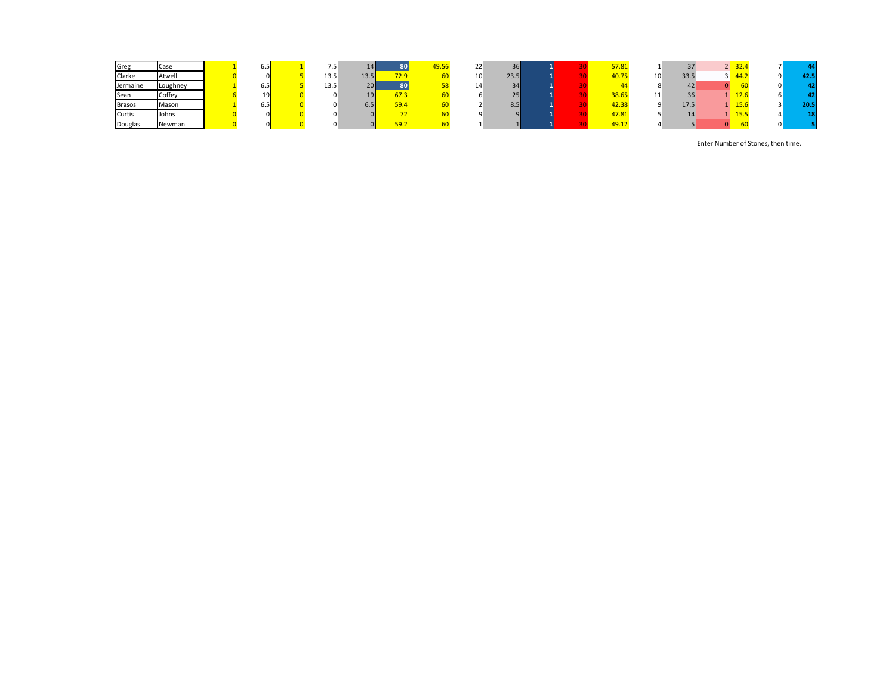| Greg          | Case     | 6.5 | ر. ، |      |      | 19.5 <sub>b</sub> | 22 | $\sim$<br>36 |  | 57.81 |     |      | 32.4           |      |
|---------------|----------|-----|------|------|------|-------------------|----|--------------|--|-------|-----|------|----------------|------|
| Clarke        | Atwell   |     | 13.5 | 13.5 | 72.9 |                   | 10 | 23.5         |  | 40.75 | 10  | 33.5 | $-44.2$        | 42.5 |
| Jermaine      | Loughney | 6.5 | 13.5 | 20   |      |                   | ÷. | 34           |  |       |     |      |                |      |
| Sean          | Coffey   | 19  |      |      | 67.3 |                   |    | $\sim$<br>25 |  | 38.65 | . . |      | $\sim$<br>12.6 |      |
| <b>Brasos</b> | Mason    | 6.5 |      | D.J  | 59.4 |                   |    | 8.5          |  | 42.38 |     | 17.5 | 15.6           | 20.5 |
| Curtis        | Johns    |     |      |      |      |                   |    |              |  | 47.81 |     |      | 15.5           |      |
| Douglas       | Newman   |     |      |      |      |                   |    |              |  | 49.1  |     |      |                |      |

Enter Number of Stones, then time.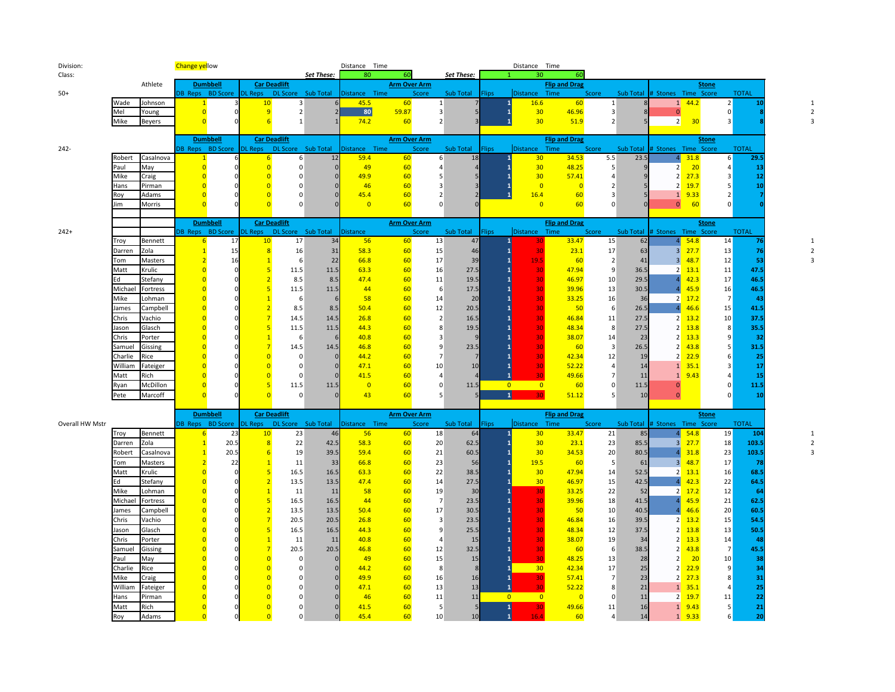|                 |              |                | <b>Change yellow</b> |                         |                 |                                             | <b>Set These:</b> | Distance Time<br>80 | 60                  |                | Set These:      |              | Distance Time<br>30                                    | 60                      |                |           |                                        |              |                         |
|-----------------|--------------|----------------|----------------------|-------------------------|-----------------|---------------------------------------------|-------------------|---------------------|---------------------|----------------|-----------------|--------------|--------------------------------------------------------|-------------------------|----------------|-----------|----------------------------------------|--------------|-------------------------|
| Class:          |              | Athlete        |                      | <b>Dumbbell</b>         |                 | <b>Car Deadlift</b>                         |                   |                     | <b>Arm Over Arm</b> |                |                 |              |                                                        | <b>Flip and Drag</b>    |                |           |                                        | <b>Stone</b> |                         |
| $50+$           |              |                |                      | DB Reps BD Score        |                 | DL Reps DL Score Sub Total                  |                   | Distance Time       |                     | <b>Score</b>   | Sub Total Flips |              | Distance Time                                          |                         | Score          | Sub Total | # Stones Time Score                    |              | <b>TOTAL</b>            |
|                 | Wade         | Johnson        | $\mathbf{1}$         |                         | 10              | 3                                           |                   | 45.5                | 60                  | 1              |                 |              | 16.6<br>1                                              | 60                      | $\vert$ 1      |           | $1 \quad 44.2$                         |              | 2                       |
|                 | Mel          | Young          | $\overline{0}$       |                         | 9               | 2                                           |                   | 80                  | 59.87               | 3              |                 |              | 30                                                     | 46.96                   | $\overline{3}$ |           | $\mathbf{0}$                           |              |                         |
|                 | Mike         | <b>Beyers</b>  | $\overline{0}$       |                         | 6               | $\mathbf{1}$                                |                   | 74.2                | 60                  | $\overline{2}$ |                 |              | 30                                                     | 51.9                    | $\overline{2}$ |           | 2<br>30                                |              |                         |
|                 |              |                |                      |                         |                 |                                             |                   |                     |                     |                |                 |              |                                                        |                         |                |           |                                        |              |                         |
|                 |              |                |                      | <b>Dumbbell</b>         |                 | <b>Car Deadlift</b>                         |                   |                     | <b>Arm Over Arm</b> |                |                 |              |                                                        | <b>Flip and Drag</b>    |                |           |                                        | <b>Stone</b> |                         |
| $242 -$         |              |                |                      | DB Reps BD Score        |                 | DL Reps  DL Score  Sub Total                |                   | Distance Time       |                     | Score          | Sub Total       | <b>Flips</b> | Distance                                               | Time                    | Score          | Sub Total | # Stones Time Score                    |              | <b>TOTAL</b>            |
|                 | Robert       | Casalnova      | $\mathbf{1}$         |                         | 6               | 6 <sup>1</sup>                              | 12                | 59.4                | 60                  | 6              | 18              |              | 30                                                     | 34.53                   | 5.5            | 23.5      | 4 <sup>1</sup><br>31.8                 |              | 29.5<br>$6 \mid$        |
|                 | Paul         | May            | $\Omega$             |                         | $\Omega$        | $\overline{0}$                              |                   | 49                  | 60                  | $\Delta$       |                 |              | 30                                                     | 48.25                   | 5              |           | 2<br>20                                |              | 13                      |
|                 | Mike         | Craig          | $\Omega$             |                         | $\Omega$        | $\Omega$                                    |                   | 49.9                | 60                  | 5              | 5               |              | 30                                                     | 57.41                   | $\Delta$       |           | 2<br>27.3                              |              | 12<br>$\mathbf{R}$      |
|                 | Hans         | Pirman         |                      |                         | $\Omega$        | $\Omega$                                    |                   | 46                  | 60                  | 3              |                 |              | $\overline{0}$                                         | $\overline{0}$          | $\overline{2}$ |           | 2<br>19.7                              |              | 10<br>-5                |
|                 | Roy          | Adams          |                      |                         | $\Omega$        | $\Omega$                                    |                   | 45.4                | 60                  | $\overline{2}$ | 2               |              | 16.4                                                   | 60                      | 3              |           | 9.33<br>$1\overline{ }$                |              | $\overline{2}$          |
|                 | Jim          | Morris         |                      |                         |                 | $\Omega$                                    |                   | $\overline{0}$      | 60                  | $\Omega$       | $\Omega$        |              | $\overline{0}$                                         | 60                      | $\Omega$       |           | $\overline{0}$                         | 60           |                         |
|                 |              |                |                      |                         |                 |                                             |                   |                     |                     |                |                 |              |                                                        |                         |                |           |                                        |              |                         |
|                 |              |                |                      | <b>Dumbbell</b>         |                 | <b>Car Deadlift</b>                         |                   |                     | <b>Arm Over Arm</b> |                |                 |              |                                                        | <b>Flip and Drag</b>    |                |           |                                        | <b>Stone</b> |                         |
| $242+$          |              |                |                      | <b>DB</b> Reps BD Score |                 | DL Reps  DL Score  Sub Total                |                   | <b>Distance</b>     |                     | Score          | Sub Total       | <b>Flips</b> | <b>Distance</b>                                        | Time                    | Score          | Sub Total | # Stones Time Score                    |              | <b>TOTAL</b>            |
|                 | Troy         | Bennett        | 6                    | 17                      | 10              | 17                                          | 34                | 56                  | 60                  | 13             | 47              |              | $\mathbf{1}$                                           | 33.47                   | 15             | 62        | 54.8<br>4 <sup>1</sup>                 |              | 14                      |
|                 | Darren       | Zola           |                      | 15                      | $\overline{8}$  | 16                                          | 31                | 58.3                | 60                  | 15             | 46              |              | 30                                                     | 23.1                    | 17             | 63        | 3 <sup>1</sup><br>27.7                 |              | 13<br>76                |
|                 | Tom          | Masters        |                      | 16                      |                 | 6                                           | 22                | 66.8                | 60                  | 17             | 39              |              | 19.5<br>$\mathbf{1}$                                   | 60                      | $\overline{2}$ | 41        | 48.7<br>$\overline{3}$                 |              | 12<br>53                |
|                 | Matt         | Krulic         | $\Omega$             | $\Omega$                | $5\overline{5}$ | 11.5                                        | 11.5              | 63.3                | 60                  | 16             | 27.5            |              | $\mathbf{1}$<br>30                                     | 47.94                   | 9              | 36.5      | 2<br>13.1                              |              | 11<br>47.5              |
|                 | Ed           | Stefany        | $\Omega$             |                         | $\overline{2}$  | 8.5                                         | 8.5               | 47.4                | 60                  | 11             | 19.5            |              | $\mathbf{1}$<br>30                                     | 46.97                   | 10             | 29.5      | 42.3                                   |              | 17<br>46.5              |
|                 | Michael      | Fortress       |                      |                         | 5               | $11.5\,$                                    | 11.5              | 44                  | 60                  | 6              | 17.5            |              | $\overline{1}$<br>30                                   | 39.96                   | 13             | 30.5      | 45.9                                   |              | 16<br>46.5              |
|                 | Mike         | Lohman         | $\Omega$             |                         | $\overline{1}$  | 6                                           |                   | 58                  | 60                  | 14             | 20              |              | 30<br>$\mathbf{1}$                                     | 33.25                   | 16             | 36        | 2<br>17.2                              |              | $\overline{7}$<br>43    |
|                 | James        | Campbell       |                      |                         | $\overline{2}$  | 8.5                                         | 8.5               | 50.4                | 60                  | 12             | 20.5            |              | $\mathbf{1}$<br>30                                     | 50                      | -6             | 26.5      | 46.6<br>$\overline{a}$                 |              | 41.5<br>15              |
|                 | Chris        | Vachio         |                      |                         |                 | 14.5                                        | 14.5              | 26.8                | 60                  | $\overline{2}$ | 16.5            |              | 30                                                     | 46.84                   | 11             | 27.5      | 13.2<br>2                              |              | 10<br>37.5              |
|                 | Jason        | Glasch         |                      |                         | 5               | 11.5                                        | 11.5              | 44.3                | 60                  | 8              | 19.5            |              | 30                                                     | 48.34                   | 8              | 27.5      | 13.8<br>2                              |              | 35.5<br>8               |
|                 | Chris        | Porter         |                      |                         | $\overline{1}$  | 6                                           |                   | 40.8                | 60                  | $\overline{3}$ | <b>c</b>        |              | $\mathbf{1}$<br>30                                     | 38.07                   | 14             | 23        | 2<br>13.3                              |              | 32<br>9                 |
|                 | Samuel       | Gissing        |                      |                         |                 | 14.5                                        | 14.5              | 46.8                | 60                  | 9              | 23.5            |              | $\overline{1}$<br>30                                   | 60                      | $\overline{3}$ | 26.5      | 43.8<br>2                              |              | 31.5<br>5               |
|                 | Charlie      | Rice           |                      |                         | $\Omega$        | $\mathbf 0$                                 |                   | 44.2                | 60                  | $\overline{7}$ | 7               |              | 30<br>$\mathbf{1}$                                     | 42.34                   | 12             | 19        | 22.9<br>2                              |              | 25<br>6                 |
|                 | William      | Fateiger       |                      |                         | $\overline{0}$  | 0                                           |                   | 47.1                | 60                  | 10             | 10              |              | 30<br>$\mathbf{1}$                                     | 52.22                   | $\overline{4}$ | 14        | $1 \quad 35.1$                         |              | 17<br>3                 |
|                 | Matt         | Rich           |                      |                         | $\overline{0}$  | $\Omega$                                    |                   | 41.5                | 60                  | $\overline{4}$ |                 |              | $\mathbf{1}$<br>30                                     | 49.66                   | $\overline{7}$ | 11        | 9.43<br>1                              |              | 15                      |
|                 |              |                |                      |                         | 5               | 11.5                                        |                   |                     |                     |                | 11.5            |              | $\overline{0}$<br>$\overline{0}$                       | 60                      |                |           |                                        |              | 11.5                    |
|                 | Ryan         | McDillon       |                      |                         |                 |                                             | 11.5              | $\overline{0}$      | 60                  | $\mathbf 0$    |                 |              |                                                        |                         | $\Omega$       | 11.5      | $\overline{0}$                         |              |                         |
|                 | Pete         | Marcoff        |                      |                         |                 | $\Omega$                                    |                   | 43                  | 60                  | 5              |                 |              | $\vert 1 \vert$<br>30                                  | 51.12                   | 5              | 10        | $\mathbf{0}$                           |              | 10                      |
|                 |              |                |                      |                         |                 |                                             |                   |                     |                     |                |                 |              |                                                        |                         |                |           |                                        |              |                         |
|                 |              |                |                      | <b>Dumbbell</b>         |                 | <b>Car Deadlift</b>                         |                   |                     | <b>Arm Over Arm</b> |                |                 |              |                                                        | <b>Flip and Drag</b>    |                |           |                                        | <b>Stone</b> |                         |
| Overall HW Mstr |              |                |                      |                         |                 | DB Reps BD Score DL Reps DL Score Sub Total |                   | Distance Time       |                     | Score          | Sub Total       | <b>Flips</b> | Distance Time                                          |                         | Score          |           | Sub Total # Stones Time Score          |              | <b>TOTAL</b>            |
|                 | Troy         | Bennett        | $6 \overline{6}$     | 23                      | 10              | 23                                          | 46                | 56                  | 60                  | 18             | 64              |              | 30 <sup>°</sup><br>$\mathbf{1}$                        | 33.47                   | 21             | 85        | $4\overline{54.8}$                     |              | 19<br>104               |
|                 | Darren       | Zola           | $\mathbf{1}$         | 20.5                    | 8               | 22                                          | 42.5              | 58.3                | 60                  | 20             | 62.5            |              | 30                                                     | 23.1                    | 23             | 85.5      | 3 <sup>1</sup><br>27.7<br>$\mathbf{A}$ |              | 103.5<br>18             |
|                 | Robert       | Casalnova      |                      | 20.5                    |                 | $6 \overline{6}$<br>19                      | 39.5              | 59.4                | 60                  | 21             | 60.5            |              | 30                                                     | 34.53                   | 20             | 80.5      | 31.8                                   |              | 23<br>103.5             |
|                 | Tom          | Masters        |                      | 22                      |                 | 11                                          | 33                | 66.8                | 60                  | 23             | 56              |              | 19.5                                                   | 60                      | -5             | 61        | 3 <sup>l</sup><br>48.7                 |              | 17<br>78                |
|                 | Matt         | Krulic         | $\Omega$             |                         | 5               | 16.5                                        | 16.5              | 63.3                | 60                  | 22             | 38.5            |              | 30                                                     | 47.94                   | 14             | 52.5      | 2<br>13.1                              |              | 68.5<br>16              |
|                 | Ed           | Stefany        |                      |                         | $\overline{2}$  | 13.5                                        | 13.5              | 47.4                | 60                  | 14             | 27.5            |              | 30                                                     | 46.97                   | 15             | 42.5      | 42.3<br>$\overline{4}$                 |              | 22<br>64.5              |
|                 | Mike         | Lohman         |                      |                         | $\overline{1}$  | 11                                          | 11                | 58                  | 60                  | 19             | 30              |              | 30                                                     | 33.25                   | 22             | 52        | 17.2<br>2<br>$\Lambda$                 |              | 12<br>64                |
|                 | Michael      | Fortress       |                      |                         | 5               | 16.5                                        | 16.5              | 44                  | 60                  | $\overline{7}$ | 23.5            |              | 30<br>$\overline{1}$                                   | 39.96                   | 18             | 41.5      | 45.9                                   |              | $21\,$<br>62.5          |
|                 | James        | Campbell       |                      |                         | $\overline{2}$  | 13.5                                        | 13.5              | 50.4                | 60                  | 17             | 30.5            |              | $\mathbf{1}$<br>30                                     | 50                      | 10             | 40.5      | 46.6                                   |              | 20<br>60.5              |
|                 | Chris        | Vachio         |                      |                         | $\overline{7}$  | 20.5                                        | 20.5              | 26.8                | 60                  | 3              | 23.5            |              | 30<br>$\overline{1}$                                   | 46.84                   | 16             | 39.5      | 2<br>13.2                              |              | 15<br>54.5              |
|                 | Jason        | Glasch         |                      |                         | 5               | 16.5                                        | 16.5              | 44.3                | 60                  | 9              | 25.5            |              | 30<br>$\mathbf{1}$                                     | 48.34                   | 12             | 37.5      | 13.8<br>2                              |              | 13<br>50.5              |
|                 | Chris        | Porter         |                      |                         | $\overline{1}$  | 11                                          | 11                | 40.8                | 60                  | $\overline{4}$ | 15              |              | 30                                                     | 38.07                   | 19             | 34        | 2<br>13.3                              |              | 14<br>48                |
|                 | Samuel       | Gissing        |                      |                         | $\overline{7}$  | 20.5                                        | 20.5              | 46.8                | 60                  | 12             | 32.5            |              | $\mathbf{1}$<br>30                                     | 60                      | -6             | 38.5      | 43.8<br>2                              |              | 45.5<br>$\overline{7}$  |
|                 | Paul         | May            |                      |                         | $\Omega$        | $\mathbf 0$                                 |                   | 49                  | 60                  | 15             | 15              |              | 30                                                     | 48.25                   | 13             | 28        | 2<br>$\overline{20}$                   |              | 10<br>38                |
|                 | Charlie      | Rice           |                      |                         | $\Omega$        | $\Omega$                                    |                   | 44.2                | 60                  | 8              | $\mathbf{8}$    |              | 30<br>$\mathbf{1}$                                     | 42.34                   | 17             | 25        | $2 \frac{22.9}{ }$                     |              | 34<br>9                 |
|                 | Mike         | Craig          |                      |                         | $\overline{0}$  | $\Omega$                                    |                   | 49.9                | 60                  | 16             | 16              |              | 30<br>1                                                | 57.41                   | $\overline{7}$ | 23        | $2 \frac{27.3}{ }$                     |              | 31<br>8                 |
|                 | William      | Fateiger       |                      |                         | $\Omega$        | $\Omega$                                    |                   | 47.1                | 60                  | 13             | 13              |              | $\mathbf{1}$<br>30                                     | 52.22                   | 8              | 21        | $1 \quad 35.1$                         |              | 25<br>$\overline{4}$    |
|                 | Hans<br>Matt | Pirman<br>Rich |                      |                         | $\overline{0}$  | $\Omega$<br>0                               |                   | 46<br>41.5          | 60<br>60            | 11<br>5        | 11              |              | $\overline{0}$<br>$\overline{0}$<br>$\mathbf{1}$<br>30 | $\overline{0}$<br>49.66 | $\Omega$<br>11 | 11<br>16  | 19.7<br>2<br>$1 \quad 9.43$            |              | 22<br>$11\,$<br>21<br>5 |